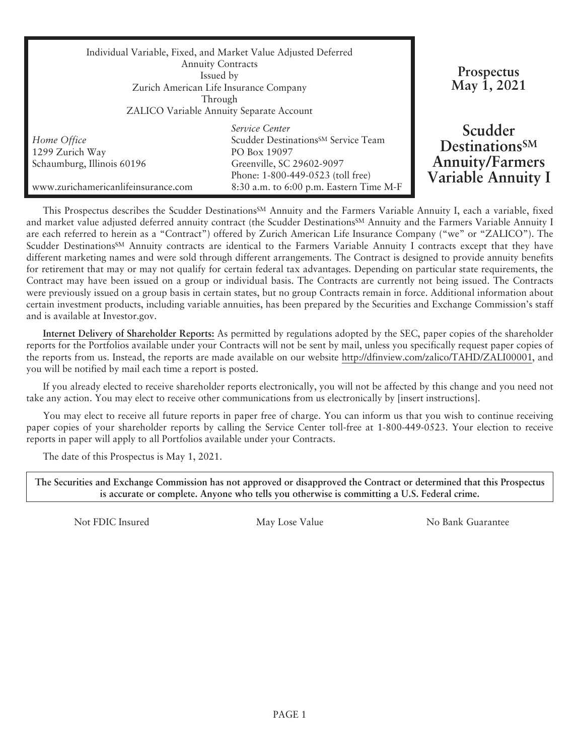| Individual Variable, Fixed, and Market Value Adjusted Deferred<br><b>Annuity Contracts</b><br>Issued by<br>Zurich American Life Insurance Company<br>Through<br>ZALICO Variable Annuity Separate Account |                                                                                                                                                                                                | Prospectus<br>May 1, 2021                                                                    |
|----------------------------------------------------------------------------------------------------------------------------------------------------------------------------------------------------------|------------------------------------------------------------------------------------------------------------------------------------------------------------------------------------------------|----------------------------------------------------------------------------------------------|
| Home Office<br>1299 Zurich Way<br>Schaumburg, Illinois 60196<br>www.zurichamericanlifeinsurance.com                                                                                                      | Service Center<br>Scudder Destinations <sup>SM</sup> Service Team<br>PO Box 19097<br>Greenville, SC 29602-9097<br>Phone: 1-800-449-0523 (toll free)<br>8:30 a.m. to 6:00 p.m. Eastern Time M-F | Scudder<br><b>Destinations</b> <sub>SM</sub><br><b>Annuity/Farmers</b><br>Variable Annuity I |

This Prospectus describes the Scudder Destinations<sup>SM</sup> Annuity and the Farmers Variable Annuity I, each a variable, fixed and market value adjusted deferred annuity contract (the Scudder DestinationsSM Annuity and the Farmers Variable Annuity I are each referred to herein as a "Contract") offered by Zurich American Life Insurance Company ("we" or "ZALICO"). The Scudder Destinations<sup>SM</sup> Annuity contracts are identical to the Farmers Variable Annuity I contracts except that they have different marketing names and were sold through different arrangements. The Contract is designed to provide annuity benefits for retirement that may or may not qualify for certain federal tax advantages. Depending on particular state requirements, the Contract may have been issued on a group or individual basis. The Contracts are currently not being issued. The Contracts were previously issued on a group basis in certain states, but no group Contracts remain in force. Additional information about certain investment products, including variable annuities, has been prepared by the Securities and Exchange Commission's staff and is available at [Investor.gov](https://www.investor.gov/).

**Internet Delivery of Shareholder Reports:** As permitted by regulations adopted by the SEC, paper copies of the shareholder reports for the Portfolios available under your Contracts will not be sent by mail, unless you specifically request paper copies of the reports from us. Instead, the reports are made available on our website http://dfinview.com/zalico/TAHD/ZALI00001, and you will be notified by mail each time a report is posted.

If you already elected to receive shareholder reports electronically, you will not be affected by this change and you need not take any action. You may elect to receive other communications from us electronically by [insert instructions].

You may elect to receive all future reports in paper free of charge. You can inform us that you wish to continue receiving paper copies of your shareholder reports by calling the Service Center toll-free at 1-800-449-0523. Your election to receive reports in paper will apply to all Portfolios available under your Contracts.

The date of this Prospectus is May 1, 2021.

**The Securities and Exchange Commission has not approved or disapproved the Contract or determined that this Prospectus is accurate or complete. Anyone who tells you otherwise is committing a U.S. Federal crime.**

Not FDIC Insured The May Lose Value No Bank Guarantee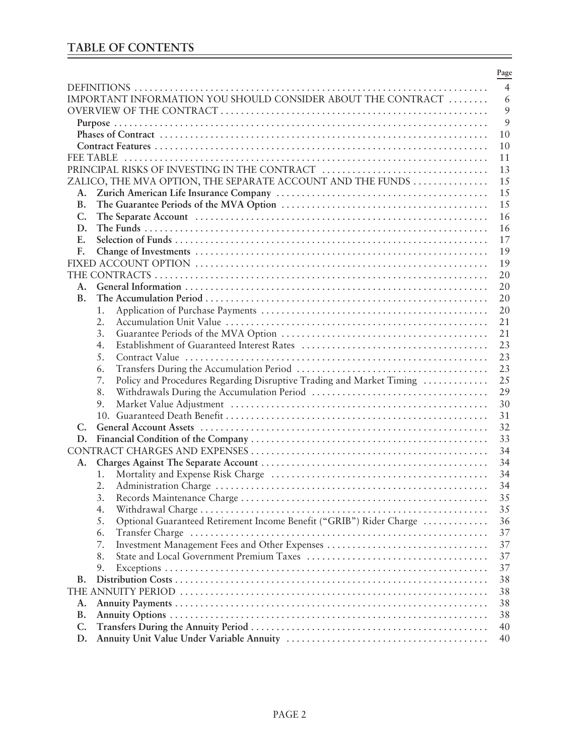# **TABLE OF CONTENTS**

|                                                                            | Page           |
|----------------------------------------------------------------------------|----------------|
|                                                                            | $\overline{4}$ |
| IMPORTANT INFORMATION YOU SHOULD CONSIDER ABOUT THE CONTRACT               | 6              |
|                                                                            | 9              |
|                                                                            | 9              |
|                                                                            | 10             |
|                                                                            | 10             |
| <b>FEE TABLE</b>                                                           | 11             |
| PRINCIPAL RISKS OF INVESTING IN THE CONTRACT                               | 13             |
| ZALICO, THE MVA OPTION, THE SEPARATE ACCOUNT AND THE FUNDS                 | 15             |
| A.                                                                         | 15             |
| B.                                                                         | 15             |
| C.                                                                         | 16             |
| D.                                                                         | 16             |
| E.                                                                         | 17             |
| F.                                                                         | 19             |
|                                                                            | 19             |
|                                                                            | 20             |
| A.                                                                         | 20             |
| <b>B.</b>                                                                  | 20             |
| 1.                                                                         | 20             |
| 2.                                                                         | 21             |
| 3.                                                                         | 21             |
| 4.                                                                         | 23             |
| 5.                                                                         | 23             |
| 6.                                                                         | 23             |
| Policy and Procedures Regarding Disruptive Trading and Market Timing<br>7. | 25             |
| 8.                                                                         | 29             |
| 9.                                                                         | 30             |
|                                                                            | 31             |
| C.                                                                         | 32             |
| D.                                                                         | 33             |
|                                                                            | 34             |
| A.                                                                         | 34             |
| 1.                                                                         | 34             |
| 2.                                                                         | 34             |
| 3.                                                                         | 35             |
| 4.                                                                         | 35             |
| Optional Guaranteed Retirement Income Benefit ("GRIB") Rider Charge<br>5.  | 36             |
| 6.                                                                         | 37             |
| 7.                                                                         | 37             |
| 8.                                                                         | 37             |
| 9.                                                                         | 37             |
| В.                                                                         | 38             |
|                                                                            | 38             |
| A.                                                                         | 38             |
| <b>B.</b>                                                                  | 38             |
| $C_{\cdot}$                                                                | 40             |
| D.                                                                         | 40             |

۳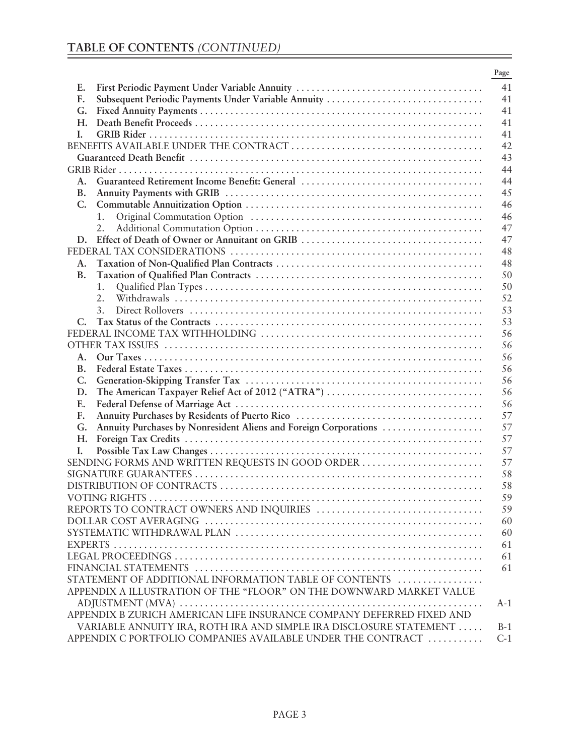|           |                                                                      | Page     |
|-----------|----------------------------------------------------------------------|----------|
| Е.        |                                                                      | 41       |
| F.        | Subsequent Periodic Payments Under Variable Annuity                  | 41       |
| G.        |                                                                      | 41       |
| Н.        |                                                                      | 41       |
| L.        |                                                                      | 41       |
|           |                                                                      | 42       |
|           |                                                                      | 43       |
|           |                                                                      | 44       |
| A.        |                                                                      | 44       |
| В.        |                                                                      | 45       |
| C.        |                                                                      | 46       |
|           | 1.                                                                   | 46       |
|           | 2.                                                                   | 47       |
| D.        |                                                                      | 47       |
|           |                                                                      | 48       |
| А.        |                                                                      | 48       |
| <b>B.</b> |                                                                      | 50       |
|           | 1.                                                                   | 50       |
|           | 2.                                                                   | 52       |
|           | 3.                                                                   | 53       |
| C.        |                                                                      | 53       |
|           |                                                                      | 56       |
|           |                                                                      | 56       |
| A.        |                                                                      | 56       |
| B.        |                                                                      | 56       |
| C.        |                                                                      | 56       |
| D.        | The American Taxpayer Relief Act of 2012 ("ATRA")                    | 56       |
| Е.        |                                                                      | 56       |
| F.        |                                                                      | 57       |
| G.        | Annuity Purchases by Nonresident Aliens and Foreign Corporations     | 57       |
| Н.        |                                                                      | 57       |
| I.        |                                                                      | 57       |
|           | SENDING FORMS AND WRITTEN REQUESTS IN GOOD ORDER                     | 57       |
|           |                                                                      | 58       |
|           |                                                                      | 58       |
|           |                                                                      | 59       |
|           |                                                                      |          |
|           |                                                                      | 59<br>60 |
|           |                                                                      | 60       |
|           |                                                                      |          |
|           |                                                                      | 61       |
|           |                                                                      | 61       |
|           |                                                                      | 61       |
|           | STATEMENT OF ADDITIONAL INFORMATION TABLE OF CONTENTS                |          |
|           | APPENDIX A ILLUSTRATION OF THE "FLOOR" ON THE DOWNWARD MARKET VALUE  |          |
|           | APPENDIX B ZURICH AMERICAN LIFE INSURANCE COMPANY DEFERRED FIXED AND | $A-1$    |
|           |                                                                      |          |
|           | VARIABLE ANNUITY IRA, ROTH IRA AND SIMPLE IRA DISCLOSURE STATEMENT   | $B-1$    |
|           | APPENDIX C PORTFOLIO COMPANIES AVAILABLE UNDER THE CONTRACT          | $C-1$    |

۳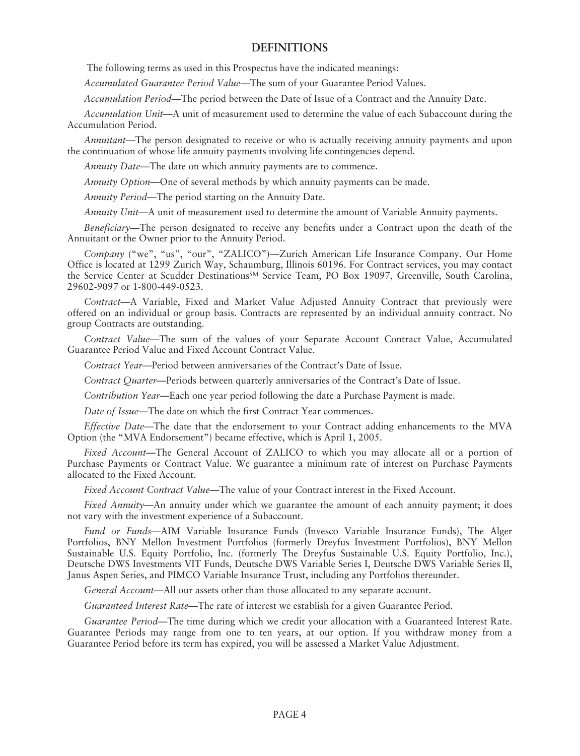# **DEFINITIONS**

The following terms as used in this Prospectus have the indicated meanings:

*Accumulated Guarantee Period Value*—The sum of your Guarantee Period Values.

*Accumulation Period—*The period between the Date of Issue of a Contract and the Annuity Date.

*Accumulation Unit*—A unit of measurement used to determine the value of each Subaccount during the Accumulation Period.

*Annuitant*—The person designated to receive or who is actually receiving annuity payments and upon the continuation of whose life annuity payments involving life contingencies depend.

*Annuity Date*—The date on which annuity payments are to commence.

*Annuity Option*—One of several methods by which annuity payments can be made.

*Annuity Period*—The period starting on the Annuity Date.

*Annuity Unit*—A unit of measurement used to determine the amount of Variable Annuity payments.

*Beneficiary*—The person designated to receive any benefits under a Contract upon the death of the Annuitant or the Owner prior to the Annuity Period.

*Company* ("we", "us", "our", "ZALICO")—Zurich American Life Insurance Company. Our Home Office is located at 1299 Zurich Way, Schaumburg, Illinois 60196. For Contract services, you may contact the Service Center at Scudder Destinations<sup>SM</sup> Service Team, PO Box 19097, Greenville, South Carolina, 29602-9097 or 1-800-449-0523.

*Contract*—A Variable, Fixed and Market Value Adjusted Annuity Contract that previously were offered on an individual or group basis. Contracts are represented by an individual annuity contract. No group Contracts are outstanding.

*Contract Value*—The sum of the values of your Separate Account Contract Value, Accumulated Guarantee Period Value and Fixed Account Contract Value.

*Contract Year*—Period between anniversaries of the Contract's Date of Issue.

*Contract Quarter*—Periods between quarterly anniversaries of the Contract's Date of Issue.

*Contribution Year*—Each one year period following the date a Purchase Payment is made.

*Date of Issue*—The date on which the first Contract Year commences.

*Effective Date*—The date that the endorsement to your Contract adding enhancements to the MVA Option (the "MVA Endorsement") became effective, which is April 1, 2005.

*Fixed Account*—The General Account of ZALICO to which you may allocate all or a portion of Purchase Payments or Contract Value. We guarantee a minimum rate of interest on Purchase Payments allocated to the Fixed Account.

*Fixed Account Contract Value*—The value of your Contract interest in the Fixed Account.

*Fixed Annuity*—An annuity under which we guarantee the amount of each annuity payment; it does not vary with the investment experience of a Subaccount.

*Fund or Funds*—AIM Variable Insurance Funds (Invesco Variable Insurance Funds), The Alger Portfolios, BNY Mellon Investment Portfolios (formerly Dreyfus Investment Portfolios), BNY Mellon Sustainable U.S. Equity Portfolio, Inc. (formerly The Dreyfus Sustainable U.S. Equity Portfolio, Inc.), Deutsche DWS Investments VIT Funds, Deutsche DWS Variable Series I, Deutsche DWS Variable Series II, Janus Aspen Series, and PIMCO Variable Insurance Trust, including any Portfolios thereunder.

*General Account*—All our assets other than those allocated to any separate account.

*Guaranteed Interest Rate*—The rate of interest we establish for a given Guarantee Period.

*Guarantee Period*—The time during which we credit your allocation with a Guaranteed Interest Rate. Guarantee Periods may range from one to ten years, at our option. If you withdraw money from a Guarantee Period before its term has expired, you will be assessed a Market Value Adjustment.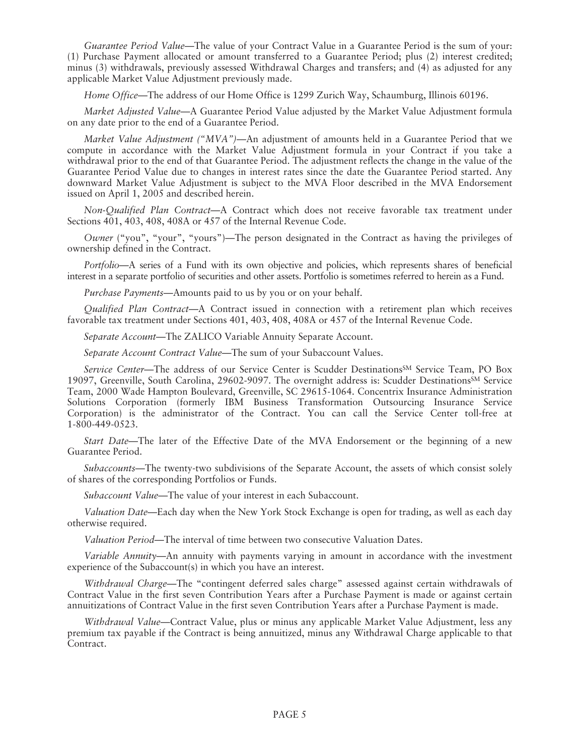*Guarantee Period Value*—The value of your Contract Value in a Guarantee Period is the sum of your: (1) Purchase Payment allocated or amount transferred to a Guarantee Period; plus (2) interest credited; minus (3) withdrawals, previously assessed Withdrawal Charges and transfers; and (4) as adjusted for any applicable Market Value Adjustment previously made.

*Home Office*—The address of our Home Office is 1299 Zurich Way, Schaumburg, Illinois 60196.

*Market Adjusted Value*—A Guarantee Period Value adjusted by the Market Value Adjustment formula on any date prior to the end of a Guarantee Period.

*Market Value Adjustment ("MVA")—*An adjustment of amounts held in a Guarantee Period that we compute in accordance with the Market Value Adjustment formula in your Contract if you take a withdrawal prior to the end of that Guarantee Period. The adjustment reflects the change in the value of the Guarantee Period Value due to changes in interest rates since the date the Guarantee Period started. Any downward Market Value Adjustment is subject to the MVA Floor described in the MVA Endorsement issued on April 1, 2005 and described herein.

*Non-Qualified Plan Contract*—A Contract which does not receive favorable tax treatment under Sections 401, 403, 408, 408A or 457 of the Internal Revenue Code.

*Owner* ("you", "your", "yours")—The person designated in the Contract as having the privileges of ownership defined in the Contract.

*Portfolio*—A series of a Fund with its own objective and policies, which represents shares of beneficial interest in a separate portfolio of securities and other assets. Portfolio is sometimes referred to herein as a Fund.

*Purchase Payments*—Amounts paid to us by you or on your behalf.

*Qualified Plan Contract*—A Contract issued in connection with a retirement plan which receives favorable tax treatment under Sections 401, 403, 408, 408A or 457 of the Internal Revenue Code.

*Separate Account*—The ZALICO Variable Annuity Separate Account.

*Separate Account Contract Value*—The sum of your Subaccount Values.

*Service Center*—The address of our Service Center is Scudder DestinationsSM Service Team, PO Box 19097, Greenville, South Carolina, 29602-9097. The overnight address is: Scudder Destinations<sup>SM</sup> Service Team, 2000 Wade Hampton Boulevard, Greenville, SC 29615-1064. Concentrix Insurance Administration Solutions Corporation (formerly IBM Business Transformation Outsourcing Insurance Service Corporation) is the administrator of the Contract. You can call the Service Center toll-free at 1-800-449-0523.

*Start Date*—The later of the Effective Date of the MVA Endorsement or the beginning of a new Guarantee Period.

*Subaccounts*—The twenty-two subdivisions of the Separate Account, the assets of which consist solely of shares of the corresponding Portfolios or Funds.

*Subaccount Value*—The value of your interest in each Subaccount.

*Valuation Date*—Each day when the New York Stock Exchange is open for trading, as well as each day otherwise required.

*Valuation Period*—The interval of time between two consecutive Valuation Dates.

*Variable Annuity*—An annuity with payments varying in amount in accordance with the investment experience of the Subaccount(s) in which you have an interest.

*Withdrawal Charge*—The "contingent deferred sales charge" assessed against certain withdrawals of Contract Value in the first seven Contribution Years after a Purchase Payment is made or against certain annuitizations of Contract Value in the first seven Contribution Years after a Purchase Payment is made.

*Withdrawal Value*—Contract Value, plus or minus any applicable Market Value Adjustment, less any premium tax payable if the Contract is being annuitized, minus any Withdrawal Charge applicable to that Contract.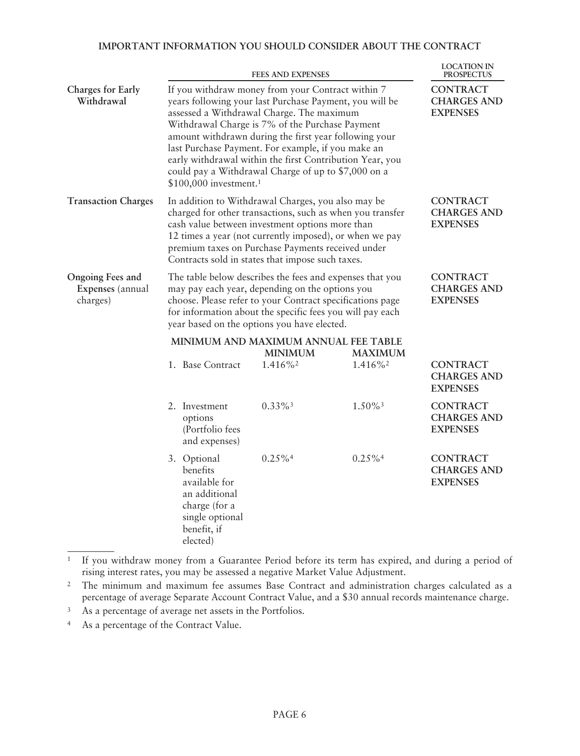# **IMPORTANT INFORMATION YOU SHOULD CONSIDER ABOUT THE CONTRACT**

|                                                         |                                                                                                                                                                                                                                                                                      |                                                                                                                          | <b>FEES AND EXPENSES</b>                                                                                                                                                                                                                                                                                                                                                                                                                       |                                                          | <b>LOCATION IN</b><br><b>PROSPECTUS</b>                  |
|---------------------------------------------------------|--------------------------------------------------------------------------------------------------------------------------------------------------------------------------------------------------------------------------------------------------------------------------------------|--------------------------------------------------------------------------------------------------------------------------|------------------------------------------------------------------------------------------------------------------------------------------------------------------------------------------------------------------------------------------------------------------------------------------------------------------------------------------------------------------------------------------------------------------------------------------------|----------------------------------------------------------|----------------------------------------------------------|
| <b>Charges for Early</b><br>Withdrawal                  |                                                                                                                                                                                                                                                                                      | \$100,000 investment. <sup>1</sup>                                                                                       | If you withdraw money from your Contract within 7<br>years following your last Purchase Payment, you will be<br>assessed a Withdrawal Charge. The maximum<br>Withdrawal Charge is 7% of the Purchase Payment<br>amount withdrawn during the first year following your<br>last Purchase Payment. For example, if you make an<br>early withdrawal within the first Contribution Year, you<br>could pay a Withdrawal Charge of up to \$7,000 on a |                                                          | <b>CONTRACT</b><br><b>CHARGES AND</b><br><b>EXPENSES</b> |
| <b>Transaction Charges</b>                              |                                                                                                                                                                                                                                                                                      |                                                                                                                          | In addition to Withdrawal Charges, you also may be<br>charged for other transactions, such as when you transfer<br>cash value between investment options more than<br>12 times a year (not currently imposed), or when we pay<br>premium taxes on Purchase Payments received under<br>Contracts sold in states that impose such taxes.                                                                                                         |                                                          | <b>CONTRACT</b><br><b>CHARGES AND</b><br><b>EXPENSES</b> |
| <b>Ongoing Fees and</b><br>Expenses (annual<br>charges) | The table below describes the fees and expenses that you<br>may pay each year, depending on the options you<br>choose. Please refer to your Contract specifications page<br>for information about the specific fees you will pay each<br>year based on the options you have elected. |                                                                                                                          |                                                                                                                                                                                                                                                                                                                                                                                                                                                | <b>CONTRACT</b><br><b>CHARGES AND</b><br><b>EXPENSES</b> |                                                          |
|                                                         |                                                                                                                                                                                                                                                                                      |                                                                                                                          | MINIMUM AND MAXIMUM ANNUAL FEE TABLE<br><b>MINIMUM</b>                                                                                                                                                                                                                                                                                                                                                                                         | <b>MAXIMUM</b>                                           |                                                          |
|                                                         |                                                                                                                                                                                                                                                                                      | 1. Base Contract                                                                                                         | 1.416%2                                                                                                                                                                                                                                                                                                                                                                                                                                        | 1.416%2                                                  | <b>CONTRACT</b><br><b>CHARGES AND</b><br><b>EXPENSES</b> |
|                                                         |                                                                                                                                                                                                                                                                                      | 2. Investment<br>options<br>(Portfolio fees<br>and expenses)                                                             | $0.33\%$ <sup>3</sup>                                                                                                                                                                                                                                                                                                                                                                                                                          | $1.50\%$ <sup>3</sup>                                    | <b>CONTRACT</b><br><b>CHARGES AND</b><br><b>EXPENSES</b> |
|                                                         |                                                                                                                                                                                                                                                                                      | 3. Optional<br>benefits<br>available for<br>an additional<br>charge (for a<br>single optional<br>benefit, if<br>elected) | $0.25\%$ <sup>4</sup>                                                                                                                                                                                                                                                                                                                                                                                                                          | $0.25\%$ <sup>4</sup>                                    | <b>CONTRACT</b><br><b>CHARGES AND</b><br><b>EXPENSES</b> |

<sup>1</sup> If you withdraw money from a Guarantee Period before its term has expired, and during a period of rising interest rates, you may be assessed a negative Market Value Adjustment.

<sup>2</sup> The minimum and maximum fee assumes Base Contract and administration charges calculated as a percentage of average Separate Account Contract Value, and a \$30 annual records maintenance charge.

<sup>3</sup> As a percentage of average net assets in the Portfolios.

<sup>4</sup> As a percentage of the Contract Value.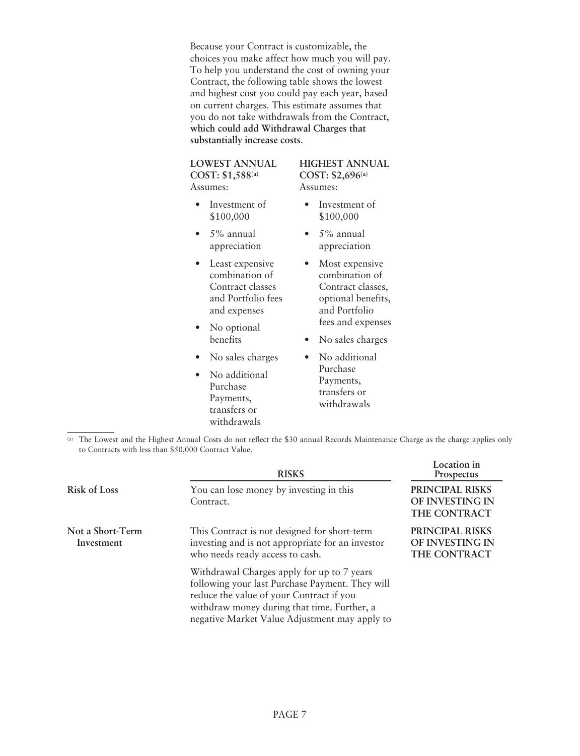Because your Contract is customizable, the choices you make affect how much you will pay. To help you understand the cost of owning your Contract, the following table shows the lowest and highest cost you could pay each year, based on current charges. This estimate assumes that you do not take withdrawals from the Contract, **which could add Withdrawal Charges that substantially increase costs**.

**LOWEST ANNUAL COST: \$1,588(a)** Assumes:

- Investment of \$100,000
- 5% annual appreciation

• Least expensive combination of Contract classes and Portfolio fees and expenses

- No optional benefits
- No sales charges
- No additional Purchase Payments, transfers or withdrawals

**HIGHEST ANNUAL COST: \$2,696(a)** Assumes:

- Investment of \$100,000
- 5% annual appreciation
- Most expensive combination of Contract classes, optional benefits, and Portfolio fees and expenses
- No sales charges
- No additional Purchase Payments, transfers or withdrawals

(a) The Lowest and the Highest Annual Costs do not reflect the \$30 annual Records Maintenance Charge as the charge applies only to Contracts with less than \$50,000 Contract Value.

|                                | <b>RISKS</b>                                                                                                                                                                                                                              | Location in<br><b>Prospectus</b>                   |
|--------------------------------|-------------------------------------------------------------------------------------------------------------------------------------------------------------------------------------------------------------------------------------------|----------------------------------------------------|
| <b>Risk of Loss</b>            | You can lose money by investing in this<br>Contract.                                                                                                                                                                                      | PRINCIPAL RISKS<br>OF INVESTING IN<br>THE CONTRACT |
| Not a Short-Term<br>Investment | This Contract is not designed for short-term<br>investing and is not appropriate for an investor<br>who needs ready access to cash.                                                                                                       | PRINCIPAL RISKS<br>OF INVESTING IN<br>THE CONTRACT |
|                                | Withdrawal Charges apply for up to 7 years<br>following your last Purchase Payment. They will<br>reduce the value of your Contract if you<br>withdraw money during that time. Further, a<br>negative Market Value Adjustment may apply to |                                                    |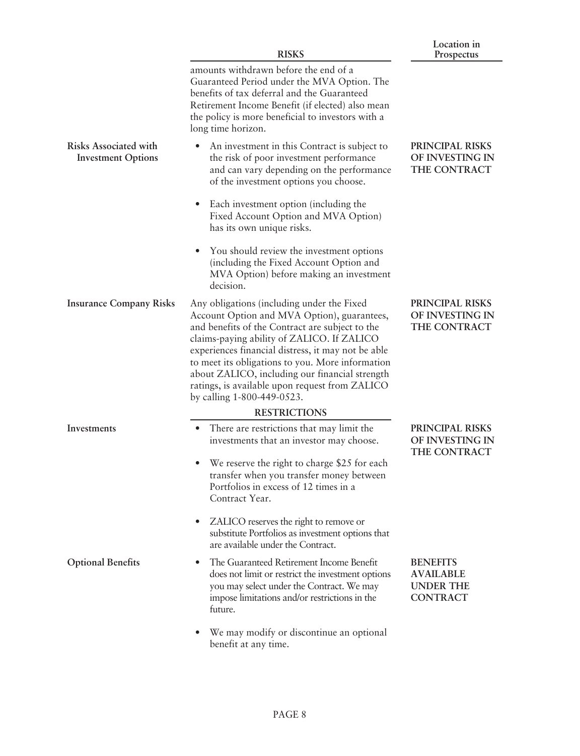|                                                           | <b>RISKS</b>                                                                                                                                                                                                                                                                                                                                                                                                                           | Lucauun m<br>Prospectus                                                    |
|-----------------------------------------------------------|----------------------------------------------------------------------------------------------------------------------------------------------------------------------------------------------------------------------------------------------------------------------------------------------------------------------------------------------------------------------------------------------------------------------------------------|----------------------------------------------------------------------------|
|                                                           | amounts withdrawn before the end of a<br>Guaranteed Period under the MVA Option. The<br>benefits of tax deferral and the Guaranteed<br>Retirement Income Benefit (if elected) also mean<br>the policy is more beneficial to investors with a<br>long time horizon.                                                                                                                                                                     |                                                                            |
| <b>Risks Associated with</b><br><b>Investment Options</b> | An investment in this Contract is subject to<br>the risk of poor investment performance<br>and can vary depending on the performance<br>of the investment options you choose.                                                                                                                                                                                                                                                          | PRINCIPAL RISKS<br>OF INVESTING IN<br>THE CONTRACT                         |
|                                                           | Each investment option (including the<br>$\bullet$<br>Fixed Account Option and MVA Option)<br>has its own unique risks.                                                                                                                                                                                                                                                                                                                |                                                                            |
|                                                           | You should review the investment options<br>$\bullet$<br>(including the Fixed Account Option and<br>MVA Option) before making an investment<br>decision.                                                                                                                                                                                                                                                                               |                                                                            |
| <b>Insurance Company Risks</b>                            | Any obligations (including under the Fixed<br>Account Option and MVA Option), guarantees,<br>and benefits of the Contract are subject to the<br>claims-paying ability of ZALICO. If ZALICO<br>experiences financial distress, it may not be able<br>to meet its obligations to you. More information<br>about ZALICO, including our financial strength<br>ratings, is available upon request from ZALICO<br>by calling 1-800-449-0523. | PRINCIPAL RISKS<br>OF INVESTING IN<br>THE CONTRACT                         |
|                                                           | <b>RESTRICTIONS</b>                                                                                                                                                                                                                                                                                                                                                                                                                    |                                                                            |
| Investments                                               | There are restrictions that may limit the<br>investments that an investor may choose.                                                                                                                                                                                                                                                                                                                                                  | PRINCIPAL RISKS<br>OF INVESTING IN                                         |
|                                                           | We reserve the right to charge \$25 for each<br>$\bullet$<br>transfer when you transfer money between<br>Portfolios in excess of 12 times in a<br>Contract Year.                                                                                                                                                                                                                                                                       | THE CONTRACT                                                               |
|                                                           | ZALICO reserves the right to remove or<br>$\bullet$<br>substitute Portfolios as investment options that<br>are available under the Contract.                                                                                                                                                                                                                                                                                           |                                                                            |
| <b>Optional Benefits</b>                                  | The Guaranteed Retirement Income Benefit<br>$\bullet$<br>does not limit or restrict the investment options<br>you may select under the Contract. We may<br>impose limitations and/or restrictions in the<br>future.                                                                                                                                                                                                                    | <b>BENEFITS</b><br><b>AVAILABLE</b><br><b>UNDER THE</b><br><b>CONTRACT</b> |
|                                                           | We may modify or discontinue an optional<br>$\bullet$<br>benefit at any time.                                                                                                                                                                                                                                                                                                                                                          |                                                                            |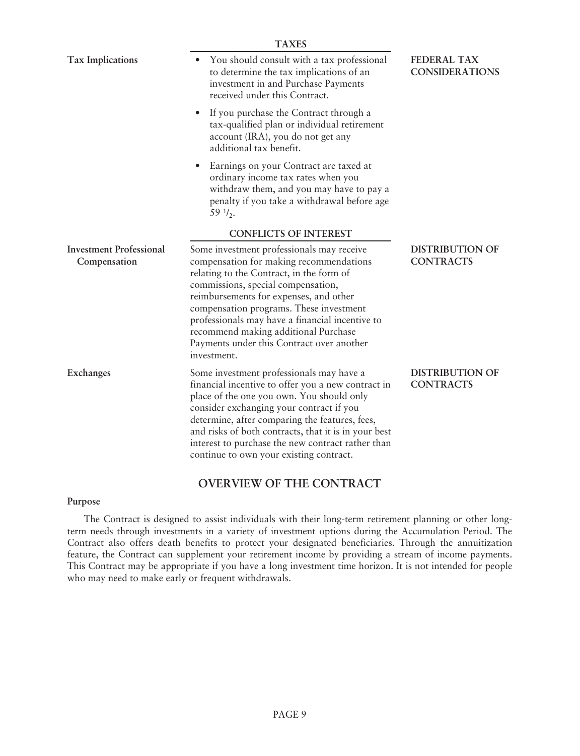|                                                | <b>TAXES</b>                                                                                                                                                                                                                                                                                                                                                                                                       |                                             |
|------------------------------------------------|--------------------------------------------------------------------------------------------------------------------------------------------------------------------------------------------------------------------------------------------------------------------------------------------------------------------------------------------------------------------------------------------------------------------|---------------------------------------------|
| <b>Tax Implications</b>                        | You should consult with a tax professional<br>٠<br>to determine the tax implications of an<br>investment in and Purchase Payments<br>received under this Contract.                                                                                                                                                                                                                                                 | <b>FEDERAL TAX</b><br><b>CONSIDERATIONS</b> |
|                                                | If you purchase the Contract through a<br>$\bullet$<br>tax-qualified plan or individual retirement<br>account (IRA), you do not get any<br>additional tax benefit.                                                                                                                                                                                                                                                 |                                             |
|                                                | Earnings on your Contract are taxed at<br>$\bullet$<br>ordinary income tax rates when you<br>withdraw them, and you may have to pay a<br>penalty if you take a withdrawal before age<br>$59 \frac{1}{2}$ .                                                                                                                                                                                                         |                                             |
|                                                | <b>CONFLICTS OF INTEREST</b>                                                                                                                                                                                                                                                                                                                                                                                       |                                             |
| <b>Investment Professional</b><br>Compensation | Some investment professionals may receive<br>compensation for making recommendations<br>relating to the Contract, in the form of<br>commissions, special compensation,<br>reimbursements for expenses, and other<br>compensation programs. These investment<br>professionals may have a financial incentive to<br>recommend making additional Purchase<br>Payments under this Contract over another<br>investment. | <b>DISTRIBUTION OF</b><br><b>CONTRACTS</b>  |
| <b>Exchanges</b>                               | Some investment professionals may have a<br>financial incentive to offer you a new contract in<br>place of the one you own. You should only<br>consider exchanging your contract if you<br>determine, after comparing the features, fees,<br>and risks of both contracts, that it is in your best<br>interest to purchase the new contract rather than<br>continue to own your existing contract.                  | <b>DISTRIBUTION OF</b><br><b>CONTRACTS</b>  |

# **OVERVIEW OF THE CONTRACT**

### **Purpose**

The Contract is designed to assist individuals with their long-term retirement planning or other longterm needs through investments in a variety of investment options during the Accumulation Period. The Contract also offers death benefits to protect your designated beneficiaries. Through the annuitization feature, the Contract can supplement your retirement income by providing a stream of income payments. This Contract may be appropriate if you have a long investment time horizon. It is not intended for people who may need to make early or frequent withdrawals.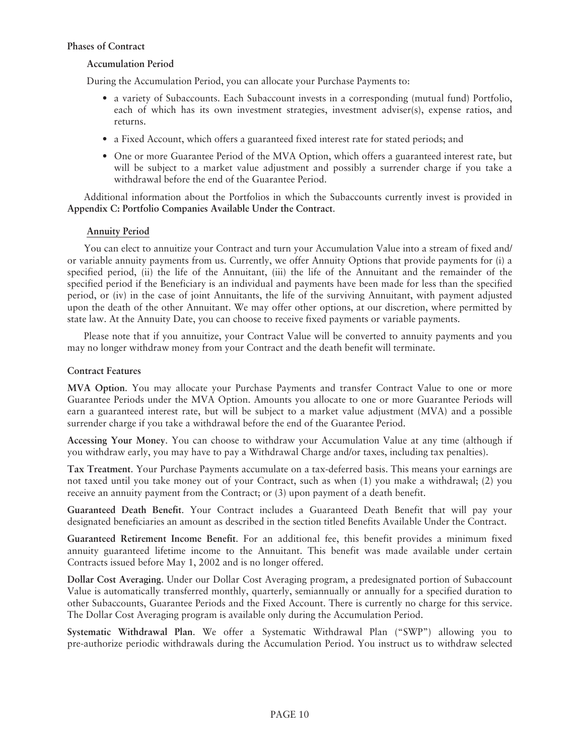# **Phases of Contract**

# **Accumulation Period**

During the Accumulation Period, you can allocate your Purchase Payments to:

- a variety of Subaccounts. Each Subaccount invests in a corresponding (mutual fund) Portfolio, each of which has its own investment strategies, investment adviser(s), expense ratios, and returns.
- a Fixed Account, which offers a guaranteed fixed interest rate for stated periods; and
- One or more Guarantee Period of the MVA Option, which offers a guaranteed interest rate, but will be subject to a market value adjustment and possibly a surrender charge if you take a withdrawal before the end of the Guarantee Period.

Additional information about the Portfolios in which the Subaccounts currently invest is provided in **Appendix C: Portfolio Companies Available Under the Contract**.

# **Annuity Period**

You can elect to annuitize your Contract and turn your Accumulation Value into a stream of fixed and/ or variable annuity payments from us. Currently, we offer Annuity Options that provide payments for (i) a specified period, (ii) the life of the Annuitant, (iii) the life of the Annuitant and the remainder of the specified period if the Beneficiary is an individual and payments have been made for less than the specified period, or (iv) in the case of joint Annuitants, the life of the surviving Annuitant, with payment adjusted upon the death of the other Annuitant. We may offer other options, at our discretion, where permitted by state law. At the Annuity Date, you can choose to receive fixed payments or variable payments.

Please note that if you annuitize, your Contract Value will be converted to annuity payments and you may no longer withdraw money from your Contract and the death benefit will terminate.

# **Contract Features**

**MVA Option**. You may allocate your Purchase Payments and transfer Contract Value to one or more Guarantee Periods under the MVA Option. Amounts you allocate to one or more Guarantee Periods will earn a guaranteed interest rate, but will be subject to a market value adjustment (MVA) and a possible surrender charge if you take a withdrawal before the end of the Guarantee Period.

**Accessing Your Money**. You can choose to withdraw your Accumulation Value at any time (although if you withdraw early, you may have to pay a Withdrawal Charge and/or taxes, including tax penalties).

**Tax Treatment**. Your Purchase Payments accumulate on a tax-deferred basis. This means your earnings are not taxed until you take money out of your Contract, such as when (1) you make a withdrawal; (2) you receive an annuity payment from the Contract; or (3) upon payment of a death benefit.

**Guaranteed Death Benefit**. Your Contract includes a Guaranteed Death Benefit that will pay your designated beneficiaries an amount as described in the section titled Benefits Available Under the Contract.

**Guaranteed Retirement Income Benefit**. For an additional fee, this benefit provides a minimum fixed annuity guaranteed lifetime income to the Annuitant. This benefit was made available under certain Contracts issued before May 1, 2002 and is no longer offered.

**Dollar Cost Averaging**. Under our Dollar Cost Averaging program, a predesignated portion of Subaccount Value is automatically transferred monthly, quarterly, semiannually or annually for a specified duration to other Subaccounts, Guarantee Periods and the Fixed Account. There is currently no charge for this service. The Dollar Cost Averaging program is available only during the Accumulation Period.

**Systematic Withdrawal Plan**. We offer a Systematic Withdrawal Plan ("SWP") allowing you to pre-authorize periodic withdrawals during the Accumulation Period. You instruct us to withdraw selected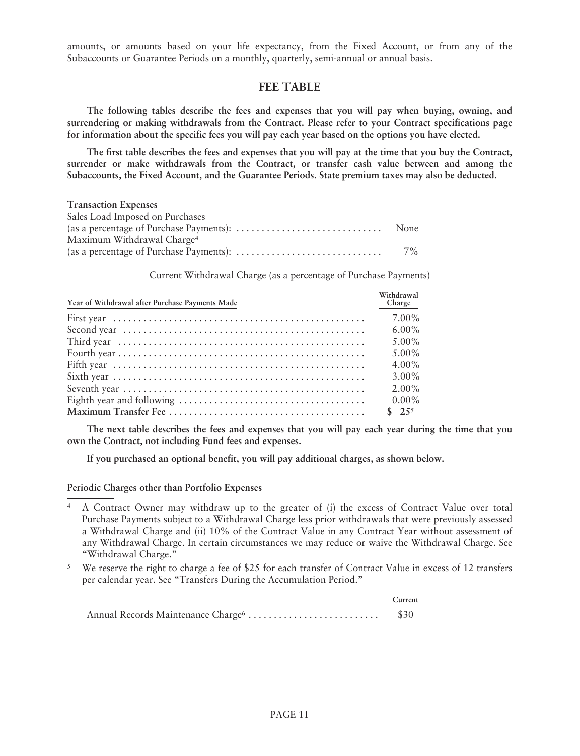amounts, or amounts based on your life expectancy, from the Fixed Account, or from any of the Subaccounts or Guarantee Periods on a monthly, quarterly, semi-annual or annual basis.

# **FEE TABLE**

**The following tables describe the fees and expenses that you will pay when buying, owning, and surrendering or making withdrawals from the Contract. Please refer to your Contract specifications page for information about the specific fees you will pay each year based on the options you have elected.**

**The first table describes the fees and expenses that you will pay at the time that you buy the Contract, surrender or make withdrawals from the Contract, or transfer cash value between and among the Subaccounts, the Fixed Account, and the Guarantee Periods. State premium taxes may also be deducted.**

| <b>Transaction Expenses</b>            |       |
|----------------------------------------|-------|
| Sales Load Imposed on Purchases        |       |
|                                        |       |
| Maximum Withdrawal Charge <sup>4</sup> |       |
|                                        | $7\%$ |

Current Withdrawal Charge (as a percentage of Purchase Payments)

| Year of Withdrawal after Purchase Payments Made | Withdrawal<br>Charge |
|-------------------------------------------------|----------------------|
|                                                 | $7.00\%$             |
|                                                 | $6.00\%$             |
|                                                 | $5.00\%$             |
|                                                 | $5.00\%$             |
|                                                 | $4.00\%$             |
|                                                 | $3.00\%$             |
|                                                 | $2.00\%$             |
|                                                 | $0.00\%$             |
|                                                 | \$25 <sup>5</sup>    |

**The next table describes the fees and expenses that you will pay each year during the time that you own the Contract, not including Fund fees and expenses.**

**If you purchased an optional benefit, you will pay additional charges, as shown below.**

### **Periodic Charges other than Portfolio Expenses**

- <sup>4</sup> A Contract Owner may withdraw up to the greater of (i) the excess of Contract Value over total Purchase Payments subject to a Withdrawal Charge less prior withdrawals that were previously assessed a Withdrawal Charge and (ii) 10% of the Contract Value in any Contract Year without assessment of any Withdrawal Charge. In certain circumstances we may reduce or waive the Withdrawal Charge. See "Withdrawal Charge."
- <sup>5</sup> We reserve the right to charge a fee of \$25 for each transfer of Contract Value in excess of 12 transfers per calendar year. See "Transfers During the Accumulation Period."

|                                                | Current |
|------------------------------------------------|---------|
| Annual Records Maintenance Charge <sup>6</sup> | \$30    |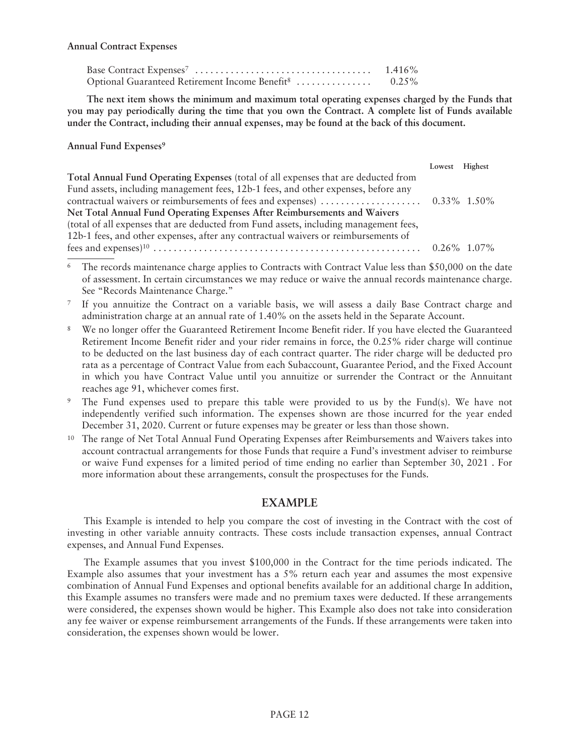### **Annual Contract Expenses**

| Base Contract $\text{Express}^7 \dots \dots \dots \dots \dots \dots \dots \dots \dots \dots \dots$ | $1.416\%$ |
|----------------------------------------------------------------------------------------------------|-----------|
| Optional Guaranteed Retirement Income Benefit <sup>8</sup>                                         | $0.25\%$  |

**The next item shows the minimum and maximum total operating expenses charged by the Funds that you may pay periodically during the time that you own the Contract. A complete list of Funds available under the Contract, including their annual expenses, may be found at the back of this document.**

**Annual Fund Expenses9**

|                                                                                       | Lowest Highest |  |
|---------------------------------------------------------------------------------------|----------------|--|
| Total Annual Fund Operating Expenses (total of all expenses that are deducted from    |                |  |
| Fund assets, including management fees, 12b-1 fees, and other expenses, before any    |                |  |
|                                                                                       |                |  |
| Net Total Annual Fund Operating Expenses After Reimbursements and Waivers             |                |  |
| (total of all expenses that are deducted from Fund assets, including management fees, |                |  |
| 12b-1 fees, and other expenses, after any contractual waivers or reimbursements of    |                |  |
|                                                                                       |                |  |

- The records maintenance charge applies to Contracts with Contract Value less than \$50,000 on the date of assessment. In certain circumstances we may reduce or waive the annual records maintenance charge. See "Records Maintenance Charge."
- If you annuitize the Contract on a variable basis, we will assess a daily Base Contract charge and administration charge at an annual rate of 1.40% on the assets held in the Separate Account.
- <sup>8</sup> We no longer offer the Guaranteed Retirement Income Benefit rider. If you have elected the Guaranteed Retirement Income Benefit rider and your rider remains in force, the 0.25% rider charge will continue to be deducted on the last business day of each contract quarter. The rider charge will be deducted pro rata as a percentage of Contract Value from each Subaccount, Guarantee Period, and the Fixed Account in which you have Contract Value until you annuitize or surrender the Contract or the Annuitant reaches age 91, whichever comes first.
- <sup>9</sup> The Fund expenses used to prepare this table were provided to us by the Fund(s). We have not independently verified such information. The expenses shown are those incurred for the year ended December 31, 2020. Current or future expenses may be greater or less than those shown.
- <sup>10</sup> The range of Net Total Annual Fund Operating Expenses after Reimbursements and Waivers takes into account contractual arrangements for those Funds that require a Fund's investment adviser to reimburse or waive Fund expenses for a limited period of time ending no earlier than September 30, 2021 . For more information about these arrangements, consult the prospectuses for the Funds.

# **EXAMPLE**

This Example is intended to help you compare the cost of investing in the Contract with the cost of investing in other variable annuity contracts. These costs include transaction expenses, annual Contract expenses, and Annual Fund Expenses.

The Example assumes that you invest \$100,000 in the Contract for the time periods indicated. The Example also assumes that your investment has a  $5\%$  return each year and assumes the most expensive combination of Annual Fund Expenses and optional benefits available for an additional charge In addition, this Example assumes no transfers were made and no premium taxes were deducted. If these arrangements were considered, the expenses shown would be higher. This Example also does not take into consideration any fee waiver or expense reimbursement arrangements of the Funds. If these arrangements were taken into consideration, the expenses shown would be lower.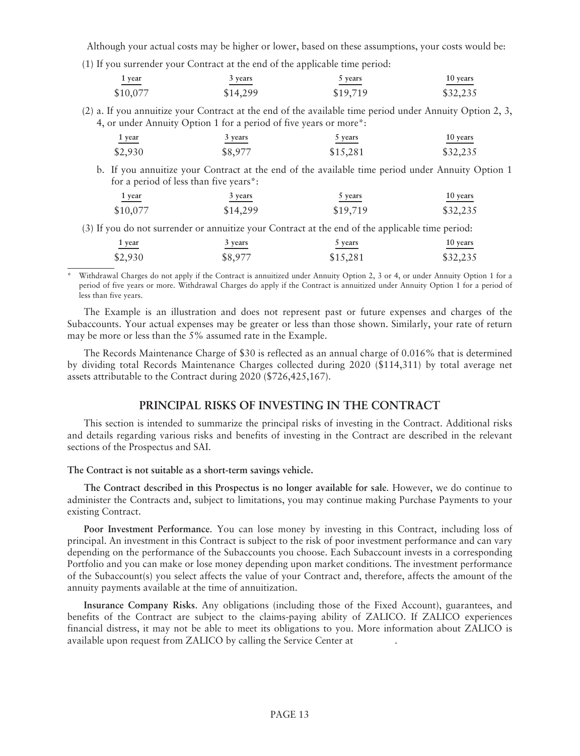Although your actual costs may be higher or lower, based on these assumptions, your costs would be:

(1) If you surrender your Contract at the end of the applicable time period:

| 1 year   | 3 years  | vears    | 10 years |
|----------|----------|----------|----------|
| \$10,077 | \$14,299 | \$19,719 | \$32,235 |

(2) a. If you annuitize your Contract at the end of the available time period under Annuity Option 2, 3, 4, or under Annuity Option 1 for a period of five years or more\*:

**1 year 3 years 5 years 10 years** \$2,930 \$8,977 \$15,281 \$32,235

b. If you annuitize your Contract at the end of the available time period under Annuity Option 1 for a period of less than five years\*:

| 1 year<br>_____ | 3 years  | 5 years  | 10 years |
|-----------------|----------|----------|----------|
| \$10,077        | \$14,299 | \$19,719 | \$32,235 |

(3) If you do not surrender or annuitize your Contract at the end of the applicable time period:

| vear<br>________ | 3 vears | 5 vears  | 10 years |
|------------------|---------|----------|----------|
| \$2,930          | \$8,977 | \$15,281 | \$32,235 |

Withdrawal Charges do not apply if the Contract is annuitized under Annuity Option 2, 3 or 4, or under Annuity Option 1 for a period of five years or more. Withdrawal Charges do apply if the Contract is annuitized under Annuity Option 1 for a period of less than five years.

The Example is an illustration and does not represent past or future expenses and charges of the Subaccounts. Your actual expenses may be greater or less than those shown. Similarly, your rate of return may be more or less than the 5% assumed rate in the Example.

The Records Maintenance Charge of \$30 is reflected as an annual charge of 0.016% that is determined by dividing total Records Maintenance Charges collected during 2020 (\$114,311) by total average net assets attributable to the Contract during 2020 (\$726,425,167).

# **PRINCIPAL RISKS OF INVESTING IN THE CONTRACT**

This section is intended to summarize the principal risks of investing in the Contract. Additional risks and details regarding various risks and benefits of investing in the Contract are described in the relevant sections of the Prospectus and SAI.

**The Contract is not suitable as a short-term savings vehicle.**

**The Contract described in this Prospectus is no longer available for sale**. However, we do continue to administer the Contracts and, subject to limitations, you may continue making Purchase Payments to your existing Contract.

**Poor Investment Performance**. You can lose money by investing in this Contract, including loss of principal. An investment in this Contract is subject to the risk of poor investment performance and can vary depending on the performance of the Subaccounts you choose. Each Subaccount invests in a corresponding Portfolio and you can make or lose money depending upon market conditions. The investment performance of the Subaccount(s) you select affects the value of your Contract and, therefore, affects the amount of the annuity payments available at the time of annuitization.

**Insurance Company Risks**. Any obligations (including those of the Fixed Account), guarantees, and benefits of the Contract are subject to the claims-paying ability of ZALICO. If ZALICO experiences financial distress, it may not be able to meet its obligations to you. More information about ZALICO is available upon request from ZALICO by calling the Service Center at .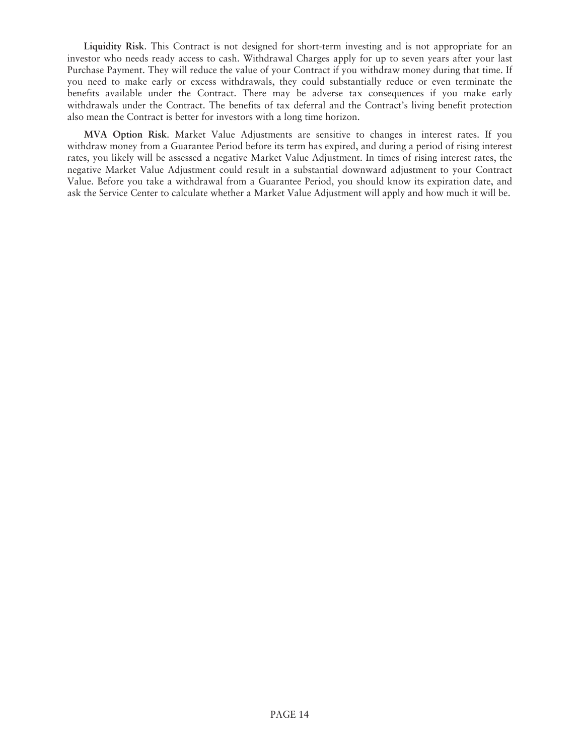**Liquidity Risk**. This Contract is not designed for short-term investing and is not appropriate for an investor who needs ready access to cash. Withdrawal Charges apply for up to seven years after your last Purchase Payment. They will reduce the value of your Contract if you withdraw money during that time. If you need to make early or excess withdrawals, they could substantially reduce or even terminate the benefits available under the Contract. There may be adverse tax consequences if you make early withdrawals under the Contract. The benefits of tax deferral and the Contract's living benefit protection also mean the Contract is better for investors with a long time horizon.

**MVA Option Risk**. Market Value Adjustments are sensitive to changes in interest rates. If you withdraw money from a Guarantee Period before its term has expired, and during a period of rising interest rates, you likely will be assessed a negative Market Value Adjustment. In times of rising interest rates, the negative Market Value Adjustment could result in a substantial downward adjustment to your Contract Value. Before you take a withdrawal from a Guarantee Period, you should know its expiration date, and ask the Service Center to calculate whether a Market Value Adjustment will apply and how much it will be.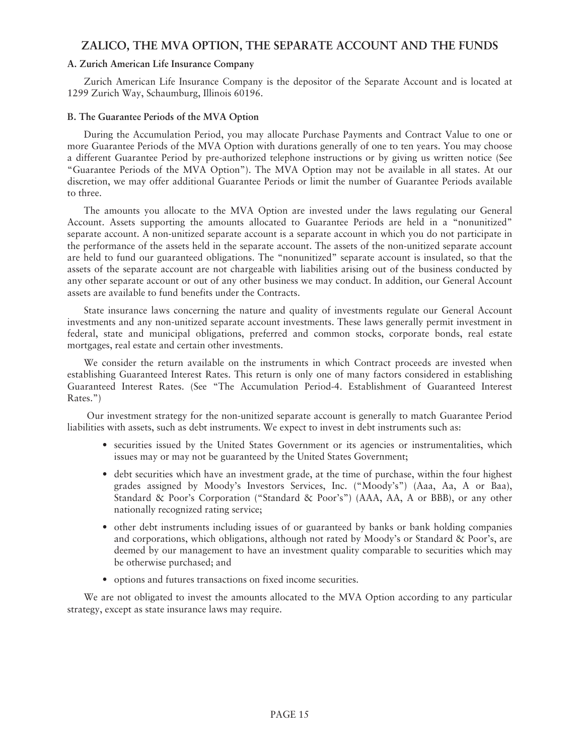# **ZALICO, THE MVA OPTION, THE SEPARATE ACCOUNT AND THE FUNDS**

### **A. Zurich American Life Insurance Company**

Zurich American Life Insurance Company is the depositor of the Separate Account and is located at 1299 Zurich Way, Schaumburg, Illinois 60196.

### **B. The Guarantee Periods of the MVA Option**

During the Accumulation Period, you may allocate Purchase Payments and Contract Value to one or more Guarantee Periods of the MVA Option with durations generally of one to ten years. You may choose a different Guarantee Period by pre-authorized telephone instructions or by giving us written notice (See "Guarantee Periods of the MVA Option"). The MVA Option may not be available in all states. At our discretion, we may offer additional Guarantee Periods or limit the number of Guarantee Periods available to three.

The amounts you allocate to the MVA Option are invested under the laws regulating our General Account. Assets supporting the amounts allocated to Guarantee Periods are held in a "nonunitized" separate account. A non-unitized separate account is a separate account in which you do not participate in the performance of the assets held in the separate account. The assets of the non-unitized separate account are held to fund our guaranteed obligations. The "nonunitized" separate account is insulated, so that the assets of the separate account are not chargeable with liabilities arising out of the business conducted by any other separate account or out of any other business we may conduct. In addition, our General Account assets are available to fund benefits under the Contracts.

State insurance laws concerning the nature and quality of investments regulate our General Account investments and any non-unitized separate account investments. These laws generally permit investment in federal, state and municipal obligations, preferred and common stocks, corporate bonds, real estate mortgages, real estate and certain other investments.

We consider the return available on the instruments in which Contract proceeds are invested when establishing Guaranteed Interest Rates. This return is only one of many factors considered in establishing Guaranteed Interest Rates. (See "The Accumulation Period-4. Establishment of Guaranteed Interest Rates.")

Our investment strategy for the non-unitized separate account is generally to match Guarantee Period liabilities with assets, such as debt instruments. We expect to invest in debt instruments such as:

- securities issued by the United States Government or its agencies or instrumentalities, which issues may or may not be guaranteed by the United States Government;
- debt securities which have an investment grade, at the time of purchase, within the four highest grades assigned by Moody's Investors Services, Inc. ("Moody's") (Aaa, Aa, A or Baa), Standard & Poor's Corporation ("Standard & Poor's") (AAA, AA, A or BBB), or any other nationally recognized rating service;
- other debt instruments including issues of or guaranteed by banks or bank holding companies and corporations, which obligations, although not rated by Moody's or Standard & Poor's, are deemed by our management to have an investment quality comparable to securities which may be otherwise purchased; and
- options and futures transactions on fixed income securities.

We are not obligated to invest the amounts allocated to the MVA Option according to any particular strategy, except as state insurance laws may require.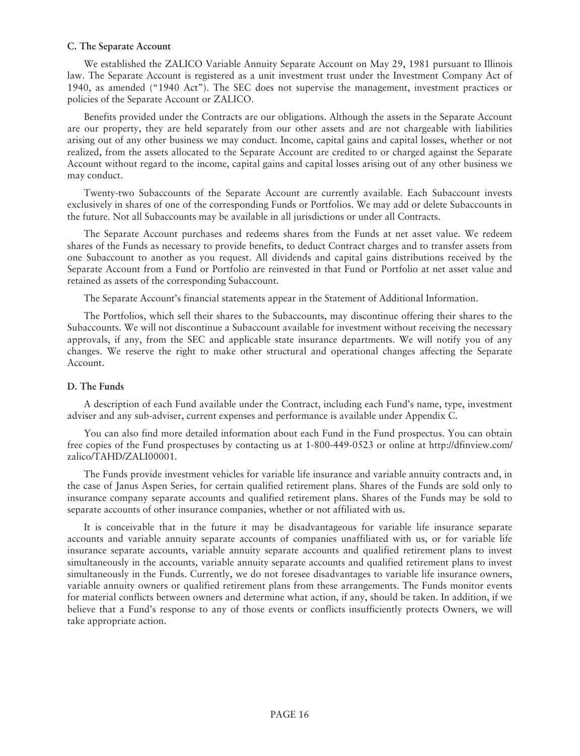### **C. The Separate Account**

We established the ZALICO Variable Annuity Separate Account on May 29, 1981 pursuant to Illinois law. The Separate Account is registered as a unit investment trust under the Investment Company Act of 1940, as amended ("1940 Act"). The SEC does not supervise the management, investment practices or policies of the Separate Account or ZALICO.

Benefits provided under the Contracts are our obligations. Although the assets in the Separate Account are our property, they are held separately from our other assets and are not chargeable with liabilities arising out of any other business we may conduct. Income, capital gains and capital losses, whether or not realized, from the assets allocated to the Separate Account are credited to or charged against the Separate Account without regard to the income, capital gains and capital losses arising out of any other business we may conduct.

Twenty-two Subaccounts of the Separate Account are currently available. Each Subaccount invests exclusively in shares of one of the corresponding Funds or Portfolios. We may add or delete Subaccounts in the future. Not all Subaccounts may be available in all jurisdictions or under all Contracts.

The Separate Account purchases and redeems shares from the Funds at net asset value. We redeem shares of the Funds as necessary to provide benefits, to deduct Contract charges and to transfer assets from one Subaccount to another as you request. All dividends and capital gains distributions received by the Separate Account from a Fund or Portfolio are reinvested in that Fund or Portfolio at net asset value and retained as assets of the corresponding Subaccount.

The Separate Account's financial statements appear in the Statement of Additional Information.

The Portfolios, which sell their shares to the Subaccounts, may discontinue offering their shares to the Subaccounts. We will not discontinue a Subaccount available for investment without receiving the necessary approvals, if any, from the SEC and applicable state insurance departments. We will notify you of any changes. We reserve the right to make other structural and operational changes affecting the Separate Account.

### **D. The Funds**

A description of each Fund available under the Contract, including each Fund's name, type, investment adviser and any sub-adviser, current expenses and performance is available under Appendix C.

You can also find more detailed information about each Fund in the Fund prospectus. You can obtain [free copies of the Fund prospectuses by contacting us at 1-800-449-0523 or online at http://dfinview.com/](http://dfinview.com/zalico/TAHD/ZALI00001) zalico/TAHD/ZALI00001.

The Funds provide investment vehicles for variable life insurance and variable annuity contracts and, in the case of Janus Aspen Series, for certain qualified retirement plans. Shares of the Funds are sold only to insurance company separate accounts and qualified retirement plans. Shares of the Funds may be sold to separate accounts of other insurance companies, whether or not affiliated with us.

It is conceivable that in the future it may be disadvantageous for variable life insurance separate accounts and variable annuity separate accounts of companies unaffiliated with us, or for variable life insurance separate accounts, variable annuity separate accounts and qualified retirement plans to invest simultaneously in the accounts, variable annuity separate accounts and qualified retirement plans to invest simultaneously in the Funds. Currently, we do not foresee disadvantages to variable life insurance owners, variable annuity owners or qualified retirement plans from these arrangements. The Funds monitor events for material conflicts between owners and determine what action, if any, should be taken. In addition, if we believe that a Fund's response to any of those events or conflicts insufficiently protects Owners, we will take appropriate action.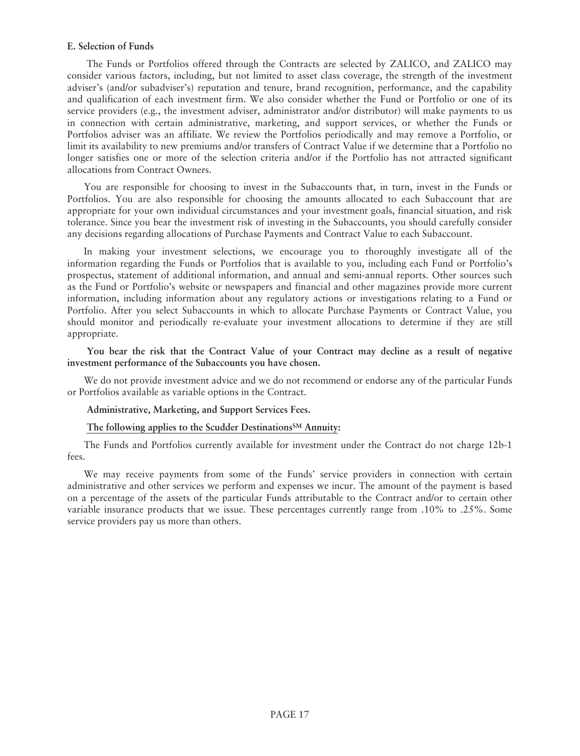### **E. Selection of Funds**

The Funds or Portfolios offered through the Contracts are selected by ZALICO, and ZALICO may consider various factors, including, but not limited to asset class coverage, the strength of the investment adviser's (and/or subadviser's) reputation and tenure, brand recognition, performance, and the capability and qualification of each investment firm. We also consider whether the Fund or Portfolio or one of its service providers (e.g., the investment adviser, administrator and/or distributor) will make payments to us in connection with certain administrative, marketing, and support services, or whether the Funds or Portfolios adviser was an affiliate. We review the Portfolios periodically and may remove a Portfolio, or limit its availability to new premiums and/or transfers of Contract Value if we determine that a Portfolio no longer satisfies one or more of the selection criteria and/or if the Portfolio has not attracted significant allocations from Contract Owners.

You are responsible for choosing to invest in the Subaccounts that, in turn, invest in the Funds or Portfolios. You are also responsible for choosing the amounts allocated to each Subaccount that are appropriate for your own individual circumstances and your investment goals, financial situation, and risk tolerance. Since you bear the investment risk of investing in the Subaccounts, you should carefully consider any decisions regarding allocations of Purchase Payments and Contract Value to each Subaccount.

In making your investment selections, we encourage you to thoroughly investigate all of the information regarding the Funds or Portfolios that is available to you, including each Fund or Portfolio's prospectus, statement of additional information, and annual and semi-annual reports. Other sources such as the Fund or Portfolio's website or newspapers and financial and other magazines provide more current information, including information about any regulatory actions or investigations relating to a Fund or Portfolio. After you select Subaccounts in which to allocate Purchase Payments or Contract Value, you should monitor and periodically re-evaluate your investment allocations to determine if they are still appropriate.

**You bear the risk that the Contract Value of your Contract may decline as a result of negative investment performance of the Subaccounts you have chosen.**

We do not provide investment advice and we do not recommend or endorse any of the particular Funds or Portfolios available as variable options in the Contract.

### **Administrative, Marketing, and Support Services Fees.**

### **The following applies to the Scudder DestinationsSM Annuity:**

The Funds and Portfolios currently available for investment under the Contract do not charge 12b-1 fees.

We may receive payments from some of the Funds' service providers in connection with certain administrative and other services we perform and expenses we incur. The amount of the payment is based on a percentage of the assets of the particular Funds attributable to the Contract and/or to certain other variable insurance products that we issue. These percentages currently range from .10% to .25%. Some service providers pay us more than others.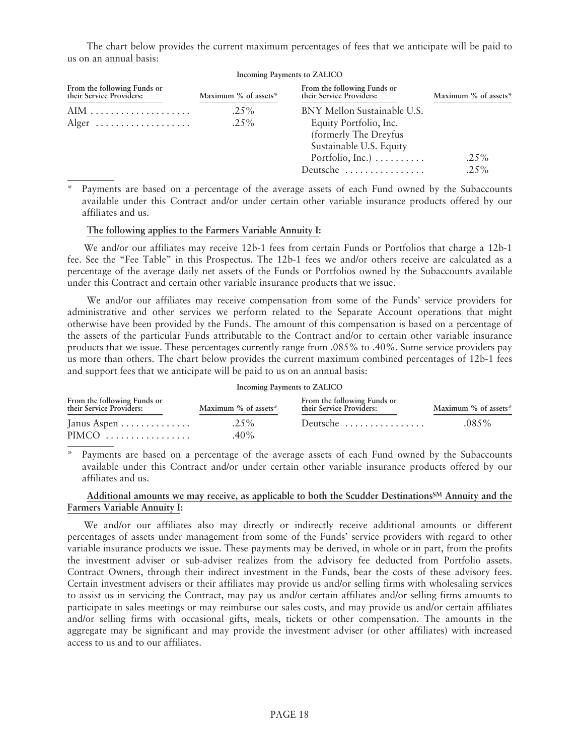The chart below provides the current maximum percentages of fees that we anticipate will be paid to us on an annual basis:

| Incoming Payments to ZALICO                             |                      |                                                                                                           |                      |
|---------------------------------------------------------|----------------------|-----------------------------------------------------------------------------------------------------------|----------------------|
| From the following Funds or<br>their Service Providers: | Maximum % of assets* | From the following Funds or<br>their Service Providers:                                                   | Maximum % of assets* |
| Alger $\dots\dots\dots\dots\dots\dots\dots$             | $.25\%$<br>$.25\%$   | BNY Mellon Sustainable U.S.<br>Equity Portfolio, Inc.<br>(formerly The Dreyfus<br>Sustainable U.S. Equity |                      |
|                                                         |                      | Portfolio, Inc.) $\dots \dots$                                                                            | $.25\%$              |
|                                                         |                      | Deutsche                                                                                                  | $.25\%$              |

Payments are based on a percentage of the average assets of each Fund owned by the Subaccounts available under this Contract and/or under certain other variable insurance products offered by our affiliates and us.

### **The following applies to the Farmers Variable Annuity I:**

We and/or our affiliates may receive 12b-1 fees from certain Funds or Portfolios that charge a 12b-1 fee. See the "Fee Table" in this Prospectus. The 12b-1 fees we and/or others receive are calculated as a percentage of the average daily net assets of the Funds or Portfolios owned by the Subaccounts available under this Contract and certain other variable insurance products that we issue.

We and/or our affiliates may receive compensation from some of the Funds' service providers for administrative and other services we perform related to the Separate Account operations that might otherwise have been provided by the Funds. The amount of this compensation is based on a percentage of the assets of the particular Funds attributable to the Contract and/or to certain other variable insurance products that we issue. These percentages currently range from .085% to .40%. Some service providers pay us more than others. The chart below provides the current maximum combined percentages of 12b-1 fees and support fees that we anticipate will be paid to us on an annual basis:

### **Incoming Payments to ZALICO**

| From the following Funds or<br>their Service Providers: | Maximum % of assets* | From the following Funds or<br>their Service Providers: | Maximum % of assets* |
|---------------------------------------------------------|----------------------|---------------------------------------------------------|----------------------|
| Janus Aspen $\dots \dots \dots \dots$                   | $.25\%$              | Deutsche                                                | $.085\%$             |
|                                                         | $40\%$               |                                                         |                      |

Payments are based on a percentage of the average assets of each Fund owned by the Subaccounts available under this Contract and/or under certain other variable insurance products offered by our affiliates and us.

### **Additional amounts we may receive, as applicable to both the Scudder DestinationsSM Annuity and the Farmers Variable Annuity I:**

We and/or our affiliates also may directly or indirectly receive additional amounts or different percentages of assets under management from some of the Funds' service providers with regard to other variable insurance products we issue. These payments may be derived, in whole or in part, from the profits the investment adviser or sub-adviser realizes from the advisory fee deducted from Portfolio assets. Contract Owners, through their indirect investment in the Funds, bear the costs of these advisory fees. Certain investment advisers or their affiliates may provide us and/or selling firms with wholesaling services to assist us in servicing the Contract, may pay us and/or certain affiliates and/or selling firms amounts to participate in sales meetings or may reimburse our sales costs, and may provide us and/or certain affiliates and/or selling firms with occasional gifts, meals, tickets or other compensation. The amounts in the aggregate may be significant and may provide the investment adviser (or other affiliates) with increased access to us and to our affiliates.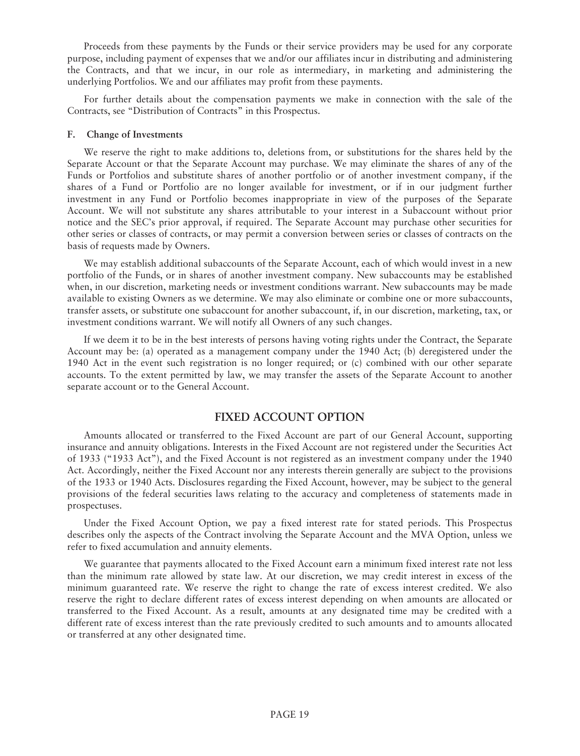Proceeds from these payments by the Funds or their service providers may be used for any corporate purpose, including payment of expenses that we and/or our affiliates incur in distributing and administering the Contracts, and that we incur, in our role as intermediary, in marketing and administering the underlying Portfolios. We and our affiliates may profit from these payments.

For further details about the compensation payments we make in connection with the sale of the Contracts, see "Distribution of Contracts" in this Prospectus.

#### **F. Change of Investments**

We reserve the right to make additions to, deletions from, or substitutions for the shares held by the Separate Account or that the Separate Account may purchase. We may eliminate the shares of any of the Funds or Portfolios and substitute shares of another portfolio or of another investment company, if the shares of a Fund or Portfolio are no longer available for investment, or if in our judgment further investment in any Fund or Portfolio becomes inappropriate in view of the purposes of the Separate Account. We will not substitute any shares attributable to your interest in a Subaccount without prior notice and the SEC's prior approval, if required. The Separate Account may purchase other securities for other series or classes of contracts, or may permit a conversion between series or classes of contracts on the basis of requests made by Owners.

We may establish additional subaccounts of the Separate Account, each of which would invest in a new portfolio of the Funds, or in shares of another investment company. New subaccounts may be established when, in our discretion, marketing needs or investment conditions warrant. New subaccounts may be made available to existing Owners as we determine. We may also eliminate or combine one or more subaccounts, transfer assets, or substitute one subaccount for another subaccount, if, in our discretion, marketing, tax, or investment conditions warrant. We will notify all Owners of any such changes.

If we deem it to be in the best interests of persons having voting rights under the Contract, the Separate Account may be: (a) operated as a management company under the 1940 Act; (b) deregistered under the 1940 Act in the event such registration is no longer required; or (c) combined with our other separate accounts. To the extent permitted by law, we may transfer the assets of the Separate Account to another separate account or to the General Account.

# **FIXED ACCOUNT OPTION**

Amounts allocated or transferred to the Fixed Account are part of our General Account, supporting insurance and annuity obligations. Interests in the Fixed Account are not registered under the Securities Act of 1933 ("1933 Act"), and the Fixed Account is not registered as an investment company under the 1940 Act. Accordingly, neither the Fixed Account nor any interests therein generally are subject to the provisions of the 1933 or 1940 Acts. Disclosures regarding the Fixed Account, however, may be subject to the general provisions of the federal securities laws relating to the accuracy and completeness of statements made in prospectuses.

Under the Fixed Account Option, we pay a fixed interest rate for stated periods. This Prospectus describes only the aspects of the Contract involving the Separate Account and the MVA Option, unless we refer to fixed accumulation and annuity elements.

We guarantee that payments allocated to the Fixed Account earn a minimum fixed interest rate not less than the minimum rate allowed by state law. At our discretion, we may credit interest in excess of the minimum guaranteed rate. We reserve the right to change the rate of excess interest credited. We also reserve the right to declare different rates of excess interest depending on when amounts are allocated or transferred to the Fixed Account. As a result, amounts at any designated time may be credited with a different rate of excess interest than the rate previously credited to such amounts and to amounts allocated or transferred at any other designated time.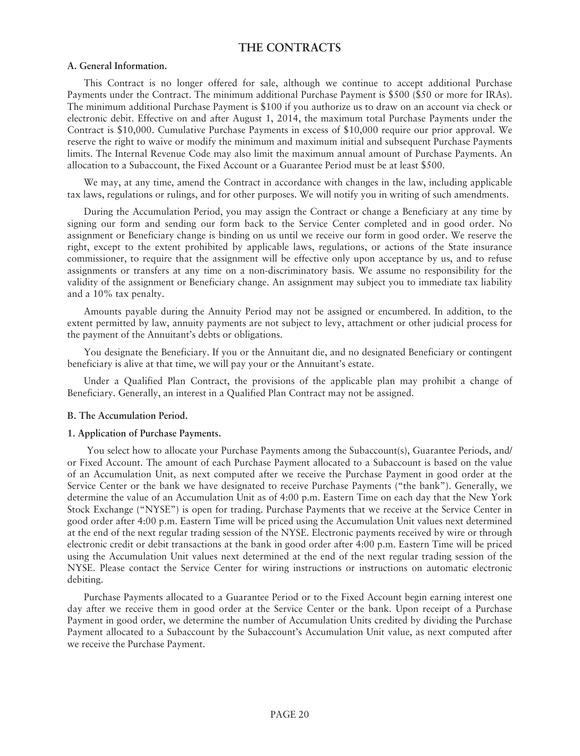# **THE CONTRACTS**

### **A. General Information.**

This Contract is no longer offered for sale, although we continue to accept additional Purchase Payments under the Contract. The minimum additional Purchase Payment is \$500 (\$50 or more for IRAs). The minimum additional Purchase Payment is \$100 if you authorize us to draw on an account via check or electronic debit. Effective on and after August 1, 2014, the maximum total Purchase Payments under the Contract is \$10,000. Cumulative Purchase Payments in excess of \$10,000 require our prior approval. We reserve the right to waive or modify the minimum and maximum initial and subsequent Purchase Payments limits. The Internal Revenue Code may also limit the maximum annual amount of Purchase Payments. An allocation to a Subaccount, the Fixed Account or a Guarantee Period must be at least \$500.

We may, at any time, amend the Contract in accordance with changes in the law, including applicable tax laws, regulations or rulings, and for other purposes. We will notify you in writing of such amendments.

During the Accumulation Period, you may assign the Contract or change a Beneficiary at any time by signing our form and sending our form back to the Service Center completed and in good order. No assignment or Beneficiary change is binding on us until we receive our form in good order. We reserve the right, except to the extent prohibited by applicable laws, regulations, or actions of the State insurance commissioner, to require that the assignment will be effective only upon acceptance by us, and to refuse assignments or transfers at any time on a non-discriminatory basis. We assume no responsibility for the validity of the assignment or Beneficiary change. An assignment may subject you to immediate tax liability and a 10% tax penalty.

Amounts payable during the Annuity Period may not be assigned or encumbered. In addition, to the extent permitted by law, annuity payments are not subject to levy, attachment or other judicial process for the payment of the Annuitant's debts or obligations.

You designate the Beneficiary. If you or the Annuitant die, and no designated Beneficiary or contingent beneficiary is alive at that time, we will pay your or the Annuitant's estate.

Under a Qualified Plan Contract, the provisions of the applicable plan may prohibit a change of Beneficiary. Generally, an interest in a Qualified Plan Contract may not be assigned.

### **B. The Accumulation Period.**

### **1. Application of Purchase Payments.**

You select how to allocate your Purchase Payments among the Subaccount(s), Guarantee Periods, and/ or Fixed Account. The amount of each Purchase Payment allocated to a Subaccount is based on the value of an Accumulation Unit, as next computed after we receive the Purchase Payment in good order at the Service Center or the bank we have designated to receive Purchase Payments ("the bank"). Generally, we determine the value of an Accumulation Unit as of 4:00 p.m. Eastern Time on each day that the New York Stock Exchange ("NYSE") is open for trading. Purchase Payments that we receive at the Service Center in good order after 4:00 p.m. Eastern Time will be priced using the Accumulation Unit values next determined at the end of the next regular trading session of the NYSE. Electronic payments received by wire or through electronic credit or debit transactions at the bank in good order after 4:00 p.m. Eastern Time will be priced using the Accumulation Unit values next determined at the end of the next regular trading session of the NYSE. Please contact the Service Center for wiring instructions or instructions on automatic electronic debiting.

Purchase Payments allocated to a Guarantee Period or to the Fixed Account begin earning interest one day after we receive them in good order at the Service Center or the bank. Upon receipt of a Purchase Payment in good order, we determine the number of Accumulation Units credited by dividing the Purchase Payment allocated to a Subaccount by the Subaccount's Accumulation Unit value, as next computed after we receive the Purchase Payment.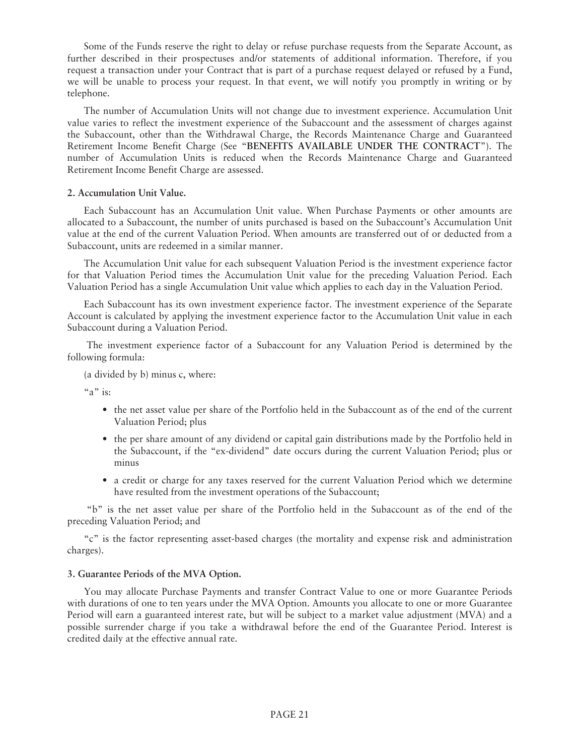Some of the Funds reserve the right to delay or refuse purchase requests from the Separate Account, as further described in their prospectuses and/or statements of additional information. Therefore, if you request a transaction under your Contract that is part of a purchase request delayed or refused by a Fund, we will be unable to process your request. In that event, we will notify you promptly in writing or by telephone.

The number of Accumulation Units will not change due to investment experience. Accumulation Unit value varies to reflect the investment experience of the Subaccount and the assessment of charges against the Subaccount, other than the Withdrawal Charge, the Records Maintenance Charge and Guaranteed Retirement Income Benefit Charge (See "**BENEFITS AVAILABLE UNDER THE CONTRACT**"). The number of Accumulation Units is reduced when the Records Maintenance Charge and Guaranteed Retirement Income Benefit Charge are assessed.

### **2. Accumulation Unit Value.**

Each Subaccount has an Accumulation Unit value. When Purchase Payments or other amounts are allocated to a Subaccount, the number of units purchased is based on the Subaccount's Accumulation Unit value at the end of the current Valuation Period. When amounts are transferred out of or deducted from a Subaccount, units are redeemed in a similar manner.

The Accumulation Unit value for each subsequent Valuation Period is the investment experience factor for that Valuation Period times the Accumulation Unit value for the preceding Valuation Period. Each Valuation Period has a single Accumulation Unit value which applies to each day in the Valuation Period.

Each Subaccount has its own investment experience factor. The investment experience of the Separate Account is calculated by applying the investment experience factor to the Accumulation Unit value in each Subaccount during a Valuation Period.

The investment experience factor of a Subaccount for any Valuation Period is determined by the following formula:

(a divided by b) minus c, where:

"a" is:

- the net asset value per share of the Portfolio held in the Subaccount as of the end of the current Valuation Period; plus
- the per share amount of any dividend or capital gain distributions made by the Portfolio held in the Subaccount, if the "ex-dividend" date occurs during the current Valuation Period; plus or minus
- a credit or charge for any taxes reserved for the current Valuation Period which we determine have resulted from the investment operations of the Subaccount;

"b" is the net asset value per share of the Portfolio held in the Subaccount as of the end of the preceding Valuation Period; and

"c" is the factor representing asset-based charges (the mortality and expense risk and administration charges).

#### **3. Guarantee Periods of the MVA Option.**

You may allocate Purchase Payments and transfer Contract Value to one or more Guarantee Periods with durations of one to ten years under the MVA Option. Amounts you allocate to one or more Guarantee Period will earn a guaranteed interest rate, but will be subject to a market value adjustment (MVA) and a possible surrender charge if you take a withdrawal before the end of the Guarantee Period. Interest is credited daily at the effective annual rate.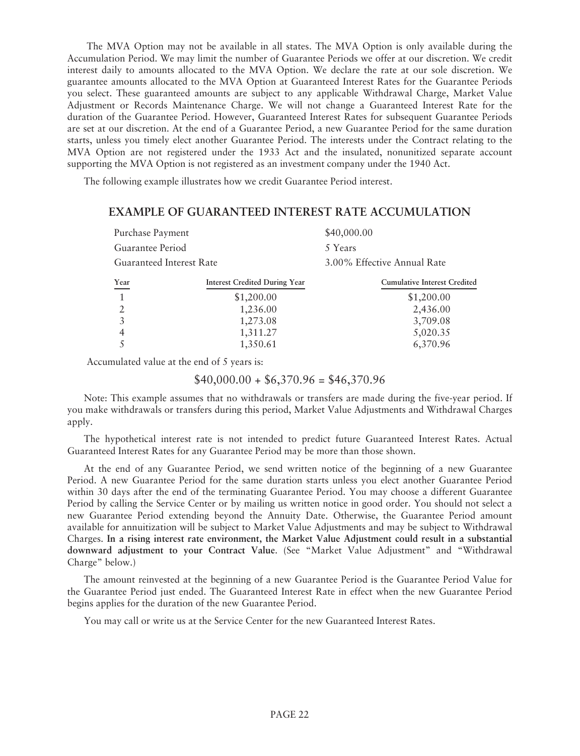The MVA Option may not be available in all states. The MVA Option is only available during the Accumulation Period. We may limit the number of Guarantee Periods we offer at our discretion. We credit interest daily to amounts allocated to the MVA Option. We declare the rate at our sole discretion. We guarantee amounts allocated to the MVA Option at Guaranteed Interest Rates for the Guarantee Periods you select. These guaranteed amounts are subject to any applicable Withdrawal Charge, Market Value Adjustment or Records Maintenance Charge. We will not change a Guaranteed Interest Rate for the duration of the Guarantee Period. However, Guaranteed Interest Rates for subsequent Guarantee Periods are set at our discretion. At the end of a Guarantee Period, a new Guarantee Period for the same duration starts, unless you timely elect another Guarantee Period. The interests under the Contract relating to the MVA Option are not registered under the 1933 Act and the insulated, nonunitized separate account supporting the MVA Option is not registered as an investment company under the 1940 Act.

The following example illustrates how we credit Guarantee Period interest.

# **EXAMPLE OF GUARANTEED INTEREST RATE ACCUMULATION**

| Purchase Payment         |                                      | \$40,000.00                         |
|--------------------------|--------------------------------------|-------------------------------------|
| Guarantee Period         |                                      | 5 Years                             |
| Guaranteed Interest Rate |                                      | 3.00% Effective Annual Rate         |
| Year                     | <b>Interest Credited During Year</b> | <b>Cumulative Interest Credited</b> |
| $\mathbf{1}$             | \$1,200.00                           | \$1,200.00                          |
| 2                        | 1,236.00                             | 2,436.00                            |
| 3                        | 1,273.08                             | 3,709.08                            |
| 4                        | 1,311.27                             | 5,020.35                            |
|                          | 1,350.61                             | 6,370.96                            |

Accumulated value at the end of 5 years is:

 $$40,000.00 + $6,370.96 = $46,370.96$ 

Note: This example assumes that no withdrawals or transfers are made during the five-year period. If you make withdrawals or transfers during this period, Market Value Adjustments and Withdrawal Charges apply.

The hypothetical interest rate is not intended to predict future Guaranteed Interest Rates. Actual Guaranteed Interest Rates for any Guarantee Period may be more than those shown.

At the end of any Guarantee Period, we send written notice of the beginning of a new Guarantee Period. A new Guarantee Period for the same duration starts unless you elect another Guarantee Period within 30 days after the end of the terminating Guarantee Period. You may choose a different Guarantee Period by calling the Service Center or by mailing us written notice in good order. You should not select a new Guarantee Period extending beyond the Annuity Date. Otherwise, the Guarantee Period amount available for annuitization will be subject to Market Value Adjustments and may be subject to Withdrawal Charges. **In a rising interest rate environment, the Market Value Adjustment could result in a substantial downward adjustment to your Contract Value**. (See "Market Value Adjustment" and "Withdrawal Charge" below.)

The amount reinvested at the beginning of a new Guarantee Period is the Guarantee Period Value for the Guarantee Period just ended. The Guaranteed Interest Rate in effect when the new Guarantee Period begins applies for the duration of the new Guarantee Period.

You may call or write us at the Service Center for the new Guaranteed Interest Rates.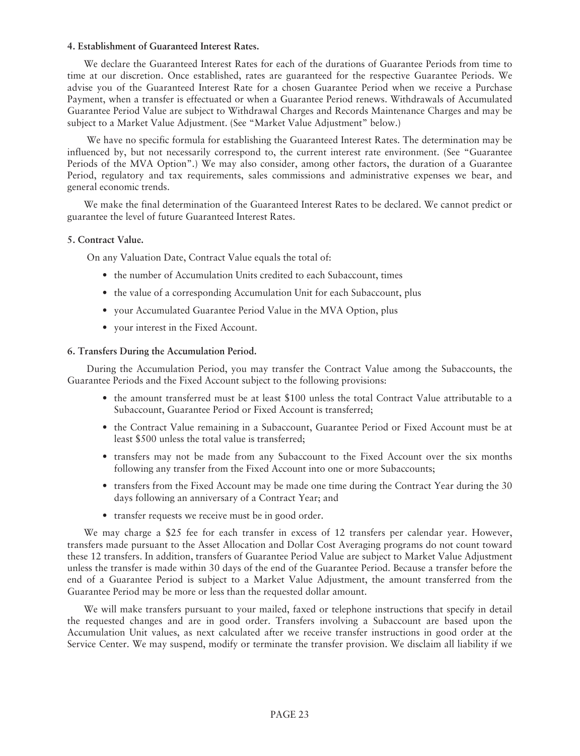# **4. Establishment of Guaranteed Interest Rates.**

We declare the Guaranteed Interest Rates for each of the durations of Guarantee Periods from time to time at our discretion. Once established, rates are guaranteed for the respective Guarantee Periods. We advise you of the Guaranteed Interest Rate for a chosen Guarantee Period when we receive a Purchase Payment, when a transfer is effectuated or when a Guarantee Period renews. Withdrawals of Accumulated Guarantee Period Value are subject to Withdrawal Charges and Records Maintenance Charges and may be subject to a Market Value Adjustment. (See "Market Value Adjustment" below.)

We have no specific formula for establishing the Guaranteed Interest Rates. The determination may be influenced by, but not necessarily correspond to, the current interest rate environment. (See "Guarantee Periods of the MVA Option".) We may also consider, among other factors, the duration of a Guarantee Period, regulatory and tax requirements, sales commissions and administrative expenses we bear, and general economic trends.

We make the final determination of the Guaranteed Interest Rates to be declared. We cannot predict or guarantee the level of future Guaranteed Interest Rates.

### **5. Contract Value.**

On any Valuation Date, Contract Value equals the total of:

- the number of Accumulation Units credited to each Subaccount, times
- the value of a corresponding Accumulation Unit for each Subaccount, plus
- your Accumulated Guarantee Period Value in the MVA Option, plus
- your interest in the Fixed Account.

### **6. Transfers During the Accumulation Period.**

During the Accumulation Period, you may transfer the Contract Value among the Subaccounts, the Guarantee Periods and the Fixed Account subject to the following provisions:

- the amount transferred must be at least \$100 unless the total Contract Value attributable to a Subaccount, Guarantee Period or Fixed Account is transferred;
- the Contract Value remaining in a Subaccount, Guarantee Period or Fixed Account must be at least \$500 unless the total value is transferred;
- transfers may not be made from any Subaccount to the Fixed Account over the six months following any transfer from the Fixed Account into one or more Subaccounts;
- transfers from the Fixed Account may be made one time during the Contract Year during the 30 days following an anniversary of a Contract Year; and
- transfer requests we receive must be in good order.

We may charge a \$25 fee for each transfer in excess of 12 transfers per calendar year. However, transfers made pursuant to the Asset Allocation and Dollar Cost Averaging programs do not count toward these 12 transfers. In addition, transfers of Guarantee Period Value are subject to Market Value Adjustment unless the transfer is made within 30 days of the end of the Guarantee Period. Because a transfer before the end of a Guarantee Period is subject to a Market Value Adjustment, the amount transferred from the Guarantee Period may be more or less than the requested dollar amount.

We will make transfers pursuant to your mailed, faxed or telephone instructions that specify in detail the requested changes and are in good order. Transfers involving a Subaccount are based upon the Accumulation Unit values, as next calculated after we receive transfer instructions in good order at the Service Center. We may suspend, modify or terminate the transfer provision. We disclaim all liability if we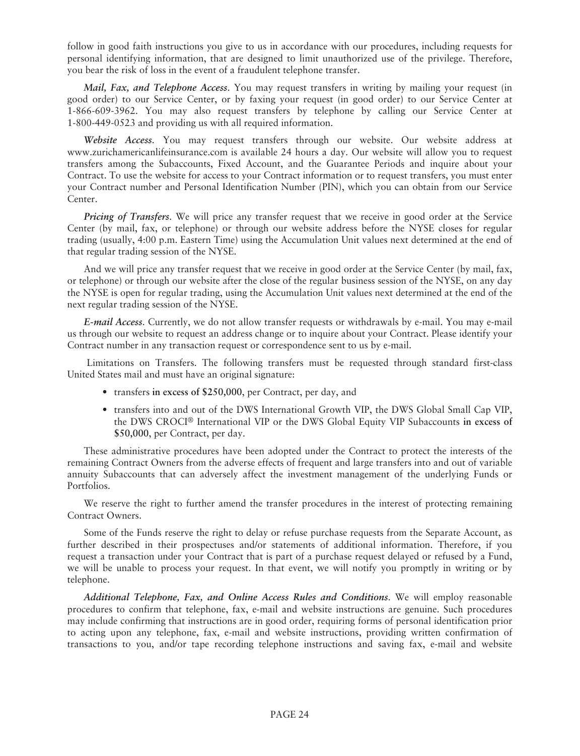follow in good faith instructions you give to us in accordance with our procedures, including requests for personal identifying information, that are designed to limit unauthorized use of the privilege. Therefore, you bear the risk of loss in the event of a fraudulent telephone transfer.

*Mail, Fax, and Telephone Access*. You may request transfers in writing by mailing your request (in good order) to our Service Center, or by faxing your request (in good order) to our Service Center at 1-866-609-3962. You may also request transfers by telephone by calling our Service Center at 1-800-449-0523 and providing us with all required information.

*Website Access*. You may request transfers through our website. Our website address at www.zurichamericanlifeinsurance.com is available 24 hours a day. Our website will allow you to request transfers among the Subaccounts, Fixed Account, and the Guarantee Periods and inquire about your Contract. To use the website for access to your Contract information or to request transfers, you must enter your Contract number and Personal Identification Number (PIN), which you can obtain from our Service Center.

*Pricing of Transfers*. We will price any transfer request that we receive in good order at the Service Center (by mail, fax, or telephone) or through our website address before the NYSE closes for regular trading (usually, 4:00 p.m. Eastern Time) using the Accumulation Unit values next determined at the end of that regular trading session of the NYSE.

And we will price any transfer request that we receive in good order at the Service Center (by mail, fax, or telephone) or through our website after the close of the regular business session of the NYSE, on any day the NYSE is open for regular trading, using the Accumulation Unit values next determined at the end of the next regular trading session of the NYSE.

*E-mail Access*. Currently, we do not allow transfer requests or withdrawals by e-mail. You may e-mail us through our website to request an address change or to inquire about your Contract. Please identify your Contract number in any transaction request or correspondence sent to us by e-mail.

Limitations on Transfers. The following transfers must be requested through standard first-class United States mail and must have an original signature:

- transfers **in excess of \$250,000**, per Contract, per day, and
- transfers into and out of the DWS International Growth VIP, the DWS Global Small Cap VIP, the DWS CROCI® International VIP or the DWS Global Equity VIP Subaccounts **in excess of \$50,000**, per Contract, per day.

These administrative procedures have been adopted under the Contract to protect the interests of the remaining Contract Owners from the adverse effects of frequent and large transfers into and out of variable annuity Subaccounts that can adversely affect the investment management of the underlying Funds or Portfolios.

We reserve the right to further amend the transfer procedures in the interest of protecting remaining Contract Owners.

Some of the Funds reserve the right to delay or refuse purchase requests from the Separate Account, as further described in their prospectuses and/or statements of additional information. Therefore, if you request a transaction under your Contract that is part of a purchase request delayed or refused by a Fund, we will be unable to process your request. In that event, we will notify you promptly in writing or by telephone.

*Additional Telephone, Fax, and Online Access Rules and Conditions*. We will employ reasonable procedures to confirm that telephone, fax, e-mail and website instructions are genuine. Such procedures may include confirming that instructions are in good order, requiring forms of personal identification prior to acting upon any telephone, fax, e-mail and website instructions, providing written confirmation of transactions to you, and/or tape recording telephone instructions and saving fax, e-mail and website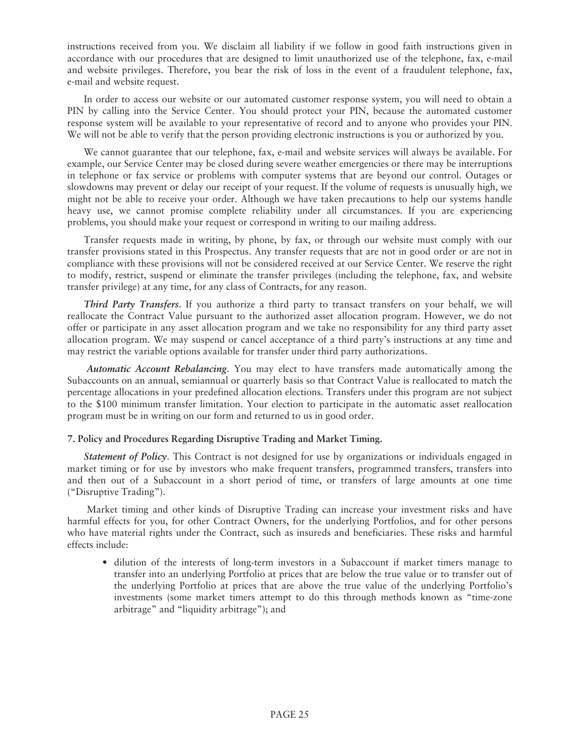instructions received from you. We disclaim all liability if we follow in good faith instructions given in accordance with our procedures that are designed to limit unauthorized use of the telephone, fax, e-mail and website privileges. Therefore, you bear the risk of loss in the event of a fraudulent telephone, fax, e-mail and website request.

In order to access our website or our automated customer response system, you will need to obtain a PIN by calling into the Service Center. You should protect your PIN, because the automated customer response system will be available to your representative of record and to anyone who provides your PIN. We will not be able to verify that the person providing electronic instructions is you or authorized by you.

We cannot guarantee that our telephone, fax, e-mail and website services will always be available. For example, our Service Center may be closed during severe weather emergencies or there may be interruptions in telephone or fax service or problems with computer systems that are beyond our control. Outages or slowdowns may prevent or delay our receipt of your request. If the volume of requests is unusually high, we might not be able to receive your order. Although we have taken precautions to help our systems handle heavy use, we cannot promise complete reliability under all circumstances. If you are experiencing problems, you should make your request or correspond in writing to our mailing address.

Transfer requests made in writing, by phone, by fax, or through our website must comply with our transfer provisions stated in this Prospectus. Any transfer requests that are not in good order or are not in compliance with these provisions will not be considered received at our Service Center. We reserve the right to modify, restrict, suspend or eliminate the transfer privileges (including the telephone, fax, and website transfer privilege) at any time, for any class of Contracts, for any reason.

*Third Party Transfers*. If you authorize a third party to transact transfers on your behalf, we will reallocate the Contract Value pursuant to the authorized asset allocation program. However, we do not offer or participate in any asset allocation program and we take no responsibility for any third party asset allocation program. We may suspend or cancel acceptance of a third party's instructions at any time and may restrict the variable options available for transfer under third party authorizations.

*Automatic Account Rebalancing*. You may elect to have transfers made automatically among the Subaccounts on an annual, semiannual or quarterly basis so that Contract Value is reallocated to match the percentage allocations in your predefined allocation elections. Transfers under this program are not subject to the \$100 minimum transfer limitation. Your election to participate in the automatic asset reallocation program must be in writing on our form and returned to us in good order.

### **7. Policy and Procedures Regarding Disruptive Trading and Market Timing.**

*Statement of Policy*. This Contract is not designed for use by organizations or individuals engaged in market timing or for use by investors who make frequent transfers, programmed transfers, transfers into and then out of a Subaccount in a short period of time, or transfers of large amounts at one time ("Disruptive Trading").

Market timing and other kinds of Disruptive Trading can increase your investment risks and have harmful effects for you, for other Contract Owners, for the underlying Portfolios, and for other persons who have material rights under the Contract, such as insureds and beneficiaries. These risks and harmful effects include:

• dilution of the interests of long-term investors in a Subaccount if market timers manage to transfer into an underlying Portfolio at prices that are below the true value or to transfer out of the underlying Portfolio at prices that are above the true value of the underlying Portfolio's investments (some market timers attempt to do this through methods known as "time-zone arbitrage" and "liquidity arbitrage"); and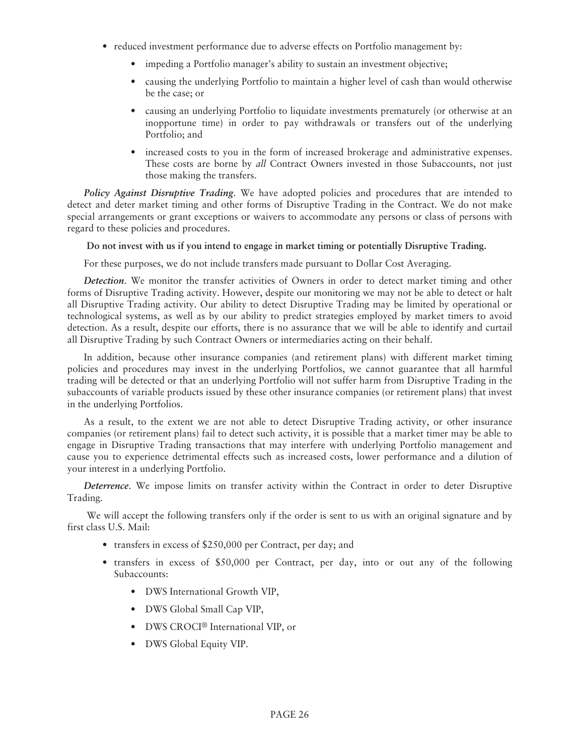- reduced investment performance due to adverse effects on Portfolio management by:
	- impeding a Portfolio manager's ability to sustain an investment objective;
	- causing the underlying Portfolio to maintain a higher level of cash than would otherwise be the case; or
	- causing an underlying Portfolio to liquidate investments prematurely (or otherwise at an inopportune time) in order to pay withdrawals or transfers out of the underlying Portfolio; and
	- increased costs to you in the form of increased brokerage and administrative expenses. These costs are borne by *all* Contract Owners invested in those Subaccounts, not just those making the transfers.

*Policy Against Disruptive Trading*. We have adopted policies and procedures that are intended to detect and deter market timing and other forms of Disruptive Trading in the Contract. We do not make special arrangements or grant exceptions or waivers to accommodate any persons or class of persons with regard to these policies and procedures.

**Do not invest with us if you intend to engage in market timing or potentially Disruptive Trading.**

For these purposes, we do not include transfers made pursuant to Dollar Cost Averaging.

*Detection*. We monitor the transfer activities of Owners in order to detect market timing and other forms of Disruptive Trading activity. However, despite our monitoring we may not be able to detect or halt all Disruptive Trading activity. Our ability to detect Disruptive Trading may be limited by operational or technological systems, as well as by our ability to predict strategies employed by market timers to avoid detection. As a result, despite our efforts, there is no assurance that we will be able to identify and curtail all Disruptive Trading by such Contract Owners or intermediaries acting on their behalf.

In addition, because other insurance companies (and retirement plans) with different market timing policies and procedures may invest in the underlying Portfolios, we cannot guarantee that all harmful trading will be detected or that an underlying Portfolio will not suffer harm from Disruptive Trading in the subaccounts of variable products issued by these other insurance companies (or retirement plans) that invest in the underlying Portfolios.

As a result, to the extent we are not able to detect Disruptive Trading activity, or other insurance companies (or retirement plans) fail to detect such activity, it is possible that a market timer may be able to engage in Disruptive Trading transactions that may interfere with underlying Portfolio management and cause you to experience detrimental effects such as increased costs, lower performance and a dilution of your interest in a underlying Portfolio.

*Deterrence*. We impose limits on transfer activity within the Contract in order to deter Disruptive Trading.

We will accept the following transfers only if the order is sent to us with an original signature and by first class U.S. Mail:

- transfers in excess of \$250,000 per Contract, per day; and
- transfers in excess of \$50,000 per Contract, per day, into or out any of the following Subaccounts:
	- DWS International Growth VIP,
	- DWS Global Small Cap VIP,
	- DWS CROCI® International VIP, or
	- DWS Global Equity VIP.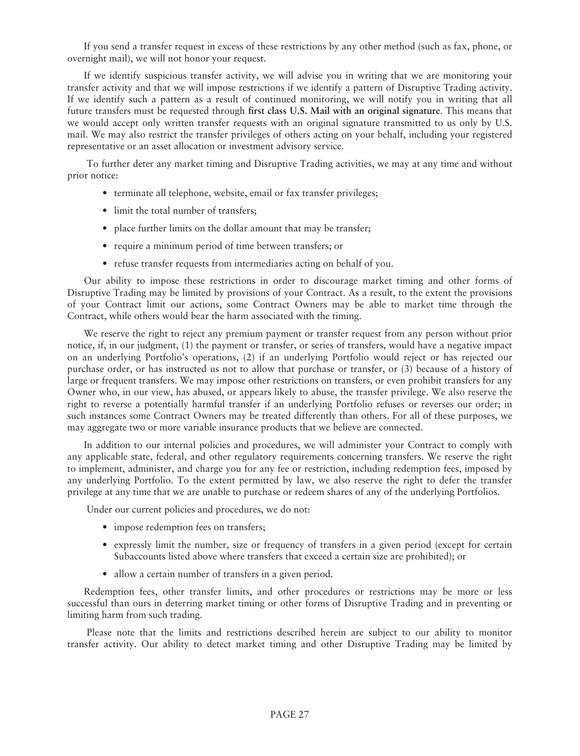If you send a transfer request in excess of these restrictions by any other method (such as fax, phone, or overnight mail), we will not honor your request.

If we identify suspicious transfer activity, we will advise you in writing that we are monitoring your transfer activity and that we will impose restrictions if we identify a pattern of Disruptive Trading activity. If we identify such a pattern as a result of continued monitoring, we will notify you in writing that all future transfers must be requested through **first class U.S. Mail with an original signature**. This means that we would accept only written transfer requests with an original signature transmitted to us only by U.S. mail. We may also restrict the transfer privileges of others acting on your behalf, including your registered representative or an asset allocation or investment advisory service.

To further deter any market timing and Disruptive Trading activities, we may at any time and without prior notice:

- terminate all telephone, website, email or fax transfer privileges;
- limit the total number of transfers;
- place further limits on the dollar amount that may be transfer;
- require a minimum period of time between transfers; or
- refuse transfer requests from intermediaries acting on behalf of you.

Our ability to impose these restrictions in order to discourage market timing and other forms of Disruptive Trading may be limited by provisions of your Contract. As a result, to the extent the provisions of your Contract limit our actions, some Contract Owners may be able to market time through the Contract, while others would bear the harm associated with the timing.

We reserve the right to reject any premium payment or transfer request from any person without prior notice, if, in our judgment, (1) the payment or transfer, or series of transfers, would have a negative impact on an underlying Portfolio's operations, (2) if an underlying Portfolio would reject or has rejected our purchase order, or has instructed us not to allow that purchase or transfer, or (3) because of a history of large or frequent transfers. We may impose other restrictions on transfers, or even prohibit transfers for any Owner who, in our view, has abused, or appears likely to abuse, the transfer privilege. We also reserve the right to reverse a potentially harmful transfer if an underlying Portfolio refuses or reverses our order; in such instances some Contract Owners may be treated differently than others. For all of these purposes, we may aggregate two or more variable insurance products that we believe are connected.

In addition to our internal policies and procedures, we will administer your Contract to comply with any applicable state, federal, and other regulatory requirements concerning transfers. We reserve the right to implement, administer, and charge you for any fee or restriction, including redemption fees, imposed by any underlying Portfolio. To the extent permitted by law, we also reserve the right to defer the transfer privilege at any time that we are unable to purchase or redeem shares of any of the underlying Portfolios.

Under our current policies and procedures, we do not:

- impose redemption fees on transfers;
- expressly limit the number, size or frequency of transfers in a given period (except for certain Subaccounts listed above where transfers that exceed a certain size are prohibited); or
- allow a certain number of transfers in a given period.

Redemption fees, other transfer limits, and other procedures or restrictions may be more or less successful than ours in deterring market timing or other forms of Disruptive Trading and in preventing or limiting harm from such trading.

Please note that the limits and restrictions described herein are subject to our ability to monitor transfer activity. Our ability to detect market timing and other Disruptive Trading may be limited by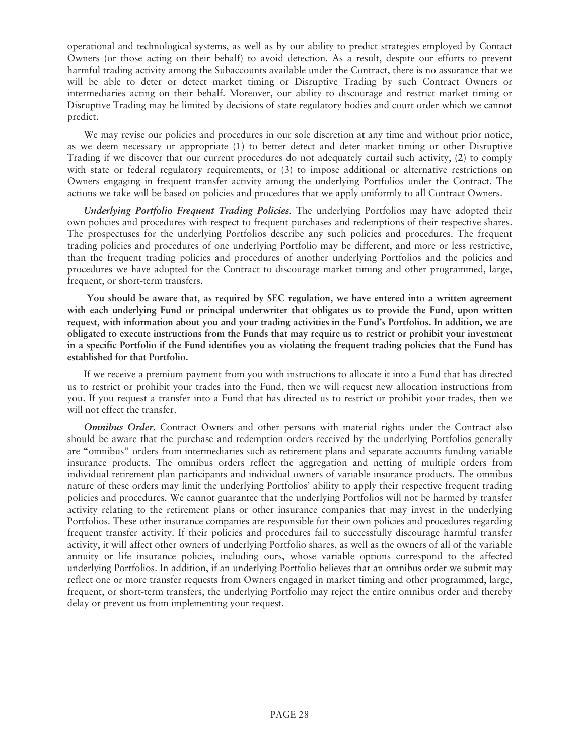operational and technological systems, as well as by our ability to predict strategies employed by Contact Owners (or those acting on their behalf) to avoid detection. As a result, despite our efforts to prevent harmful trading activity among the Subaccounts available under the Contract, there is no assurance that we will be able to deter or detect market timing or Disruptive Trading by such Contract Owners or intermediaries acting on their behalf. Moreover, our ability to discourage and restrict market timing or Disruptive Trading may be limited by decisions of state regulatory bodies and court order which we cannot predict.

We may revise our policies and procedures in our sole discretion at any time and without prior notice, as we deem necessary or appropriate (1) to better detect and deter market timing or other Disruptive Trading if we discover that our current procedures do not adequately curtail such activity, (2) to comply with state or federal regulatory requirements, or (3) to impose additional or alternative restrictions on Owners engaging in frequent transfer activity among the underlying Portfolios under the Contract. The actions we take will be based on policies and procedures that we apply uniformly to all Contract Owners.

*Underlying Portfolio Frequent Trading Policies*. The underlying Portfolios may have adopted their own policies and procedures with respect to frequent purchases and redemptions of their respective shares. The prospectuses for the underlying Portfolios describe any such policies and procedures. The frequent trading policies and procedures of one underlying Portfolio may be different, and more or less restrictive, than the frequent trading policies and procedures of another underlying Portfolios and the policies and procedures we have adopted for the Contract to discourage market timing and other programmed, large, frequent, or short-term transfers.

**You should be aware that, as required by SEC regulation, we have entered into a written agreement with each underlying Fund or principal underwriter that obligates us to provide the Fund, upon written request, with information about you and your trading activities in the Fund's Portfolios. In addition, we are obligated to execute instructions from the Funds that may require us to restrict or prohibit your investment in a specific Portfolio if the Fund identifies you as violating the frequent trading policies that the Fund has established for that Portfolio.**

If we receive a premium payment from you with instructions to allocate it into a Fund that has directed us to restrict or prohibit your trades into the Fund, then we will request new allocation instructions from you. If you request a transfer into a Fund that has directed us to restrict or prohibit your trades, then we will not effect the transfer.

*Omnibus Order*. Contract Owners and other persons with material rights under the Contract also should be aware that the purchase and redemption orders received by the underlying Portfolios generally are "omnibus" orders from intermediaries such as retirement plans and separate accounts funding variable insurance products. The omnibus orders reflect the aggregation and netting of multiple orders from individual retirement plan participants and individual owners of variable insurance products. The omnibus nature of these orders may limit the underlying Portfolios' ability to apply their respective frequent trading policies and procedures. We cannot guarantee that the underlying Portfolios will not be harmed by transfer activity relating to the retirement plans or other insurance companies that may invest in the underlying Portfolios. These other insurance companies are responsible for their own policies and procedures regarding frequent transfer activity. If their policies and procedures fail to successfully discourage harmful transfer activity, it will affect other owners of underlying Portfolio shares, as well as the owners of all of the variable annuity or life insurance policies, including ours, whose variable options correspond to the affected underlying Portfolios. In addition, if an underlying Portfolio believes that an omnibus order we submit may reflect one or more transfer requests from Owners engaged in market timing and other programmed, large, frequent, or short-term transfers, the underlying Portfolio may reject the entire omnibus order and thereby delay or prevent us from implementing your request.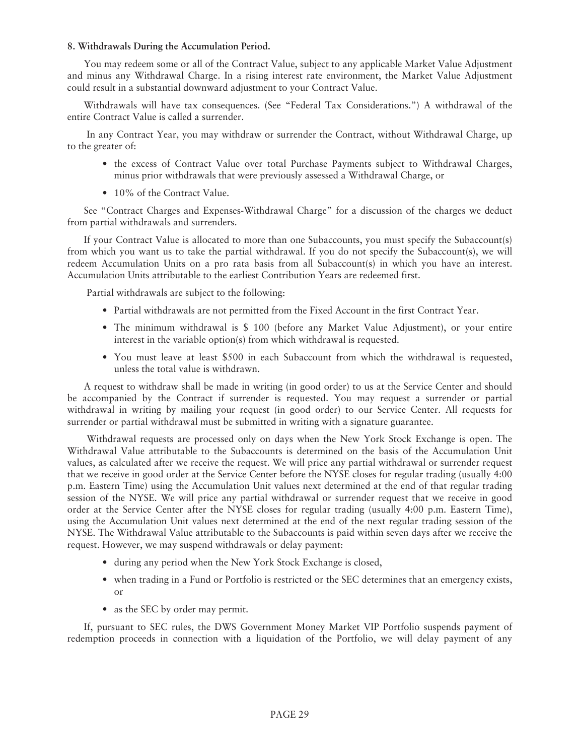### **8. Withdrawals During the Accumulation Period.**

You may redeem some or all of the Contract Value, subject to any applicable Market Value Adjustment and minus any Withdrawal Charge. In a rising interest rate environment, the Market Value Adjustment could result in a substantial downward adjustment to your Contract Value.

Withdrawals will have tax consequences. (See "Federal Tax Considerations.") A withdrawal of the entire Contract Value is called a surrender.

In any Contract Year, you may withdraw or surrender the Contract, without Withdrawal Charge, up to the greater of:

- the excess of Contract Value over total Purchase Payments subject to Withdrawal Charges, minus prior withdrawals that were previously assessed a Withdrawal Charge, or
- 10% of the Contract Value.

See "Contract Charges and Expenses-Withdrawal Charge" for a discussion of the charges we deduct from partial withdrawals and surrenders.

If your Contract Value is allocated to more than one Subaccounts, you must specify the Subaccount(s) from which you want us to take the partial withdrawal. If you do not specify the Subaccount(s), we will redeem Accumulation Units on a pro rata basis from all Subaccount(s) in which you have an interest. Accumulation Units attributable to the earliest Contribution Years are redeemed first.

Partial withdrawals are subject to the following:

- Partial withdrawals are not permitted from the Fixed Account in the first Contract Year.
- The minimum withdrawal is \$ 100 (before any Market Value Adjustment), or your entire interest in the variable option(s) from which withdrawal is requested.
- You must leave at least \$500 in each Subaccount from which the withdrawal is requested, unless the total value is withdrawn.

A request to withdraw shall be made in writing (in good order) to us at the Service Center and should be accompanied by the Contract if surrender is requested. You may request a surrender or partial withdrawal in writing by mailing your request (in good order) to our Service Center. All requests for surrender or partial withdrawal must be submitted in writing with a signature guarantee.

Withdrawal requests are processed only on days when the New York Stock Exchange is open. The Withdrawal Value attributable to the Subaccounts is determined on the basis of the Accumulation Unit values, as calculated after we receive the request. We will price any partial withdrawal or surrender request that we receive in good order at the Service Center before the NYSE closes for regular trading (usually 4:00 p.m. Eastern Time) using the Accumulation Unit values next determined at the end of that regular trading session of the NYSE. We will price any partial withdrawal or surrender request that we receive in good order at the Service Center after the NYSE closes for regular trading (usually 4:00 p.m. Eastern Time), using the Accumulation Unit values next determined at the end of the next regular trading session of the NYSE. The Withdrawal Value attributable to the Subaccounts is paid within seven days after we receive the request. However, we may suspend withdrawals or delay payment:

- during any period when the New York Stock Exchange is closed,
- when trading in a Fund or Portfolio is restricted or the SEC determines that an emergency exists, or
- as the SEC by order may permit.

If, pursuant to SEC rules, the DWS Government Money Market VIP Portfolio suspends payment of redemption proceeds in connection with a liquidation of the Portfolio, we will delay payment of any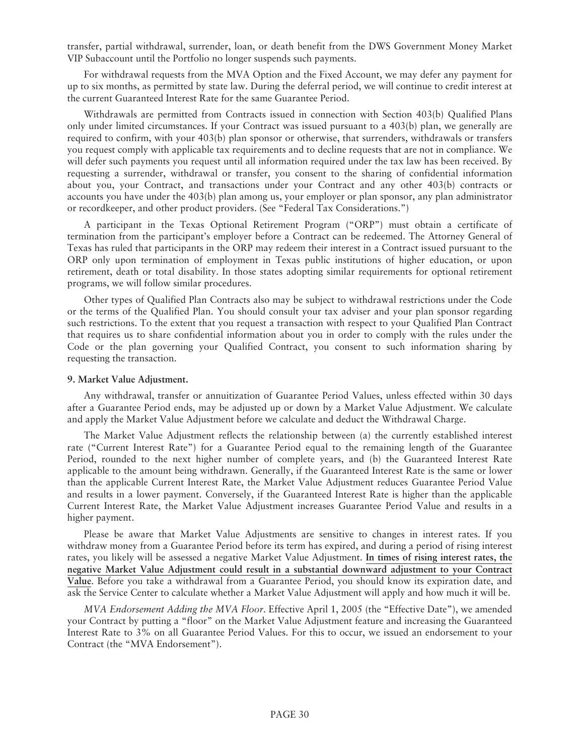transfer, partial withdrawal, surrender, loan, or death benefit from the DWS Government Money Market VIP Subaccount until the Portfolio no longer suspends such payments.

For withdrawal requests from the MVA Option and the Fixed Account, we may defer any payment for up to six months, as permitted by state law. During the deferral period, we will continue to credit interest at the current Guaranteed Interest Rate for the same Guarantee Period.

Withdrawals are permitted from Contracts issued in connection with Section 403(b) Qualified Plans only under limited circumstances. If your Contract was issued pursuant to a 403(b) plan, we generally are required to confirm, with your 403(b) plan sponsor or otherwise, that surrenders, withdrawals or transfers you request comply with applicable tax requirements and to decline requests that are not in compliance. We will defer such payments you request until all information required under the tax law has been received. By requesting a surrender, withdrawal or transfer, you consent to the sharing of confidential information about you, your Contract, and transactions under your Contract and any other 403(b) contracts or accounts you have under the 403(b) plan among us, your employer or plan sponsor, any plan administrator or recordkeeper, and other product providers. (See "Federal Tax Considerations.")

A participant in the Texas Optional Retirement Program ("ORP") must obtain a certificate of termination from the participant's employer before a Contract can be redeemed. The Attorney General of Texas has ruled that participants in the ORP may redeem their interest in a Contract issued pursuant to the ORP only upon termination of employment in Texas public institutions of higher education, or upon retirement, death or total disability. In those states adopting similar requirements for optional retirement programs, we will follow similar procedures.

Other types of Qualified Plan Contracts also may be subject to withdrawal restrictions under the Code or the terms of the Qualified Plan. You should consult your tax adviser and your plan sponsor regarding such restrictions. To the extent that you request a transaction with respect to your Qualified Plan Contract that requires us to share confidential information about you in order to comply with the rules under the Code or the plan governing your Qualified Contract, you consent to such information sharing by requesting the transaction.

### **9. Market Value Adjustment.**

Any withdrawal, transfer or annuitization of Guarantee Period Values, unless effected within 30 days after a Guarantee Period ends, may be adjusted up or down by a Market Value Adjustment. We calculate and apply the Market Value Adjustment before we calculate and deduct the Withdrawal Charge.

The Market Value Adjustment reflects the relationship between (a) the currently established interest rate ("Current Interest Rate") for a Guarantee Period equal to the remaining length of the Guarantee Period, rounded to the next higher number of complete years, and (b) the Guaranteed Interest Rate applicable to the amount being withdrawn. Generally, if the Guaranteed Interest Rate is the same or lower than the applicable Current Interest Rate, the Market Value Adjustment reduces Guarantee Period Value and results in a lower payment. Conversely, if the Guaranteed Interest Rate is higher than the applicable Current Interest Rate, the Market Value Adjustment increases Guarantee Period Value and results in a higher payment.

Please be aware that Market Value Adjustments are sensitive to changes in interest rates. If you withdraw money from a Guarantee Period before its term has expired, and during a period of rising interest rates, you likely will be assessed a negative Market Value Adjustment. **In times of rising interest rates, the negative Market Value Adjustment could result in a substantial downward adjustment to your Contract Value**. Before you take a withdrawal from a Guarantee Period, you should know its expiration date, and ask the Service Center to calculate whether a Market Value Adjustment will apply and how much it will be.

*MVA Endorsement Adding the MVA Floor*. Effective April 1, 2005 (the "Effective Date"), we amended your Contract by putting a "floor" on the Market Value Adjustment feature and increasing the Guaranteed Interest Rate to 3% on all Guarantee Period Values. For this to occur, we issued an endorsement to your Contract (the "MVA Endorsement").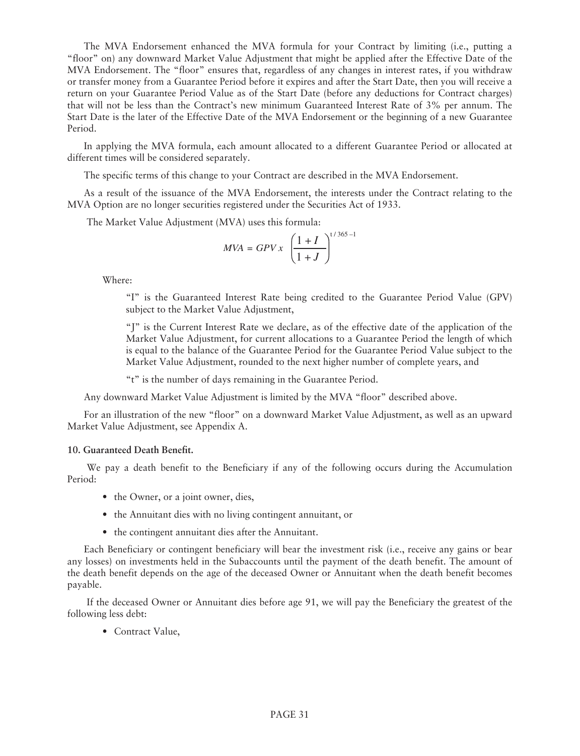The MVA Endorsement enhanced the MVA formula for your Contract by limiting (i.e., putting a "floor" on) any downward Market Value Adjustment that might be applied after the Effective Date of the MVA Endorsement. The "floor" ensures that, regardless of any changes in interest rates, if you withdraw or transfer money from a Guarantee Period before it expires and after the Start Date, then you will receive a return on your Guarantee Period Value as of the Start Date (before any deductions for Contract charges) that will not be less than the Contract's new minimum Guaranteed Interest Rate of 3% per annum. The Start Date is the later of the Effective Date of the MVA Endorsement or the beginning of a new Guarantee Period.

In applying the MVA formula, each amount allocated to a different Guarantee Period or allocated at different times will be considered separately.

The specific terms of this change to your Contract are described in the MVA Endorsement.

As a result of the issuance of the MVA Endorsement, the interests under the Contract relating to the MVA Option are no longer securities registered under the Securities Act of 1933.

The Market Value Adjustment (MVA) uses this formula:

$$
MVA = GPV x \left(\frac{1+I}{1+J}\right)^{t/365-1}
$$

Where:

"I" is the Guaranteed Interest Rate being credited to the Guarantee Period Value (GPV) subject to the Market Value Adjustment,

"J" is the Current Interest Rate we declare, as of the effective date of the application of the Market Value Adjustment, for current allocations to a Guarantee Period the length of which is equal to the balance of the Guarantee Period for the Guarantee Period Value subject to the Market Value Adjustment, rounded to the next higher number of complete years, and

"t" is the number of days remaining in the Guarantee Period.

Any downward Market Value Adjustment is limited by the MVA "floor" described above.

For an illustration of the new "floor" on a downward Market Value Adjustment, as well as an upward Market Value Adjustment, see Appendix A.

### **10. Guaranteed Death Benefit.**

We pay a death benefit to the Beneficiary if any of the following occurs during the Accumulation Period:

- the Owner, or a joint owner, dies,
- the Annuitant dies with no living contingent annuitant, or
- the contingent annuitant dies after the Annuitant.

Each Beneficiary or contingent beneficiary will bear the investment risk (i.e., receive any gains or bear any losses) on investments held in the Subaccounts until the payment of the death benefit. The amount of the death benefit depends on the age of the deceased Owner or Annuitant when the death benefit becomes payable.

If the deceased Owner or Annuitant dies before age 91, we will pay the Beneficiary the greatest of the following less debt:

• Contract Value,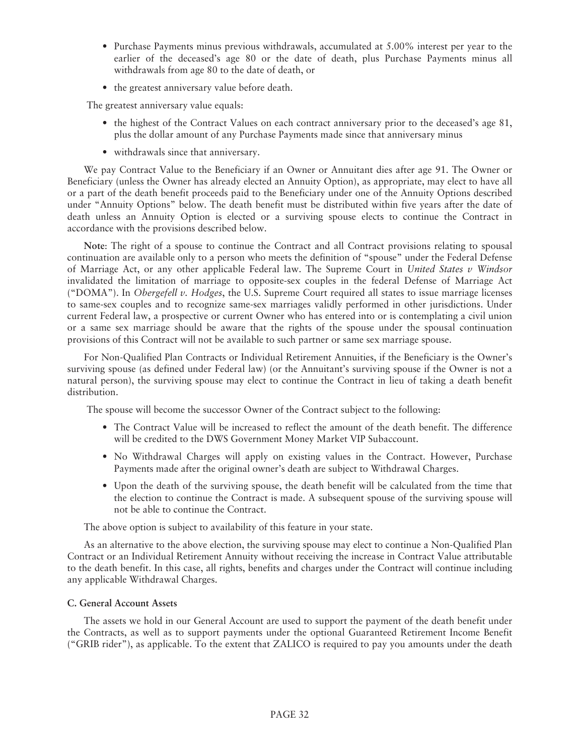- Purchase Payments minus previous withdrawals, accumulated at 5.00% interest per year to the earlier of the deceased's age 80 or the date of death, plus Purchase Payments minus all withdrawals from age 80 to the date of death, or
- the greatest anniversary value before death.

The greatest anniversary value equals:

- the highest of the Contract Values on each contract anniversary prior to the deceased's age 81, plus the dollar amount of any Purchase Payments made since that anniversary minus
- withdrawals since that anniversary.

We pay Contract Value to the Beneficiary if an Owner or Annuitant dies after age 91. The Owner or Beneficiary (unless the Owner has already elected an Annuity Option), as appropriate, may elect to have all or a part of the death benefit proceeds paid to the Beneficiary under one of the Annuity Options described under "Annuity Options" below. The death benefit must be distributed within five years after the date of death unless an Annuity Option is elected or a surviving spouse elects to continue the Contract in accordance with the provisions described below.

**Note**: The right of a spouse to continue the Contract and all Contract provisions relating to spousal continuation are available only to a person who meets the definition of "spouse" under the Federal Defense of Marriage Act, or any other applicable Federal law. The Supreme Court in *United States v Windsor* invalidated the limitation of marriage to opposite-sex couples in the federal Defense of Marriage Act ("DOMA"). In *Obergefell v. Hodges*, the U.S. Supreme Court required all states to issue marriage licenses to same-sex couples and to recognize same-sex marriages validly performed in other jurisdictions. Under current Federal law, a prospective or current Owner who has entered into or is contemplating a civil union or a same sex marriage should be aware that the rights of the spouse under the spousal continuation provisions of this Contract will not be available to such partner or same sex marriage spouse.

For Non-Qualified Plan Contracts or Individual Retirement Annuities, if the Beneficiary is the Owner's surviving spouse (as defined under Federal law) (or the Annuitant's surviving spouse if the Owner is not a natural person), the surviving spouse may elect to continue the Contract in lieu of taking a death benefit distribution.

The spouse will become the successor Owner of the Contract subject to the following:

- The Contract Value will be increased to reflect the amount of the death benefit. The difference will be credited to the DWS Government Money Market VIP Subaccount.
- No Withdrawal Charges will apply on existing values in the Contract. However, Purchase Payments made after the original owner's death are subject to Withdrawal Charges.
- Upon the death of the surviving spouse, the death benefit will be calculated from the time that the election to continue the Contract is made. A subsequent spouse of the surviving spouse will not be able to continue the Contract.

The above option is subject to availability of this feature in your state.

As an alternative to the above election, the surviving spouse may elect to continue a Non-Qualified Plan Contract or an Individual Retirement Annuity without receiving the increase in Contract Value attributable to the death benefit. In this case, all rights, benefits and charges under the Contract will continue including any applicable Withdrawal Charges.

### **C. General Account Assets**

The assets we hold in our General Account are used to support the payment of the death benefit under the Contracts, as well as to support payments under the optional Guaranteed Retirement Income Benefit ("GRIB rider"), as applicable. To the extent that ZALICO is required to pay you amounts under the death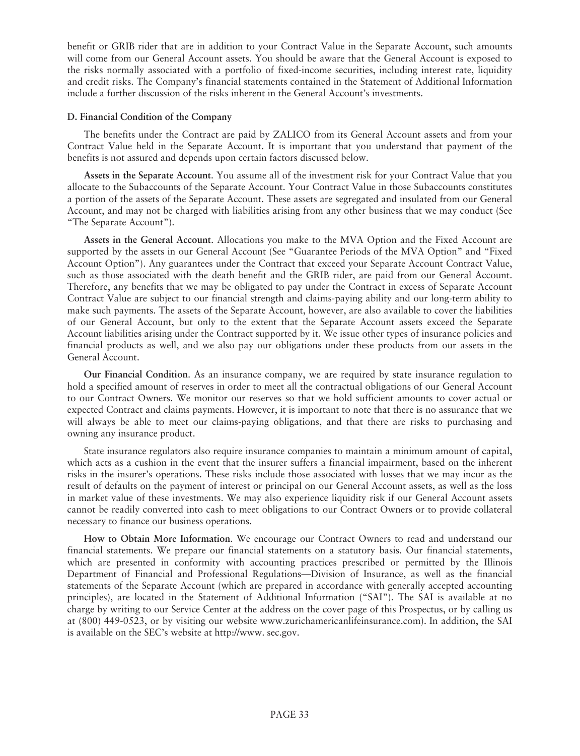benefit or GRIB rider that are in addition to your Contract Value in the Separate Account, such amounts will come from our General Account assets. You should be aware that the General Account is exposed to the risks normally associated with a portfolio of fixed-income securities, including interest rate, liquidity and credit risks. The Company's financial statements contained in the Statement of Additional Information include a further discussion of the risks inherent in the General Account's investments.

### **D. Financial Condition of the Company**

The benefits under the Contract are paid by ZALICO from its General Account assets and from your Contract Value held in the Separate Account. It is important that you understand that payment of the benefits is not assured and depends upon certain factors discussed below.

**Assets in the Separate Account**. You assume all of the investment risk for your Contract Value that you allocate to the Subaccounts of the Separate Account. Your Contract Value in those Subaccounts constitutes a portion of the assets of the Separate Account. These assets are segregated and insulated from our General Account, and may not be charged with liabilities arising from any other business that we may conduct (See "The Separate Account").

**Assets in the General Account**. Allocations you make to the MVA Option and the Fixed Account are supported by the assets in our General Account (See "Guarantee Periods of the MVA Option" and "Fixed Account Option"). Any guarantees under the Contract that exceed your Separate Account Contract Value, such as those associated with the death benefit and the GRIB rider, are paid from our General Account. Therefore, any benefits that we may be obligated to pay under the Contract in excess of Separate Account Contract Value are subject to our financial strength and claims-paying ability and our long-term ability to make such payments. The assets of the Separate Account, however, are also available to cover the liabilities of our General Account, but only to the extent that the Separate Account assets exceed the Separate Account liabilities arising under the Contract supported by it. We issue other types of insurance policies and financial products as well, and we also pay our obligations under these products from our assets in the General Account.

**Our Financial Condition**. As an insurance company, we are required by state insurance regulation to hold a specified amount of reserves in order to meet all the contractual obligations of our General Account to our Contract Owners. We monitor our reserves so that we hold sufficient amounts to cover actual or expected Contract and claims payments. However, it is important to note that there is no assurance that we will always be able to meet our claims-paying obligations, and that there are risks to purchasing and owning any insurance product.

State insurance regulators also require insurance companies to maintain a minimum amount of capital, which acts as a cushion in the event that the insurer suffers a financial impairment, based on the inherent risks in the insurer's operations. These risks include those associated with losses that we may incur as the result of defaults on the payment of interest or principal on our General Account assets, as well as the loss in market value of these investments. We may also experience liquidity risk if our General Account assets cannot be readily converted into cash to meet obligations to our Contract Owners or to provide collateral necessary to finance our business operations.

**How to Obtain More Information**. We encourage our Contract Owners to read and understand our financial statements. We prepare our financial statements on a statutory basis. Our financial statements, which are presented in conformity with accounting practices prescribed or permitted by the Illinois Department of Financial and Professional Regulations—Division of Insurance, as well as the financial statements of the Separate Account (which are prepared in accordance with generally accepted accounting principles), are located in the Statement of Additional Information ("SAI"). The SAI is available at no charge by writing to our Service Center at the address on the cover page of this Prospectus, or by calling us at (800) 449-0523, or by visiting our website www.zurichamericanlifeinsurance.com). In addition, the SAI is available on the SEC's website at [http://www. sec.gov.](http://www.sec.gov/)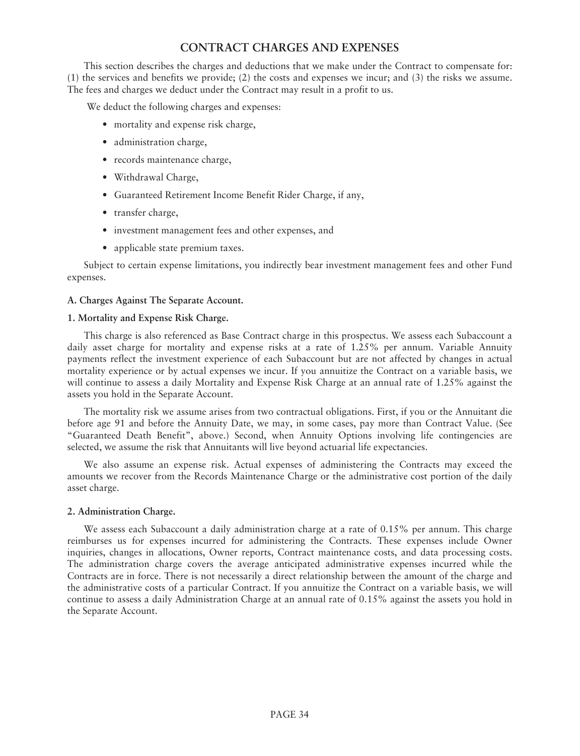# **CONTRACT CHARGES AND EXPENSES**

This section describes the charges and deductions that we make under the Contract to compensate for: (1) the services and benefits we provide; (2) the costs and expenses we incur; and (3) the risks we assume. The fees and charges we deduct under the Contract may result in a profit to us.

We deduct the following charges and expenses:

- mortality and expense risk charge,
- administration charge,
- records maintenance charge,
- Withdrawal Charge,
- Guaranteed Retirement Income Benefit Rider Charge, if any,
- transfer charge,
- investment management fees and other expenses, and
- applicable state premium taxes.

Subject to certain expense limitations, you indirectly bear investment management fees and other Fund expenses.

### **A. Charges Against The Separate Account.**

### **1. Mortality and Expense Risk Charge.**

This charge is also referenced as Base Contract charge in this prospectus. We assess each Subaccount a daily asset charge for mortality and expense risks at a rate of 1.25% per annum. Variable Annuity payments reflect the investment experience of each Subaccount but are not affected by changes in actual mortality experience or by actual expenses we incur. If you annuitize the Contract on a variable basis, we will continue to assess a daily Mortality and Expense Risk Charge at an annual rate of 1.25% against the assets you hold in the Separate Account.

The mortality risk we assume arises from two contractual obligations. First, if you or the Annuitant die before age 91 and before the Annuity Date, we may, in some cases, pay more than Contract Value. (See "Guaranteed Death Benefit", above.) Second, when Annuity Options involving life contingencies are selected, we assume the risk that Annuitants will live beyond actuarial life expectancies.

We also assume an expense risk. Actual expenses of administering the Contracts may exceed the amounts we recover from the Records Maintenance Charge or the administrative cost portion of the daily asset charge.

### **2. Administration Charge.**

We assess each Subaccount a daily administration charge at a rate of 0.15% per annum. This charge reimburses us for expenses incurred for administering the Contracts. These expenses include Owner inquiries, changes in allocations, Owner reports, Contract maintenance costs, and data processing costs. The administration charge covers the average anticipated administrative expenses incurred while the Contracts are in force. There is not necessarily a direct relationship between the amount of the charge and the administrative costs of a particular Contract. If you annuitize the Contract on a variable basis, we will continue to assess a daily Administration Charge at an annual rate of 0.15% against the assets you hold in the Separate Account.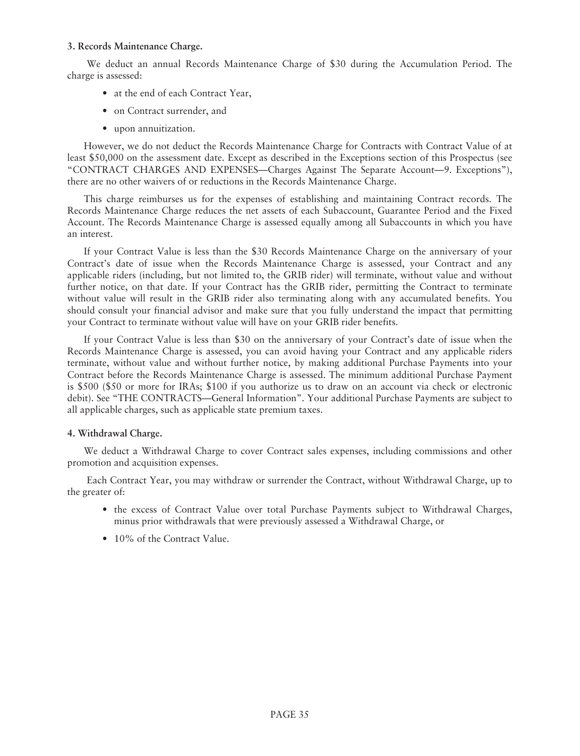# **3. Records Maintenance Charge.**

We deduct an annual Records Maintenance Charge of \$30 during the Accumulation Period. The charge is assessed:

- at the end of each Contract Year,
- on Contract surrender, and
- upon annuitization.

However, we do not deduct the Records Maintenance Charge for Contracts with Contract Value of at least \$50,000 on the assessment date. Except as described in the Exceptions section of this Prospectus (see "CONTRACT CHARGES AND EXPENSES—Charges Against The Separate Account—9. Exceptions"), there are no other waivers of or reductions in the Records Maintenance Charge.

This charge reimburses us for the expenses of establishing and maintaining Contract records. The Records Maintenance Charge reduces the net assets of each Subaccount, Guarantee Period and the Fixed Account. The Records Maintenance Charge is assessed equally among all Subaccounts in which you have an interest.

If your Contract Value is less than the \$30 Records Maintenance Charge on the anniversary of your Contract's date of issue when the Records Maintenance Charge is assessed, your Contract and any applicable riders (including, but not limited to, the GRIB rider) will terminate, without value and without further notice, on that date. If your Contract has the GRIB rider, permitting the Contract to terminate without value will result in the GRIB rider also terminating along with any accumulated benefits. You should consult your financial advisor and make sure that you fully understand the impact that permitting your Contract to terminate without value will have on your GRIB rider benefits.

If your Contract Value is less than \$30 on the anniversary of your Contract's date of issue when the Records Maintenance Charge is assessed, you can avoid having your Contract and any applicable riders terminate, without value and without further notice, by making additional Purchase Payments into your Contract before the Records Maintenance Charge is assessed. The minimum additional Purchase Payment is \$500 (\$50 or more for IRAs; \$100 if you authorize us to draw on an account via check or electronic debit). See "THE CONTRACTS—General Information". Your additional Purchase Payments are subject to all applicable charges, such as applicable state premium taxes.

### **4. Withdrawal Charge.**

We deduct a Withdrawal Charge to cover Contract sales expenses, including commissions and other promotion and acquisition expenses.

Each Contract Year, you may withdraw or surrender the Contract, without Withdrawal Charge, up to the greater of:

- the excess of Contract Value over total Purchase Payments subject to Withdrawal Charges, minus prior withdrawals that were previously assessed a Withdrawal Charge, or
- 10% of the Contract Value.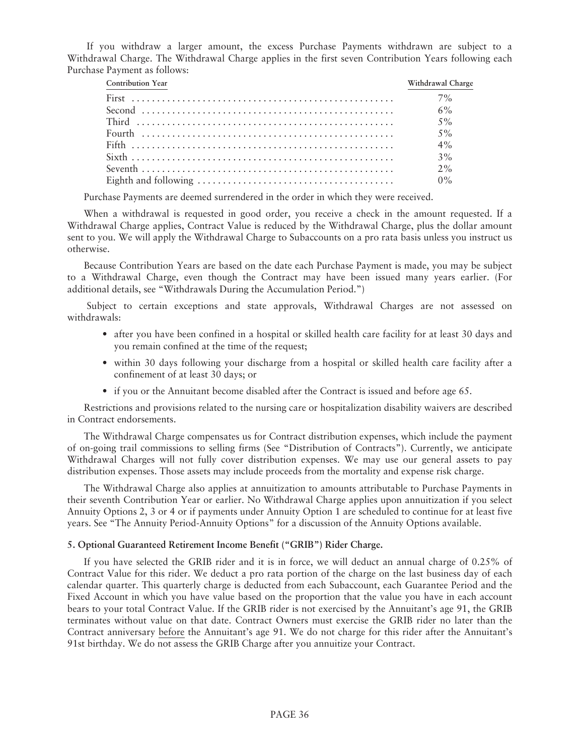If you withdraw a larger amount, the excess Purchase Payments withdrawn are subject to a Withdrawal Charge. The Withdrawal Charge applies in the first seven Contribution Years following each Purchase Payment as follows:

| <b>Contribution Year</b> | Withdrawal Charge |
|--------------------------|-------------------|
|                          | 7%                |
|                          |                   |
|                          |                   |
|                          | $5\%$             |
|                          | $4\%$             |
|                          | $3\%$             |
|                          |                   |
|                          | $0\%$             |

Purchase Payments are deemed surrendered in the order in which they were received.

When a withdrawal is requested in good order, you receive a check in the amount requested. If a Withdrawal Charge applies, Contract Value is reduced by the Withdrawal Charge, plus the dollar amount sent to you. We will apply the Withdrawal Charge to Subaccounts on a pro rata basis unless you instruct us otherwise.

Because Contribution Years are based on the date each Purchase Payment is made, you may be subject to a Withdrawal Charge, even though the Contract may have been issued many years earlier. (For additional details, see "Withdrawals During the Accumulation Period.")

Subject to certain exceptions and state approvals, Withdrawal Charges are not assessed on withdrawals:

- after you have been confined in a hospital or skilled health care facility for at least 30 days and you remain confined at the time of the request;
- within 30 days following your discharge from a hospital or skilled health care facility after a confinement of at least 30 days; or
- if you or the Annuitant become disabled after the Contract is issued and before age 65.

Restrictions and provisions related to the nursing care or hospitalization disability waivers are described in Contract endorsements.

The Withdrawal Charge compensates us for Contract distribution expenses, which include the payment of on-going trail commissions to selling firms (See "Distribution of Contracts"). Currently, we anticipate Withdrawal Charges will not fully cover distribution expenses. We may use our general assets to pay distribution expenses. Those assets may include proceeds from the mortality and expense risk charge.

The Withdrawal Charge also applies at annuitization to amounts attributable to Purchase Payments in their seventh Contribution Year or earlier. No Withdrawal Charge applies upon annuitization if you select Annuity Options 2, 3 or 4 or if payments under Annuity Option 1 are scheduled to continue for at least five years. See "The Annuity Period-Annuity Options" for a discussion of the Annuity Options available.

### **5. Optional Guaranteed Retirement Income Benefit ("GRIB") Rider Charge.**

If you have selected the GRIB rider and it is in force, we will deduct an annual charge of 0.25% of Contract Value for this rider. We deduct a pro rata portion of the charge on the last business day of each calendar quarter. This quarterly charge is deducted from each Subaccount, each Guarantee Period and the Fixed Account in which you have value based on the proportion that the value you have in each account bears to your total Contract Value. If the GRIB rider is not exercised by the Annuitant's age 91, the GRIB terminates without value on that date. Contract Owners must exercise the GRIB rider no later than the Contract anniversary before the Annuitant's age 91. We do not charge for this rider after the Annuitant's 91st birthday. We do not assess the GRIB Charge after you annuitize your Contract.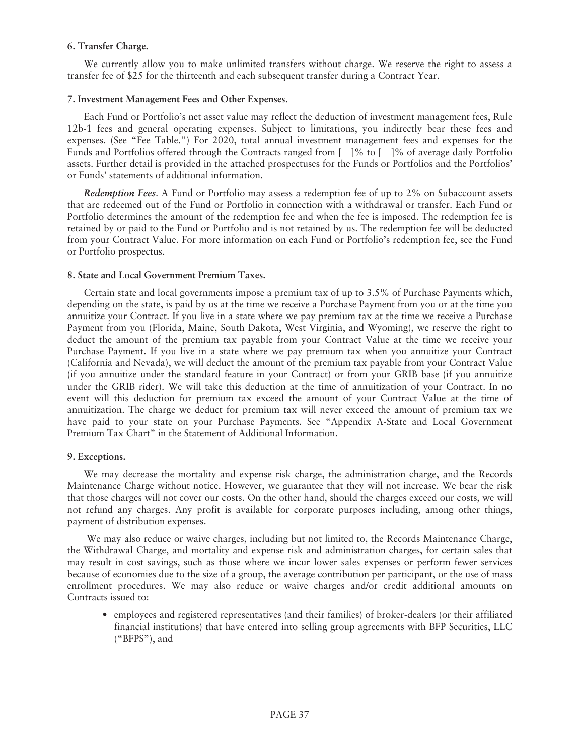## **6. Transfer Charge.**

We currently allow you to make unlimited transfers without charge. We reserve the right to assess a transfer fee of \$25 for the thirteenth and each subsequent transfer during a Contract Year.

### **7. Investment Management Fees and Other Expenses.**

Each Fund or Portfolio's net asset value may reflect the deduction of investment management fees, Rule 12b-1 fees and general operating expenses. Subject to limitations, you indirectly bear these fees and expenses. (See "Fee Table.") For 2020, total annual investment management fees and expenses for the Funds and Portfolios offered through the Contracts ranged from  $\lceil 1\% \rceil \leq \lceil 1\% \rceil \leq 1$  of average daily Portfolio assets. Further detail is provided in the attached prospectuses for the Funds or Portfolios and the Portfolios' or Funds' statements of additional information.

*Redemption Fees*. A Fund or Portfolio may assess a redemption fee of up to 2% on Subaccount assets that are redeemed out of the Fund or Portfolio in connection with a withdrawal or transfer. Each Fund or Portfolio determines the amount of the redemption fee and when the fee is imposed. The redemption fee is retained by or paid to the Fund or Portfolio and is not retained by us. The redemption fee will be deducted from your Contract Value. For more information on each Fund or Portfolio's redemption fee, see the Fund or Portfolio prospectus.

## **8. State and Local Government Premium Taxes.**

Certain state and local governments impose a premium tax of up to 3.5% of Purchase Payments which, depending on the state, is paid by us at the time we receive a Purchase Payment from you or at the time you annuitize your Contract. If you live in a state where we pay premium tax at the time we receive a Purchase Payment from you (Florida, Maine, South Dakota, West Virginia, and Wyoming), we reserve the right to deduct the amount of the premium tax payable from your Contract Value at the time we receive your Purchase Payment. If you live in a state where we pay premium tax when you annuitize your Contract (California and Nevada), we will deduct the amount of the premium tax payable from your Contract Value (if you annuitize under the standard feature in your Contract) or from your GRIB base (if you annuitize under the GRIB rider). We will take this deduction at the time of annuitization of your Contract. In no event will this deduction for premium tax exceed the amount of your Contract Value at the time of annuitization. The charge we deduct for premium tax will never exceed the amount of premium tax we have paid to your state on your Purchase Payments. See "Appendix A-State and Local Government Premium Tax Chart" in the Statement of Additional Information.

### **9. Exceptions.**

We may decrease the mortality and expense risk charge, the administration charge, and the Records Maintenance Charge without notice. However, we guarantee that they will not increase. We bear the risk that those charges will not cover our costs. On the other hand, should the charges exceed our costs, we will not refund any charges. Any profit is available for corporate purposes including, among other things, payment of distribution expenses.

We may also reduce or waive charges, including but not limited to, the Records Maintenance Charge, the Withdrawal Charge, and mortality and expense risk and administration charges, for certain sales that may result in cost savings, such as those where we incur lower sales expenses or perform fewer services because of economies due to the size of a group, the average contribution per participant, or the use of mass enrollment procedures. We may also reduce or waive charges and/or credit additional amounts on Contracts issued to:

• employees and registered representatives (and their families) of broker-dealers (or their affiliated financial institutions) that have entered into selling group agreements with BFP Securities, LLC ("BFPS"), and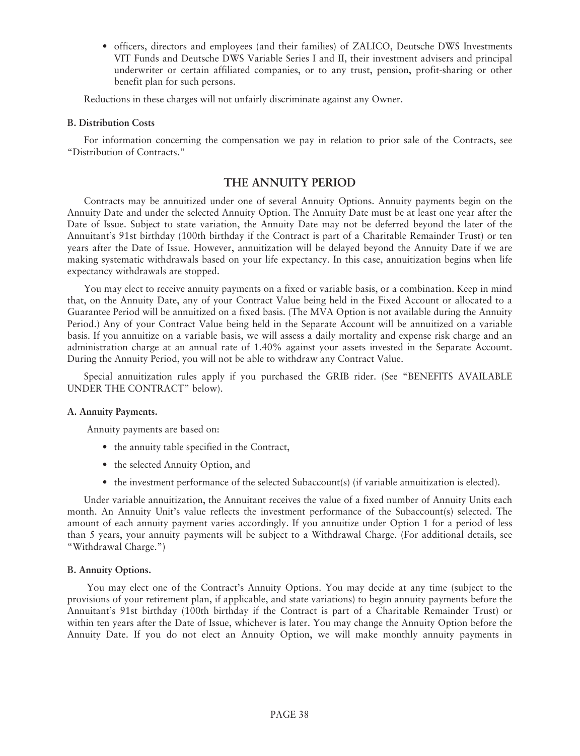• officers, directors and employees (and their families) of ZALICO, Deutsche DWS Investments VIT Funds and Deutsche DWS Variable Series I and II, their investment advisers and principal underwriter or certain affiliated companies, or to any trust, pension, profit-sharing or other benefit plan for such persons.

Reductions in these charges will not unfairly discriminate against any Owner.

#### **B. Distribution Costs**

For information concerning the compensation we pay in relation to prior sale of the Contracts, see "Distribution of Contracts."

# **THE ANNUITY PERIOD**

Contracts may be annuitized under one of several Annuity Options. Annuity payments begin on the Annuity Date and under the selected Annuity Option. The Annuity Date must be at least one year after the Date of Issue. Subject to state variation, the Annuity Date may not be deferred beyond the later of the Annuitant's 91st birthday (100th birthday if the Contract is part of a Charitable Remainder Trust) or ten years after the Date of Issue. However, annuitization will be delayed beyond the Annuity Date if we are making systematic withdrawals based on your life expectancy. In this case, annuitization begins when life expectancy withdrawals are stopped.

You may elect to receive annuity payments on a fixed or variable basis, or a combination. Keep in mind that, on the Annuity Date, any of your Contract Value being held in the Fixed Account or allocated to a Guarantee Period will be annuitized on a fixed basis. (The MVA Option is not available during the Annuity Period.) Any of your Contract Value being held in the Separate Account will be annuitized on a variable basis. If you annuitize on a variable basis, we will assess a daily mortality and expense risk charge and an administration charge at an annual rate of 1.40% against your assets invested in the Separate Account. During the Annuity Period, you will not be able to withdraw any Contract Value.

Special annuitization rules apply if you purchased the GRIB rider. (See "BENEFITS AVAILABLE UNDER THE CONTRACT" below).

### **A. Annuity Payments.**

Annuity payments are based on:

- the annuity table specified in the Contract,
- the selected Annuity Option, and
- the investment performance of the selected Subaccount(s) (if variable annuitization is elected).

Under variable annuitization, the Annuitant receives the value of a fixed number of Annuity Units each month. An Annuity Unit's value reflects the investment performance of the Subaccount(s) selected. The amount of each annuity payment varies accordingly. If you annuitize under Option 1 for a period of less than 5 years, your annuity payments will be subject to a Withdrawal Charge. (For additional details, see "Withdrawal Charge.")

### **B. Annuity Options.**

You may elect one of the Contract's Annuity Options. You may decide at any time (subject to the provisions of your retirement plan, if applicable, and state variations) to begin annuity payments before the Annuitant's 91st birthday (100th birthday if the Contract is part of a Charitable Remainder Trust) or within ten years after the Date of Issue, whichever is later. You may change the Annuity Option before the Annuity Date. If you do not elect an Annuity Option, we will make monthly annuity payments in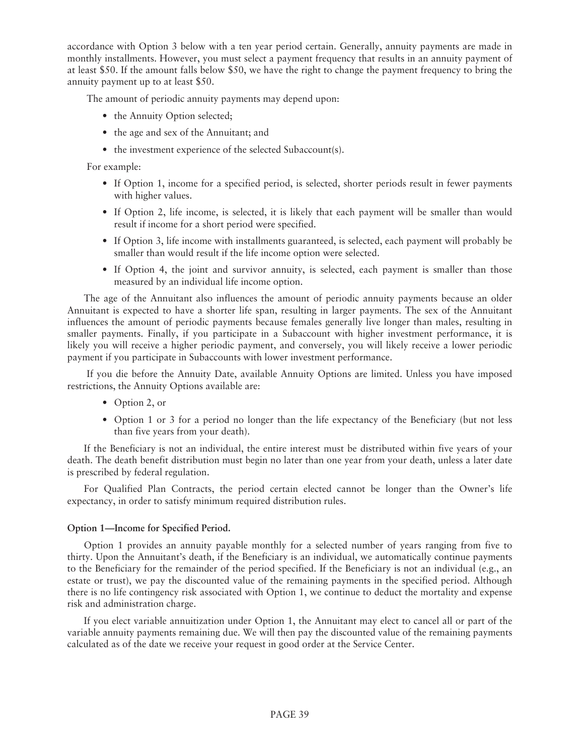accordance with Option 3 below with a ten year period certain. Generally, annuity payments are made in monthly installments. However, you must select a payment frequency that results in an annuity payment of at least \$50. If the amount falls below \$50, we have the right to change the payment frequency to bring the annuity payment up to at least \$50.

The amount of periodic annuity payments may depend upon:

- the Annuity Option selected;
- the age and sex of the Annuitant; and
- the investment experience of the selected Subaccount(s).

For example:

- If Option 1, income for a specified period, is selected, shorter periods result in fewer payments with higher values.
- If Option 2, life income, is selected, it is likely that each payment will be smaller than would result if income for a short period were specified.
- If Option 3, life income with installments guaranteed, is selected, each payment will probably be smaller than would result if the life income option were selected.
- If Option 4, the joint and survivor annuity, is selected, each payment is smaller than those measured by an individual life income option.

The age of the Annuitant also influences the amount of periodic annuity payments because an older Annuitant is expected to have a shorter life span, resulting in larger payments. The sex of the Annuitant influences the amount of periodic payments because females generally live longer than males, resulting in smaller payments. Finally, if you participate in a Subaccount with higher investment performance, it is likely you will receive a higher periodic payment, and conversely, you will likely receive a lower periodic payment if you participate in Subaccounts with lower investment performance.

If you die before the Annuity Date, available Annuity Options are limited. Unless you have imposed restrictions, the Annuity Options available are:

- Option 2, or
- Option 1 or 3 for a period no longer than the life expectancy of the Beneficiary (but not less than five years from your death).

If the Beneficiary is not an individual, the entire interest must be distributed within five years of your death. The death benefit distribution must begin no later than one year from your death, unless a later date is prescribed by federal regulation.

For Qualified Plan Contracts, the period certain elected cannot be longer than the Owner's life expectancy, in order to satisfy minimum required distribution rules.

### **Option 1—Income for Specified Period.**

Option 1 provides an annuity payable monthly for a selected number of years ranging from five to thirty. Upon the Annuitant's death, if the Beneficiary is an individual, we automatically continue payments to the Beneficiary for the remainder of the period specified. If the Beneficiary is not an individual (e.g., an estate or trust), we pay the discounted value of the remaining payments in the specified period. Although there is no life contingency risk associated with Option 1, we continue to deduct the mortality and expense risk and administration charge.

If you elect variable annuitization under Option 1, the Annuitant may elect to cancel all or part of the variable annuity payments remaining due. We will then pay the discounted value of the remaining payments calculated as of the date we receive your request in good order at the Service Center.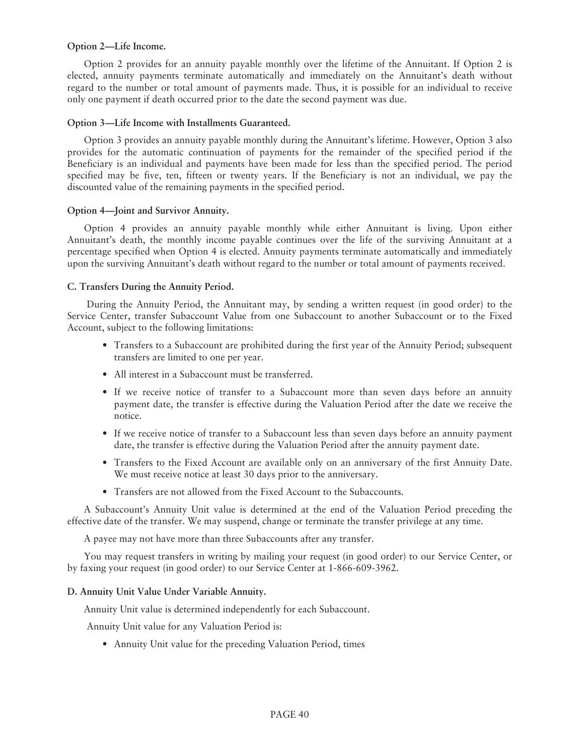#### **Option 2—Life Income.**

Option 2 provides for an annuity payable monthly over the lifetime of the Annuitant. If Option 2 is elected, annuity payments terminate automatically and immediately on the Annuitant's death without regard to the number or total amount of payments made. Thus, it is possible for an individual to receive only one payment if death occurred prior to the date the second payment was due.

#### **Option 3—Life Income with Installments Guaranteed.**

Option 3 provides an annuity payable monthly during the Annuitant's lifetime. However, Option 3 also provides for the automatic continuation of payments for the remainder of the specified period if the Beneficiary is an individual and payments have been made for less than the specified period. The period specified may be five, ten, fifteen or twenty years. If the Beneficiary is not an individual, we pay the discounted value of the remaining payments in the specified period.

#### **Option 4—Joint and Survivor Annuity.**

Option 4 provides an annuity payable monthly while either Annuitant is living. Upon either Annuitant's death, the monthly income payable continues over the life of the surviving Annuitant at a percentage specified when Option 4 is elected. Annuity payments terminate automatically and immediately upon the surviving Annuitant's death without regard to the number or total amount of payments received.

### **C. Transfers During the Annuity Period.**

During the Annuity Period, the Annuitant may, by sending a written request (in good order) to the Service Center, transfer Subaccount Value from one Subaccount to another Subaccount or to the Fixed Account, subject to the following limitations:

- Transfers to a Subaccount are prohibited during the first year of the Annuity Period; subsequent transfers are limited to one per year.
- All interest in a Subaccount must be transferred.
- If we receive notice of transfer to a Subaccount more than seven days before an annuity payment date, the transfer is effective during the Valuation Period after the date we receive the notice.
- If we receive notice of transfer to a Subaccount less than seven days before an annuity payment date, the transfer is effective during the Valuation Period after the annuity payment date.
- Transfers to the Fixed Account are available only on an anniversary of the first Annuity Date. We must receive notice at least 30 days prior to the anniversary.
- Transfers are not allowed from the Fixed Account to the Subaccounts.

A Subaccount's Annuity Unit value is determined at the end of the Valuation Period preceding the effective date of the transfer. We may suspend, change or terminate the transfer privilege at any time.

A payee may not have more than three Subaccounts after any transfer.

You may request transfers in writing by mailing your request (in good order) to our Service Center, or by faxing your request (in good order) to our Service Center at 1-866-609-3962.

#### **D. Annuity Unit Value Under Variable Annuity.**

Annuity Unit value is determined independently for each Subaccount.

Annuity Unit value for any Valuation Period is:

• Annuity Unit value for the preceding Valuation Period, times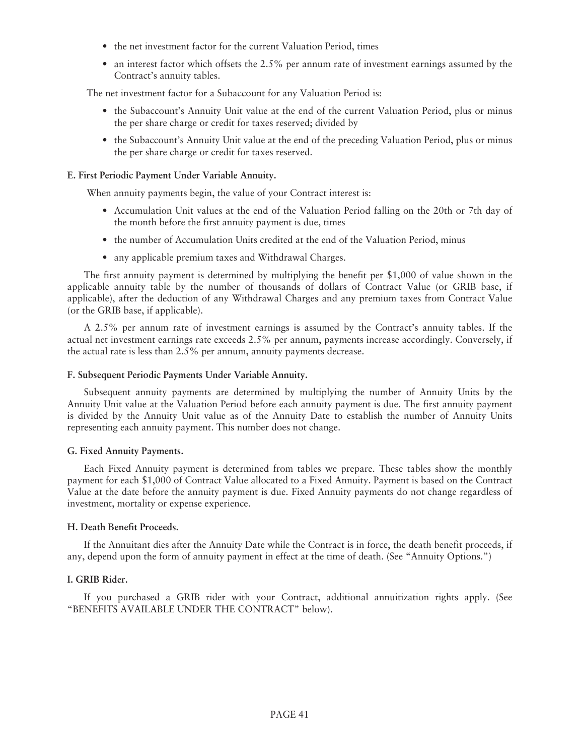- the net investment factor for the current Valuation Period, times
- an interest factor which offsets the 2.5% per annum rate of investment earnings assumed by the Contract's annuity tables.

The net investment factor for a Subaccount for any Valuation Period is:

- the Subaccount's Annuity Unit value at the end of the current Valuation Period, plus or minus the per share charge or credit for taxes reserved; divided by
- the Subaccount's Annuity Unit value at the end of the preceding Valuation Period, plus or minus the per share charge or credit for taxes reserved.

### **E. First Periodic Payment Under Variable Annuity.**

When annuity payments begin, the value of your Contract interest is:

- Accumulation Unit values at the end of the Valuation Period falling on the 20th or 7th day of the month before the first annuity payment is due, times
- the number of Accumulation Units credited at the end of the Valuation Period, minus
- any applicable premium taxes and Withdrawal Charges.

The first annuity payment is determined by multiplying the benefit per \$1,000 of value shown in the applicable annuity table by the number of thousands of dollars of Contract Value (or GRIB base, if applicable), after the deduction of any Withdrawal Charges and any premium taxes from Contract Value (or the GRIB base, if applicable).

A 2.5% per annum rate of investment earnings is assumed by the Contract's annuity tables. If the actual net investment earnings rate exceeds 2.5% per annum, payments increase accordingly. Conversely, if the actual rate is less than 2.5% per annum, annuity payments decrease.

#### **F. Subsequent Periodic Payments Under Variable Annuity.**

Subsequent annuity payments are determined by multiplying the number of Annuity Units by the Annuity Unit value at the Valuation Period before each annuity payment is due. The first annuity payment is divided by the Annuity Unit value as of the Annuity Date to establish the number of Annuity Units representing each annuity payment. This number does not change.

### **G. Fixed Annuity Payments.**

Each Fixed Annuity payment is determined from tables we prepare. These tables show the monthly payment for each \$1,000 of Contract Value allocated to a Fixed Annuity. Payment is based on the Contract Value at the date before the annuity payment is due. Fixed Annuity payments do not change regardless of investment, mortality or expense experience.

### **H. Death Benefit Proceeds.**

If the Annuitant dies after the Annuity Date while the Contract is in force, the death benefit proceeds, if any, depend upon the form of annuity payment in effect at the time of death. (See "Annuity Options.")

### **I. GRIB Rider.**

If you purchased a GRIB rider with your Contract, additional annuitization rights apply. (See "BENEFITS AVAILABLE UNDER THE CONTRACT" below).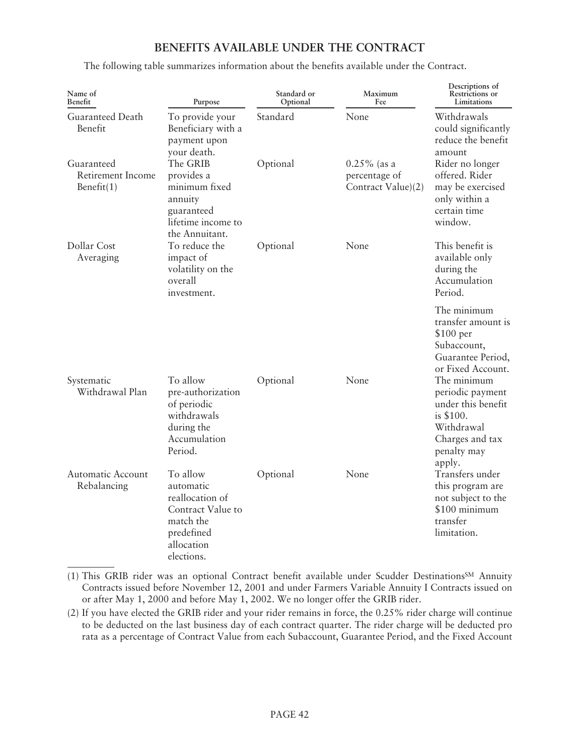# **BENEFITS AVAILABLE UNDER THE CONTRACT**

The following table summarizes information about the benefits available under the Contract.

| Name of<br>Benefit                               | Purpose                                                                                                              | Standard or<br>Optional | Maximum<br>Fee                                        | Descriptions of<br>Restrictions or<br>Limitations                                                                            |
|--------------------------------------------------|----------------------------------------------------------------------------------------------------------------------|-------------------------|-------------------------------------------------------|------------------------------------------------------------------------------------------------------------------------------|
| Guaranteed Death<br>Benefit                      | To provide your<br>Beneficiary with a<br>payment upon<br>your death.                                                 | Standard                | None                                                  | Withdrawals<br>could significantly<br>reduce the benefit<br>amount                                                           |
| Guaranteed<br>Retirement Income<br>Benefit $(1)$ | The GRIB<br>provides a<br>minimum fixed<br>annuity<br>guaranteed<br>lifetime income to<br>the Annuitant.             | Optional                | $0.25\%$ (as a<br>percentage of<br>Contract Value)(2) | Rider no longer<br>offered. Rider<br>may be exercised<br>only within a<br>certain time<br>window.                            |
| Dollar Cost<br>Averaging                         | To reduce the<br>impact of<br>volatility on the<br>overall<br>investment.                                            | Optional                | None                                                  | This benefit is<br>available only<br>during the<br>Accumulation<br>Period.                                                   |
|                                                  |                                                                                                                      |                         |                                                       | The minimum<br>transfer amount is<br>$$100~\mathrm{per}$<br>Subaccount,<br>Guarantee Period,<br>or Fixed Account.            |
| Systematic<br>Withdrawal Plan                    | To allow<br>pre-authorization<br>of periodic<br>withdrawals<br>during the<br>Accumulation<br>Period.                 | Optional                | None                                                  | The minimum<br>periodic payment<br>under this benefit<br>is \$100.<br>Withdrawal<br>Charges and tax<br>penalty may<br>apply. |
| <b>Automatic Account</b><br>Rebalancing          | To allow<br>automatic<br>reallocation of<br>Contract Value to<br>match the<br>predefined<br>allocation<br>elections. | Optional                | None                                                  | Transfers under<br>this program are<br>not subject to the<br>\$100 minimum<br>transfer<br>limitation.                        |

(1) This GRIB rider was an optional Contract benefit available under Scudder DestinationsSM Annuity Contracts issued before November 12, 2001 and under Farmers Variable Annuity I Contracts issued on or after May 1, 2000 and before May 1, 2002. We no longer offer the GRIB rider.

(2) If you have elected the GRIB rider and your rider remains in force, the 0.25% rider charge will continue to be deducted on the last business day of each contract quarter. The rider charge will be deducted pro rata as a percentage of Contract Value from each Subaccount, Guarantee Period, and the Fixed Account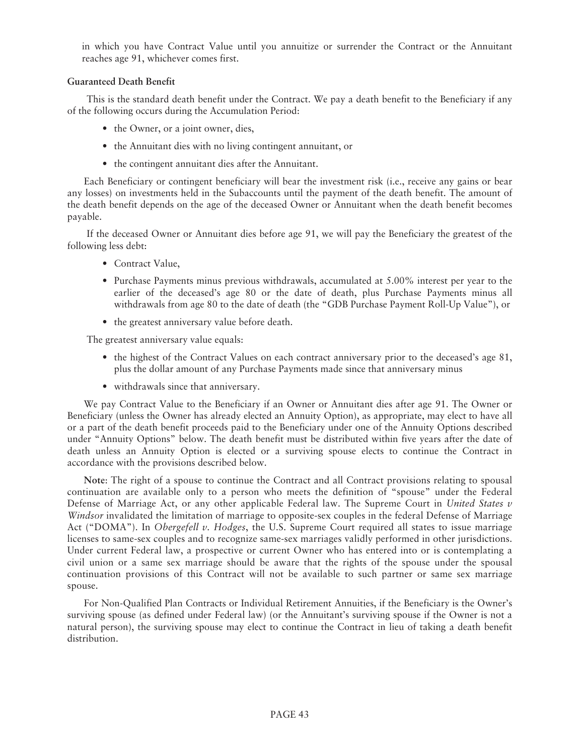in which you have Contract Value until you annuitize or surrender the Contract or the Annuitant reaches age 91, whichever comes first.

## **Guaranteed Death Benefit**

This is the standard death benefit under the Contract. We pay a death benefit to the Beneficiary if any of the following occurs during the Accumulation Period:

- the Owner, or a joint owner, dies,
- the Annuitant dies with no living contingent annuitant, or
- the contingent annuitant dies after the Annuitant.

Each Beneficiary or contingent beneficiary will bear the investment risk (i.e., receive any gains or bear any losses) on investments held in the Subaccounts until the payment of the death benefit. The amount of the death benefit depends on the age of the deceased Owner or Annuitant when the death benefit becomes payable.

If the deceased Owner or Annuitant dies before age 91, we will pay the Beneficiary the greatest of the following less debt:

- Contract Value,
- Purchase Payments minus previous withdrawals, accumulated at 5.00% interest per year to the earlier of the deceased's age 80 or the date of death, plus Purchase Payments minus all withdrawals from age 80 to the date of death (the "GDB Purchase Payment Roll-Up Value"), or
- the greatest anniversary value before death.

The greatest anniversary value equals:

- the highest of the Contract Values on each contract anniversary prior to the deceased's age 81, plus the dollar amount of any Purchase Payments made since that anniversary minus
- withdrawals since that anniversary.

We pay Contract Value to the Beneficiary if an Owner or Annuitant dies after age 91. The Owner or Beneficiary (unless the Owner has already elected an Annuity Option), as appropriate, may elect to have all or a part of the death benefit proceeds paid to the Beneficiary under one of the Annuity Options described under "Annuity Options" below. The death benefit must be distributed within five years after the date of death unless an Annuity Option is elected or a surviving spouse elects to continue the Contract in accordance with the provisions described below.

**Note**: The right of a spouse to continue the Contract and all Contract provisions relating to spousal continuation are available only to a person who meets the definition of "spouse" under the Federal Defense of Marriage Act, or any other applicable Federal law. The Supreme Court in *United States v Windsor* invalidated the limitation of marriage to opposite-sex couples in the federal Defense of Marriage Act ("DOMA"). In *Obergefell v. Hodges*, the U.S. Supreme Court required all states to issue marriage licenses to same-sex couples and to recognize same-sex marriages validly performed in other jurisdictions. Under current Federal law, a prospective or current Owner who has entered into or is contemplating a civil union or a same sex marriage should be aware that the rights of the spouse under the spousal continuation provisions of this Contract will not be available to such partner or same sex marriage spouse.

For Non-Qualified Plan Contracts or Individual Retirement Annuities, if the Beneficiary is the Owner's surviving spouse (as defined under Federal law) (or the Annuitant's surviving spouse if the Owner is not a natural person), the surviving spouse may elect to continue the Contract in lieu of taking a death benefit distribution.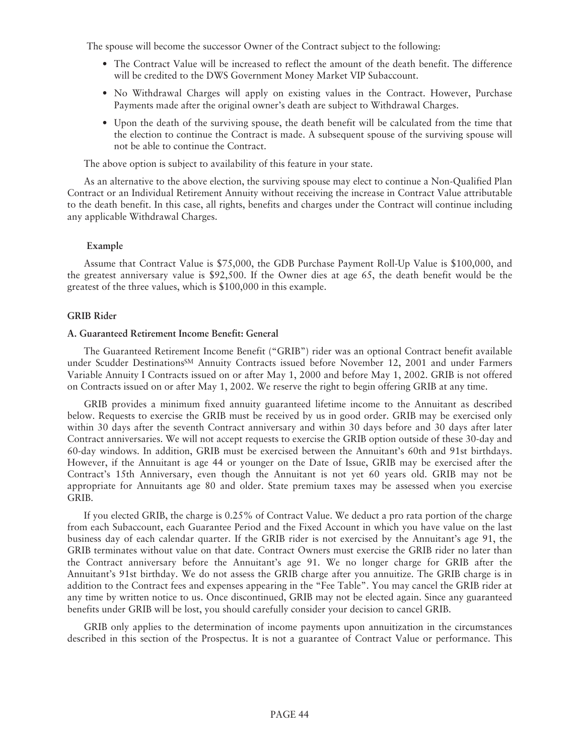The spouse will become the successor Owner of the Contract subject to the following:

- The Contract Value will be increased to reflect the amount of the death benefit. The difference will be credited to the DWS Government Money Market VIP Subaccount.
- No Withdrawal Charges will apply on existing values in the Contract. However, Purchase Payments made after the original owner's death are subject to Withdrawal Charges.
- Upon the death of the surviving spouse, the death benefit will be calculated from the time that the election to continue the Contract is made. A subsequent spouse of the surviving spouse will not be able to continue the Contract.

The above option is subject to availability of this feature in your state.

As an alternative to the above election, the surviving spouse may elect to continue a Non-Qualified Plan Contract or an Individual Retirement Annuity without receiving the increase in Contract Value attributable to the death benefit. In this case, all rights, benefits and charges under the Contract will continue including any applicable Withdrawal Charges.

#### **Example**

Assume that Contract Value is \$75,000, the GDB Purchase Payment Roll-Up Value is \$100,000, and the greatest anniversary value is \$92,500. If the Owner dies at age 65, the death benefit would be the greatest of the three values, which is \$100,000 in this example.

#### **GRIB Rider**

### **A. Guaranteed Retirement Income Benefit: General**

The Guaranteed Retirement Income Benefit ("GRIB") rider was an optional Contract benefit available under Scudder DestinationsSM Annuity Contracts issued before November 12, 2001 and under Farmers Variable Annuity I Contracts issued on or after May 1, 2000 and before May 1, 2002. GRIB is not offered on Contracts issued on or after May 1, 2002. We reserve the right to begin offering GRIB at any time.

GRIB provides a minimum fixed annuity guaranteed lifetime income to the Annuitant as described below. Requests to exercise the GRIB must be received by us in good order. GRIB may be exercised only within 30 days after the seventh Contract anniversary and within 30 days before and 30 days after later Contract anniversaries. We will not accept requests to exercise the GRIB option outside of these 30-day and 60-day windows. In addition, GRIB must be exercised between the Annuitant's 60th and 91st birthdays. However, if the Annuitant is age 44 or younger on the Date of Issue, GRIB may be exercised after the Contract's 15th Anniversary, even though the Annuitant is not yet 60 years old. GRIB may not be appropriate for Annuitants age 80 and older. State premium taxes may be assessed when you exercise GRIB.

If you elected GRIB, the charge is 0.25% of Contract Value. We deduct a pro rata portion of the charge from each Subaccount, each Guarantee Period and the Fixed Account in which you have value on the last business day of each calendar quarter. If the GRIB rider is not exercised by the Annuitant's age 91, the GRIB terminates without value on that date. Contract Owners must exercise the GRIB rider no later than the Contract anniversary before the Annuitant's age 91. We no longer charge for GRIB after the Annuitant's 91st birthday. We do not assess the GRIB charge after you annuitize. The GRIB charge is in addition to the Contract fees and expenses appearing in the "Fee Table". You may cancel the GRIB rider at any time by written notice to us. Once discontinued, GRIB may not be elected again. Since any guaranteed benefits under GRIB will be lost, you should carefully consider your decision to cancel GRIB.

GRIB only applies to the determination of income payments upon annuitization in the circumstances described in this section of the Prospectus. It is not a guarantee of Contract Value or performance. This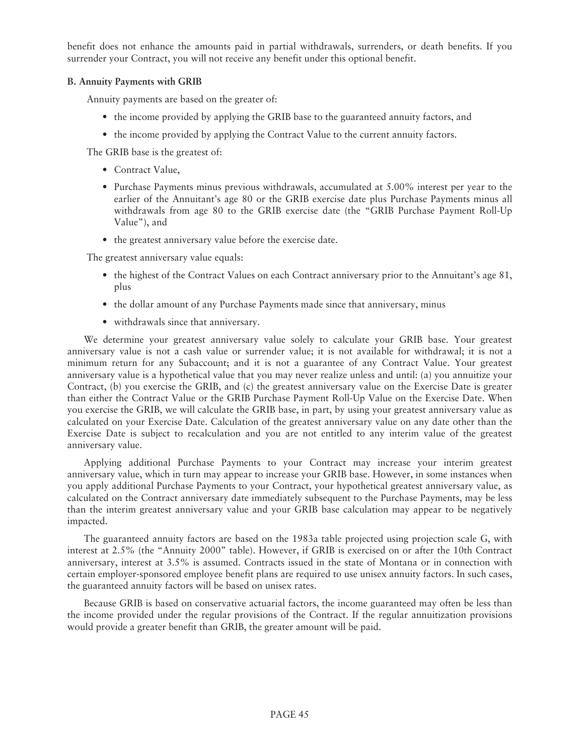benefit does not enhance the amounts paid in partial withdrawals, surrenders, or death benefits. If you surrender your Contract, you will not receive any benefit under this optional benefit.

## **B. Annuity Payments with GRIB**

Annuity payments are based on the greater of:

- the income provided by applying the GRIB base to the guaranteed annuity factors, and
- the income provided by applying the Contract Value to the current annuity factors.

The GRIB base is the greatest of:

- Contract Value,
- Purchase Payments minus previous withdrawals, accumulated at 5.00% interest per year to the earlier of the Annuitant's age 80 or the GRIB exercise date plus Purchase Payments minus all withdrawals from age 80 to the GRIB exercise date (the "GRIB Purchase Payment Roll-Up Value"), and
- the greatest anniversary value before the exercise date.

The greatest anniversary value equals:

- the highest of the Contract Values on each Contract anniversary prior to the Annuitant's age 81, plus
- the dollar amount of any Purchase Payments made since that anniversary, minus
- withdrawals since that anniversary.

We determine your greatest anniversary value solely to calculate your GRIB base. Your greatest anniversary value is not a cash value or surrender value; it is not available for withdrawal; it is not a minimum return for any Subaccount; and it is not a guarantee of any Contract Value. Your greatest anniversary value is a hypothetical value that you may never realize unless and until: (a) you annuitize your Contract, (b) you exercise the GRIB, and (c) the greatest anniversary value on the Exercise Date is greater than either the Contract Value or the GRIB Purchase Payment Roll-Up Value on the Exercise Date. When you exercise the GRIB, we will calculate the GRIB base, in part, by using your greatest anniversary value as calculated on your Exercise Date. Calculation of the greatest anniversary value on any date other than the Exercise Date is subject to recalculation and you are not entitled to any interim value of the greatest anniversary value.

Applying additional Purchase Payments to your Contract may increase your interim greatest anniversary value, which in turn may appear to increase your GRIB base. However, in some instances when you apply additional Purchase Payments to your Contract, your hypothetical greatest anniversary value, as calculated on the Contract anniversary date immediately subsequent to the Purchase Payments, may be less than the interim greatest anniversary value and your GRIB base calculation may appear to be negatively impacted.

The guaranteed annuity factors are based on the 1983a table projected using projection scale G, with interest at 2.5% (the "Annuity 2000" table). However, if GRIB is exercised on or after the 10th Contract anniversary, interest at 3.5% is assumed. Contracts issued in the state of Montana or in connection with certain employer-sponsored employee benefit plans are required to use unisex annuity factors. In such cases, the guaranteed annuity factors will be based on unisex rates.

Because GRIB is based on conservative actuarial factors, the income guaranteed may often be less than the income provided under the regular provisions of the Contract. If the regular annuitization provisions would provide a greater benefit than GRIB, the greater amount will be paid.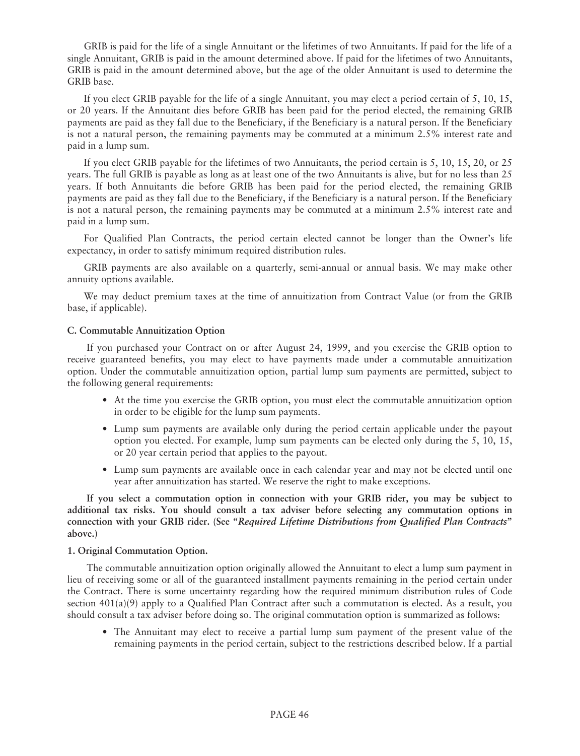GRIB is paid for the life of a single Annuitant or the lifetimes of two Annuitants. If paid for the life of a single Annuitant, GRIB is paid in the amount determined above. If paid for the lifetimes of two Annuitants, GRIB is paid in the amount determined above, but the age of the older Annuitant is used to determine the GRIB base.

If you elect GRIB payable for the life of a single Annuitant, you may elect a period certain of 5, 10, 15, or 20 years. If the Annuitant dies before GRIB has been paid for the period elected, the remaining GRIB payments are paid as they fall due to the Beneficiary, if the Beneficiary is a natural person. If the Beneficiary is not a natural person, the remaining payments may be commuted at a minimum 2.5% interest rate and paid in a lump sum.

If you elect GRIB payable for the lifetimes of two Annuitants, the period certain is 5, 10, 15, 20, or 25 years. The full GRIB is payable as long as at least one of the two Annuitants is alive, but for no less than 25 years. If both Annuitants die before GRIB has been paid for the period elected, the remaining GRIB payments are paid as they fall due to the Beneficiary, if the Beneficiary is a natural person. If the Beneficiary is not a natural person, the remaining payments may be commuted at a minimum 2.5% interest rate and paid in a lump sum.

For Qualified Plan Contracts, the period certain elected cannot be longer than the Owner's life expectancy, in order to satisfy minimum required distribution rules.

GRIB payments are also available on a quarterly, semi-annual or annual basis. We may make other annuity options available.

We may deduct premium taxes at the time of annuitization from Contract Value (or from the GRIB base, if applicable).

# **C. Commutable Annuitization Option**

If you purchased your Contract on or after August 24, 1999, and you exercise the GRIB option to receive guaranteed benefits, you may elect to have payments made under a commutable annuitization option. Under the commutable annuitization option, partial lump sum payments are permitted, subject to the following general requirements:

- At the time you exercise the GRIB option, you must elect the commutable annuitization option in order to be eligible for the lump sum payments.
- Lump sum payments are available only during the period certain applicable under the payout option you elected. For example, lump sum payments can be elected only during the 5, 10, 15, or 20 year certain period that applies to the payout.
- Lump sum payments are available once in each calendar year and may not be elected until one year after annuitization has started. We reserve the right to make exceptions.

**If you select a commutation option in connection with your GRIB rider, you may be subject to additional tax risks. You should consult a tax adviser before selecting any commutation options in connection with your GRIB rider. (See "***Required Lifetime Distributions from Qualified Plan Contracts***" above.)**

### **1. Original Commutation Option.**

The commutable annuitization option originally allowed the Annuitant to elect a lump sum payment in lieu of receiving some or all of the guaranteed installment payments remaining in the period certain under the Contract. There is some uncertainty regarding how the required minimum distribution rules of Code section 401(a)(9) apply to a Qualified Plan Contract after such a commutation is elected. As a result, you should consult a tax adviser before doing so. The original commutation option is summarized as follows:

• The Annuitant may elect to receive a partial lump sum payment of the present value of the remaining payments in the period certain, subject to the restrictions described below. If a partial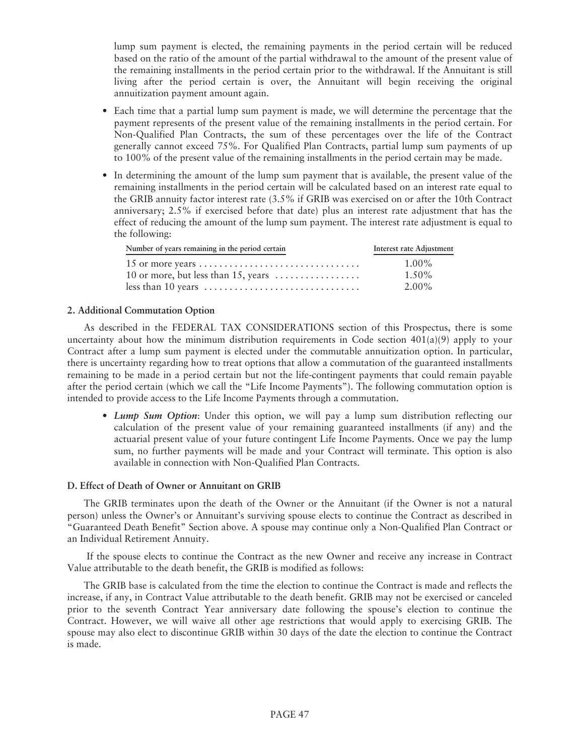lump sum payment is elected, the remaining payments in the period certain will be reduced based on the ratio of the amount of the partial withdrawal to the amount of the present value of the remaining installments in the period certain prior to the withdrawal. If the Annuitant is still living after the period certain is over, the Annuitant will begin receiving the original annuitization payment amount again.

- Each time that a partial lump sum payment is made, we will determine the percentage that the payment represents of the present value of the remaining installments in the period certain. For Non-Qualified Plan Contracts, the sum of these percentages over the life of the Contract generally cannot exceed 75%. For Qualified Plan Contracts, partial lump sum payments of up to 100% of the present value of the remaining installments in the period certain may be made.
- In determining the amount of the lump sum payment that is available, the present value of the remaining installments in the period certain will be calculated based on an interest rate equal to the GRIB annuity factor interest rate (3.5% if GRIB was exercised on or after the 10th Contract anniversary; 2.5% if exercised before that date) plus an interest rate adjustment that has the effect of reducing the amount of the lump sum payment. The interest rate adjustment is equal to the following:

| Number of years remaining in the period certain                                  | Interest rate Adjustment |
|----------------------------------------------------------------------------------|--------------------------|
|                                                                                  | $1.00\%$                 |
| 10 or more, but less than 15, years $\dots$                                      | $1.50\%$                 |
| less than 10 years $\dots \dots \dots \dots \dots \dots \dots \dots \dots \dots$ | 2.00%                    |

## **2. Additional Commutation Option**

As described in the FEDERAL TAX CONSIDERATIONS section of this Prospectus, there is some uncertainty about how the minimum distribution requirements in Code section  $401(a)(9)$  apply to your Contract after a lump sum payment is elected under the commutable annuitization option. In particular, there is uncertainty regarding how to treat options that allow a commutation of the guaranteed installments remaining to be made in a period certain but not the life-contingent payments that could remain payable after the period certain (which we call the "Life Income Payments"). The following commutation option is intended to provide access to the Life Income Payments through a commutation.

• *Lump Sum Option*: Under this option, we will pay a lump sum distribution reflecting our calculation of the present value of your remaining guaranteed installments (if any) and the actuarial present value of your future contingent Life Income Payments. Once we pay the lump sum, no further payments will be made and your Contract will terminate. This option is also available in connection with Non-Qualified Plan Contracts.

### **D. Effect of Death of Owner or Annuitant on GRIB**

The GRIB terminates upon the death of the Owner or the Annuitant (if the Owner is not a natural person) unless the Owner's or Annuitant's surviving spouse elects to continue the Contract as described in "Guaranteed Death Benefit" Section above. A spouse may continue only a Non-Qualified Plan Contract or an Individual Retirement Annuity.

If the spouse elects to continue the Contract as the new Owner and receive any increase in Contract Value attributable to the death benefit, the GRIB is modified as follows:

The GRIB base is calculated from the time the election to continue the Contract is made and reflects the increase, if any, in Contract Value attributable to the death benefit. GRIB may not be exercised or canceled prior to the seventh Contract Year anniversary date following the spouse's election to continue the Contract. However, we will waive all other age restrictions that would apply to exercising GRIB. The spouse may also elect to discontinue GRIB within 30 days of the date the election to continue the Contract is made.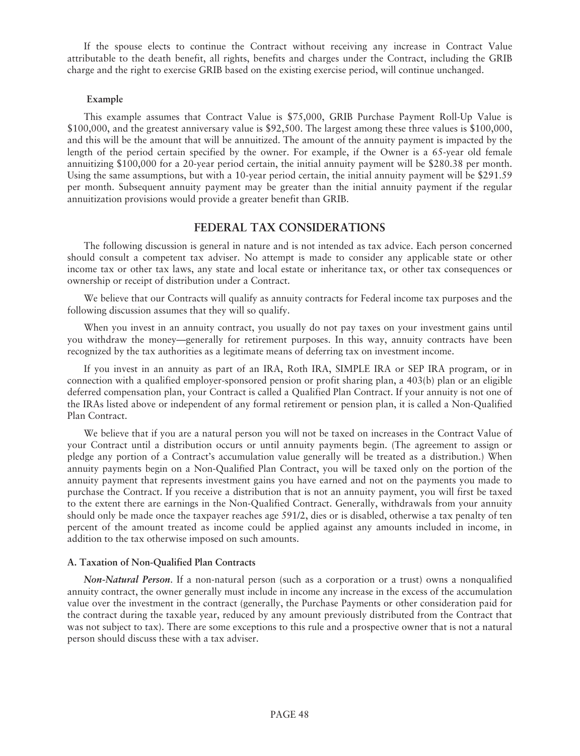If the spouse elects to continue the Contract without receiving any increase in Contract Value attributable to the death benefit, all rights, benefits and charges under the Contract, including the GRIB charge and the right to exercise GRIB based on the existing exercise period, will continue unchanged.

#### **Example**

This example assumes that Contract Value is \$75,000, GRIB Purchase Payment Roll-Up Value is \$100,000, and the greatest anniversary value is \$92,500. The largest among these three values is \$100,000, and this will be the amount that will be annuitized. The amount of the annuity payment is impacted by the length of the period certain specified by the owner. For example, if the Owner is a 65-year old female annuitizing \$100,000 for a 20-year period certain, the initial annuity payment will be \$280.38 per month. Using the same assumptions, but with a 10-year period certain, the initial annuity payment will be \$291.59 per month. Subsequent annuity payment may be greater than the initial annuity payment if the regular annuitization provisions would provide a greater benefit than GRIB.

## **FEDERAL TAX CONSIDERATIONS**

The following discussion is general in nature and is not intended as tax advice. Each person concerned should consult a competent tax adviser. No attempt is made to consider any applicable state or other income tax or other tax laws, any state and local estate or inheritance tax, or other tax consequences or ownership or receipt of distribution under a Contract.

We believe that our Contracts will qualify as annuity contracts for Federal income tax purposes and the following discussion assumes that they will so qualify.

When you invest in an annuity contract, you usually do not pay taxes on your investment gains until you withdraw the money—generally for retirement purposes. In this way, annuity contracts have been recognized by the tax authorities as a legitimate means of deferring tax on investment income.

If you invest in an annuity as part of an IRA, Roth IRA, SIMPLE IRA or SEP IRA program, or in connection with a qualified employer-sponsored pension or profit sharing plan, a 403(b) plan or an eligible deferred compensation plan, your Contract is called a Qualified Plan Contract. If your annuity is not one of the IRAs listed above or independent of any formal retirement or pension plan, it is called a Non-Qualified Plan Contract.

We believe that if you are a natural person you will not be taxed on increases in the Contract Value of your Contract until a distribution occurs or until annuity payments begin. (The agreement to assign or pledge any portion of a Contract's accumulation value generally will be treated as a distribution.) When annuity payments begin on a Non-Qualified Plan Contract, you will be taxed only on the portion of the annuity payment that represents investment gains you have earned and not on the payments you made to purchase the Contract. If you receive a distribution that is not an annuity payment, you will first be taxed to the extent there are earnings in the Non-Qualified Contract. Generally, withdrawals from your annuity should only be made once the taxpayer reaches age 591/2, dies or is disabled, otherwise a tax penalty of ten percent of the amount treated as income could be applied against any amounts included in income, in addition to the tax otherwise imposed on such amounts.

## **A. Taxation of Non-Qualified Plan Contracts**

*Non-Natural Person*. If a non-natural person (such as a corporation or a trust) owns a nonqualified annuity contract, the owner generally must include in income any increase in the excess of the accumulation value over the investment in the contract (generally, the Purchase Payments or other consideration paid for the contract during the taxable year, reduced by any amount previously distributed from the Contract that was not subject to tax). There are some exceptions to this rule and a prospective owner that is not a natural person should discuss these with a tax adviser.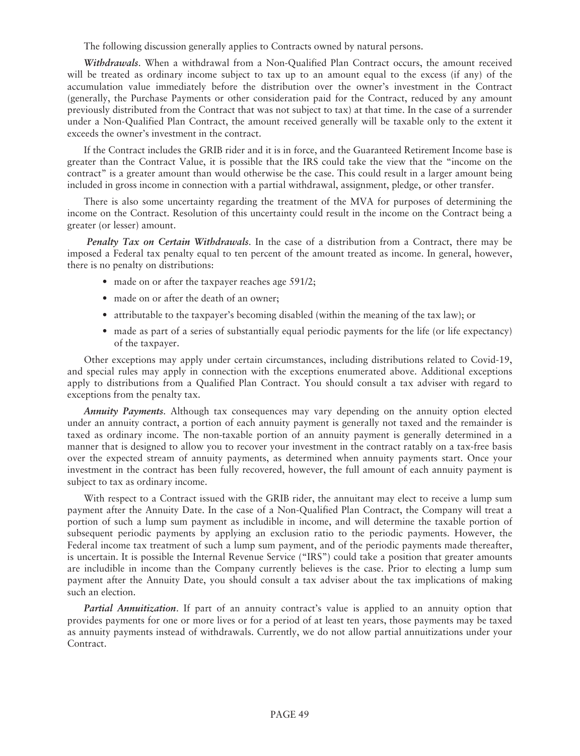The following discussion generally applies to Contracts owned by natural persons.

*Withdrawals*. When a withdrawal from a Non-Qualified Plan Contract occurs, the amount received will be treated as ordinary income subject to tax up to an amount equal to the excess (if any) of the accumulation value immediately before the distribution over the owner's investment in the Contract (generally, the Purchase Payments or other consideration paid for the Contract, reduced by any amount previously distributed from the Contract that was not subject to tax) at that time. In the case of a surrender under a Non-Qualified Plan Contract, the amount received generally will be taxable only to the extent it exceeds the owner's investment in the contract.

If the Contract includes the GRIB rider and it is in force, and the Guaranteed Retirement Income base is greater than the Contract Value, it is possible that the IRS could take the view that the "income on the contract" is a greater amount than would otherwise be the case. This could result in a larger amount being included in gross income in connection with a partial withdrawal, assignment, pledge, or other transfer.

There is also some uncertainty regarding the treatment of the MVA for purposes of determining the income on the Contract. Resolution of this uncertainty could result in the income on the Contract being a greater (or lesser) amount.

*Penalty Tax on Certain Withdrawals*. In the case of a distribution from a Contract, there may be imposed a Federal tax penalty equal to ten percent of the amount treated as income. In general, however, there is no penalty on distributions:

- made on or after the taxpayer reaches age 591/2;
- made on or after the death of an owner;
- attributable to the taxpayer's becoming disabled (within the meaning of the tax law); or
- made as part of a series of substantially equal periodic payments for the life (or life expectancy) of the taxpayer.

Other exceptions may apply under certain circumstances, including distributions related to Covid-19, and special rules may apply in connection with the exceptions enumerated above. Additional exceptions apply to distributions from a Qualified Plan Contract. You should consult a tax adviser with regard to exceptions from the penalty tax.

*Annuity Payments*. Although tax consequences may vary depending on the annuity option elected under an annuity contract, a portion of each annuity payment is generally not taxed and the remainder is taxed as ordinary income. The non-taxable portion of an annuity payment is generally determined in a manner that is designed to allow you to recover your investment in the contract ratably on a tax-free basis over the expected stream of annuity payments, as determined when annuity payments start. Once your investment in the contract has been fully recovered, however, the full amount of each annuity payment is subject to tax as ordinary income.

With respect to a Contract issued with the GRIB rider, the annuitant may elect to receive a lump sum payment after the Annuity Date. In the case of a Non-Qualified Plan Contract, the Company will treat a portion of such a lump sum payment as includible in income, and will determine the taxable portion of subsequent periodic payments by applying an exclusion ratio to the periodic payments. However, the Federal income tax treatment of such a lump sum payment, and of the periodic payments made thereafter, is uncertain. It is possible the Internal Revenue Service ("IRS") could take a position that greater amounts are includible in income than the Company currently believes is the case. Prior to electing a lump sum payment after the Annuity Date, you should consult a tax adviser about the tax implications of making such an election.

*Partial Annuitization*. If part of an annuity contract's value is applied to an annuity option that provides payments for one or more lives or for a period of at least ten years, those payments may be taxed as annuity payments instead of withdrawals. Currently, we do not allow partial annuitizations under your Contract.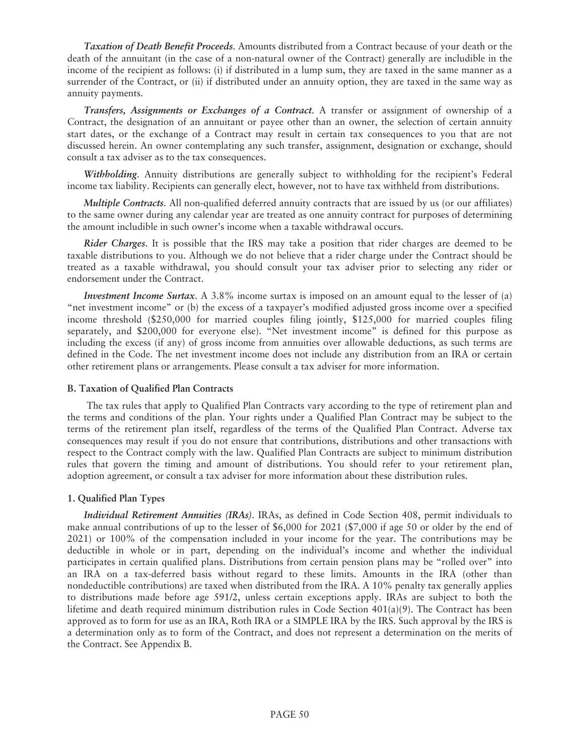*Taxation of Death Benefit Proceeds*. Amounts distributed from a Contract because of your death or the death of the annuitant (in the case of a non-natural owner of the Contract) generally are includible in the income of the recipient as follows: (i) if distributed in a lump sum, they are taxed in the same manner as a surrender of the Contract, or (ii) if distributed under an annuity option, they are taxed in the same way as annuity payments.

*Transfers, Assignments or Exchanges of a Contract*. A transfer or assignment of ownership of a Contract, the designation of an annuitant or payee other than an owner, the selection of certain annuity start dates, or the exchange of a Contract may result in certain tax consequences to you that are not discussed herein. An owner contemplating any such transfer, assignment, designation or exchange, should consult a tax adviser as to the tax consequences.

*Withholding*. Annuity distributions are generally subject to withholding for the recipient's Federal income tax liability. Recipients can generally elect, however, not to have tax withheld from distributions.

*Multiple Contracts*. All non-qualified deferred annuity contracts that are issued by us (or our affiliates) to the same owner during any calendar year are treated as one annuity contract for purposes of determining the amount includible in such owner's income when a taxable withdrawal occurs.

*Rider Charges*. It is possible that the IRS may take a position that rider charges are deemed to be taxable distributions to you. Although we do not believe that a rider charge under the Contract should be treated as a taxable withdrawal, you should consult your tax adviser prior to selecting any rider or endorsement under the Contract.

*Investment Income Surtax.* A 3.8% income surtax is imposed on an amount equal to the lesser of (a) "net investment income" or (b) the excess of a taxpayer's modified adjusted gross income over a specified income threshold (\$250,000 for married couples filing jointly, \$125,000 for married couples filing separately, and \$200,000 for everyone else). "Net investment income" is defined for this purpose as including the excess (if any) of gross income from annuities over allowable deductions, as such terms are defined in the Code. The net investment income does not include any distribution from an IRA or certain other retirement plans or arrangements. Please consult a tax adviser for more information.

### **B. Taxation of Qualified Plan Contracts**

The tax rules that apply to Qualified Plan Contracts vary according to the type of retirement plan and the terms and conditions of the plan. Your rights under a Qualified Plan Contract may be subject to the terms of the retirement plan itself, regardless of the terms of the Qualified Plan Contract. Adverse tax consequences may result if you do not ensure that contributions, distributions and other transactions with respect to the Contract comply with the law. Qualified Plan Contracts are subject to minimum distribution rules that govern the timing and amount of distributions. You should refer to your retirement plan, adoption agreement, or consult a tax adviser for more information about these distribution rules.

### **1. Qualified Plan Types**

*Individual Retirement Annuities (IRAs)*. IRAs, as defined in Code Section 408, permit individuals to make annual contributions of up to the lesser of \$6,000 for 2021 (\$7,000 if age 50 or older by the end of 2021) or 100% of the compensation included in your income for the year. The contributions may be deductible in whole or in part, depending on the individual's income and whether the individual participates in certain qualified plans. Distributions from certain pension plans may be "rolled over" into an IRA on a tax-deferred basis without regard to these limits. Amounts in the IRA (other than nondeductible contributions) are taxed when distributed from the IRA. A 10% penalty tax generally applies to distributions made before age 591/2, unless certain exceptions apply. IRAs are subject to both the lifetime and death required minimum distribution rules in Code Section 401(a)(9). The Contract has been approved as to form for use as an IRA, Roth IRA or a SIMPLE IRA by the IRS. Such approval by the IRS is a determination only as to form of the Contract, and does not represent a determination on the merits of the Contract. See Appendix B.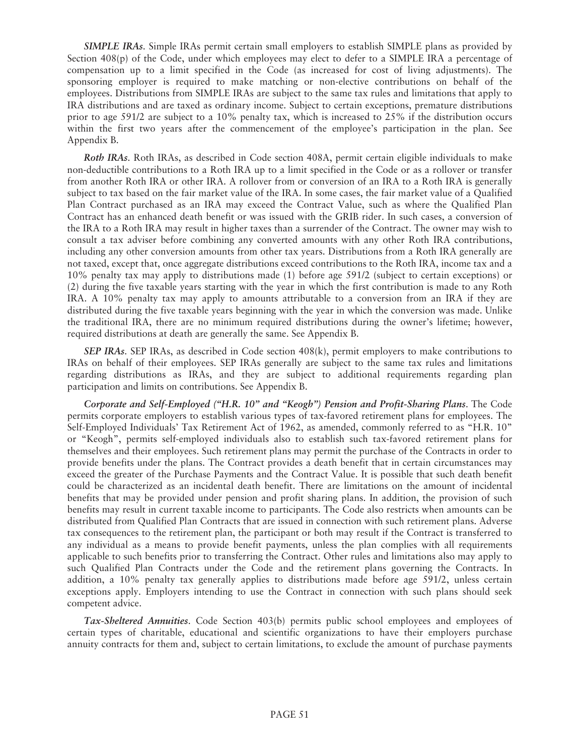*SIMPLE IRAs*. Simple IRAs permit certain small employers to establish SIMPLE plans as provided by Section 408(p) of the Code, under which employees may elect to defer to a SIMPLE IRA a percentage of compensation up to a limit specified in the Code (as increased for cost of living adjustments). The sponsoring employer is required to make matching or non-elective contributions on behalf of the employees. Distributions from SIMPLE IRAs are subject to the same tax rules and limitations that apply to IRA distributions and are taxed as ordinary income. Subject to certain exceptions, premature distributions prior to age 591/2 are subject to a 10% penalty tax, which is increased to 25% if the distribution occurs within the first two years after the commencement of the employee's participation in the plan. See Appendix B.

*Roth IRAs*. Roth IRAs, as described in Code section 408A, permit certain eligible individuals to make non-deductible contributions to a Roth IRA up to a limit specified in the Code or as a rollover or transfer from another Roth IRA or other IRA. A rollover from or conversion of an IRA to a Roth IRA is generally subject to tax based on the fair market value of the IRA. In some cases, the fair market value of a Qualified Plan Contract purchased as an IRA may exceed the Contract Value, such as where the Qualified Plan Contract has an enhanced death benefit or was issued with the GRIB rider. In such cases, a conversion of the IRA to a Roth IRA may result in higher taxes than a surrender of the Contract. The owner may wish to consult a tax adviser before combining any converted amounts with any other Roth IRA contributions, including any other conversion amounts from other tax years. Distributions from a Roth IRA generally are not taxed, except that, once aggregate distributions exceed contributions to the Roth IRA, income tax and a 10% penalty tax may apply to distributions made (1) before age 591/2 (subject to certain exceptions) or (2) during the five taxable years starting with the year in which the first contribution is made to any Roth IRA. A 10% penalty tax may apply to amounts attributable to a conversion from an IRA if they are distributed during the five taxable years beginning with the year in which the conversion was made. Unlike the traditional IRA, there are no minimum required distributions during the owner's lifetime; however, required distributions at death are generally the same. See Appendix B.

*SEP IRAs*. SEP IRAs, as described in Code section 408(k), permit employers to make contributions to IRAs on behalf of their employees. SEP IRAs generally are subject to the same tax rules and limitations regarding distributions as IRAs, and they are subject to additional requirements regarding plan participation and limits on contributions. See Appendix B.

*Corporate and Self-Employed ("H.R. 10" and "Keogh") Pension and Profit-Sharing Plans*. The Code permits corporate employers to establish various types of tax-favored retirement plans for employees. The Self-Employed Individuals' Tax Retirement Act of 1962, as amended, commonly referred to as "H.R. 10" or "Keogh", permits self-employed individuals also to establish such tax-favored retirement plans for themselves and their employees. Such retirement plans may permit the purchase of the Contracts in order to provide benefits under the plans. The Contract provides a death benefit that in certain circumstances may exceed the greater of the Purchase Payments and the Contract Value. It is possible that such death benefit could be characterized as an incidental death benefit. There are limitations on the amount of incidental benefits that may be provided under pension and profit sharing plans. In addition, the provision of such benefits may result in current taxable income to participants. The Code also restricts when amounts can be distributed from Qualified Plan Contracts that are issued in connection with such retirement plans. Adverse tax consequences to the retirement plan, the participant or both may result if the Contract is transferred to any individual as a means to provide benefit payments, unless the plan complies with all requirements applicable to such benefits prior to transferring the Contract. Other rules and limitations also may apply to such Qualified Plan Contracts under the Code and the retirement plans governing the Contracts. In addition, a 10% penalty tax generally applies to distributions made before age 591/2, unless certain exceptions apply. Employers intending to use the Contract in connection with such plans should seek competent advice.

*Tax-Sheltered Annuities*. Code Section 403(b) permits public school employees and employees of certain types of charitable, educational and scientific organizations to have their employers purchase annuity contracts for them and, subject to certain limitations, to exclude the amount of purchase payments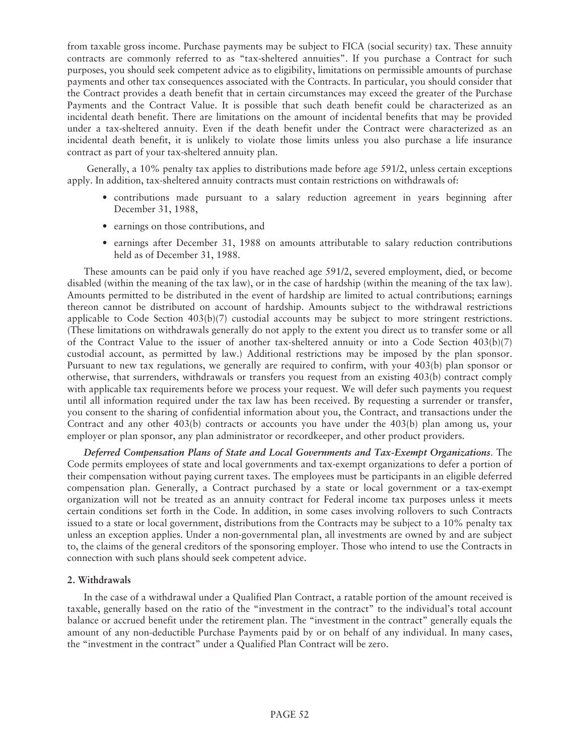from taxable gross income. Purchase payments may be subject to FICA (social security) tax. These annuity contracts are commonly referred to as "tax-sheltered annuities". If you purchase a Contract for such purposes, you should seek competent advice as to eligibility, limitations on permissible amounts of purchase payments and other tax consequences associated with the Contracts. In particular, you should consider that the Contract provides a death benefit that in certain circumstances may exceed the greater of the Purchase Payments and the Contract Value. It is possible that such death benefit could be characterized as an incidental death benefit. There are limitations on the amount of incidental benefits that may be provided under a tax-sheltered annuity. Even if the death benefit under the Contract were characterized as an incidental death benefit, it is unlikely to violate those limits unless you also purchase a life insurance contract as part of your tax-sheltered annuity plan.

Generally, a 10% penalty tax applies to distributions made before age 591/2, unless certain exceptions apply. In addition, tax-sheltered annuity contracts must contain restrictions on withdrawals of:

- contributions made pursuant to a salary reduction agreement in years beginning after December 31, 1988,
- earnings on those contributions, and
- earnings after December 31, 1988 on amounts attributable to salary reduction contributions held as of December 31, 1988.

These amounts can be paid only if you have reached age 591/2, severed employment, died, or become disabled (within the meaning of the tax law), or in the case of hardship (within the meaning of the tax law). Amounts permitted to be distributed in the event of hardship are limited to actual contributions; earnings thereon cannot be distributed on account of hardship. Amounts subject to the withdrawal restrictions applicable to Code Section 403(b)(7) custodial accounts may be subject to more stringent restrictions. (These limitations on withdrawals generally do not apply to the extent you direct us to transfer some or all of the Contract Value to the issuer of another tax-sheltered annuity or into a Code Section 403(b)(7) custodial account, as permitted by law.) Additional restrictions may be imposed by the plan sponsor. Pursuant to new tax regulations, we generally are required to confirm, with your 403(b) plan sponsor or otherwise, that surrenders, withdrawals or transfers you request from an existing 403(b) contract comply with applicable tax requirements before we process your request. We will defer such payments you request until all information required under the tax law has been received. By requesting a surrender or transfer, you consent to the sharing of confidential information about you, the Contract, and transactions under the Contract and any other 403(b) contracts or accounts you have under the 403(b) plan among us, your employer or plan sponsor, any plan administrator or recordkeeper, and other product providers.

*Deferred Compensation Plans of State and Local Governments and Tax-Exempt Organizations*. The Code permits employees of state and local governments and tax-exempt organizations to defer a portion of their compensation without paying current taxes. The employees must be participants in an eligible deferred compensation plan. Generally, a Contract purchased by a state or local government or a tax-exempt organization will not be treated as an annuity contract for Federal income tax purposes unless it meets certain conditions set forth in the Code. In addition, in some cases involving rollovers to such Contracts issued to a state or local government, distributions from the Contracts may be subject to a 10% penalty tax unless an exception applies. Under a non-governmental plan, all investments are owned by and are subject to, the claims of the general creditors of the sponsoring employer. Those who intend to use the Contracts in connection with such plans should seek competent advice.

#### **2. Withdrawals**

In the case of a withdrawal under a Qualified Plan Contract, a ratable portion of the amount received is taxable, generally based on the ratio of the "investment in the contract" to the individual's total account balance or accrued benefit under the retirement plan. The "investment in the contract" generally equals the amount of any non-deductible Purchase Payments paid by or on behalf of any individual. In many cases, the "investment in the contract" under a Qualified Plan Contract will be zero.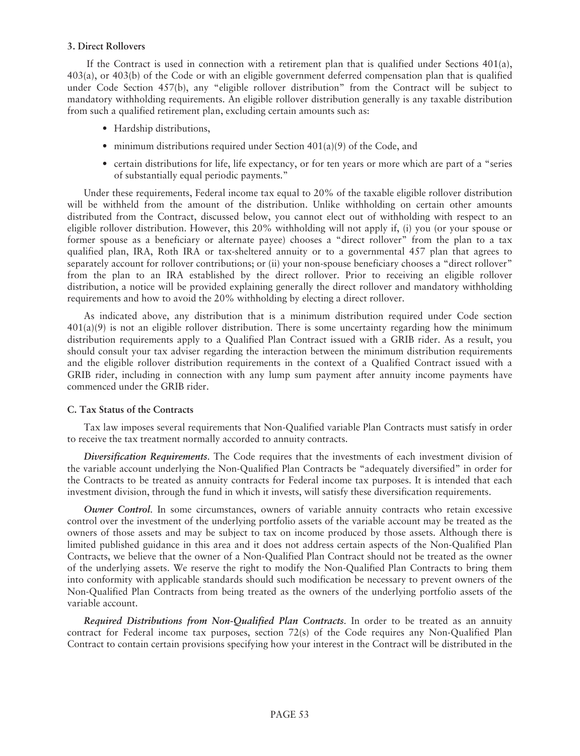#### **3. Direct Rollovers**

If the Contract is used in connection with a retirement plan that is qualified under Sections 401(a), 403(a), or 403(b) of the Code or with an eligible government deferred compensation plan that is qualified under Code Section 457(b), any "eligible rollover distribution" from the Contract will be subject to mandatory withholding requirements. An eligible rollover distribution generally is any taxable distribution from such a qualified retirement plan, excluding certain amounts such as:

- Hardship distributions,
- minimum distributions required under Section  $401(a)(9)$  of the Code, and
- certain distributions for life, life expectancy, or for ten years or more which are part of a "series of substantially equal periodic payments."

Under these requirements, Federal income tax equal to 20% of the taxable eligible rollover distribution will be withheld from the amount of the distribution. Unlike withholding on certain other amounts distributed from the Contract, discussed below, you cannot elect out of withholding with respect to an eligible rollover distribution. However, this 20% withholding will not apply if, (i) you (or your spouse or former spouse as a beneficiary or alternate payee) chooses a "direct rollover" from the plan to a tax qualified plan, IRA, Roth IRA or tax-sheltered annuity or to a governmental 457 plan that agrees to separately account for rollover contributions; or (ii) your non-spouse beneficiary chooses a "direct rollover" from the plan to an IRA established by the direct rollover. Prior to receiving an eligible rollover distribution, a notice will be provided explaining generally the direct rollover and mandatory withholding requirements and how to avoid the 20% withholding by electing a direct rollover.

As indicated above, any distribution that is a minimum distribution required under Code section 401(a)(9) is not an eligible rollover distribution. There is some uncertainty regarding how the minimum distribution requirements apply to a Qualified Plan Contract issued with a GRIB rider. As a result, you should consult your tax adviser regarding the interaction between the minimum distribution requirements and the eligible rollover distribution requirements in the context of a Qualified Contract issued with a GRIB rider, including in connection with any lump sum payment after annuity income payments have commenced under the GRIB rider.

### **C. Tax Status of the Contracts**

Tax law imposes several requirements that Non-Qualified variable Plan Contracts must satisfy in order to receive the tax treatment normally accorded to annuity contracts.

*Diversification Requirements*. The Code requires that the investments of each investment division of the variable account underlying the Non-Qualified Plan Contracts be "adequately diversified" in order for the Contracts to be treated as annuity contracts for Federal income tax purposes. It is intended that each investment division, through the fund in which it invests, will satisfy these diversification requirements.

*Owner Control*. In some circumstances, owners of variable annuity contracts who retain excessive control over the investment of the underlying portfolio assets of the variable account may be treated as the owners of those assets and may be subject to tax on income produced by those assets. Although there is limited published guidance in this area and it does not address certain aspects of the Non-Qualified Plan Contracts, we believe that the owner of a Non-Qualified Plan Contract should not be treated as the owner of the underlying assets. We reserve the right to modify the Non-Qualified Plan Contracts to bring them into conformity with applicable standards should such modification be necessary to prevent owners of the Non-Qualified Plan Contracts from being treated as the owners of the underlying portfolio assets of the variable account.

*Required Distributions from Non-Qualified Plan Contracts*. In order to be treated as an annuity contract for Federal income tax purposes, section 72(s) of the Code requires any Non-Qualified Plan Contract to contain certain provisions specifying how your interest in the Contract will be distributed in the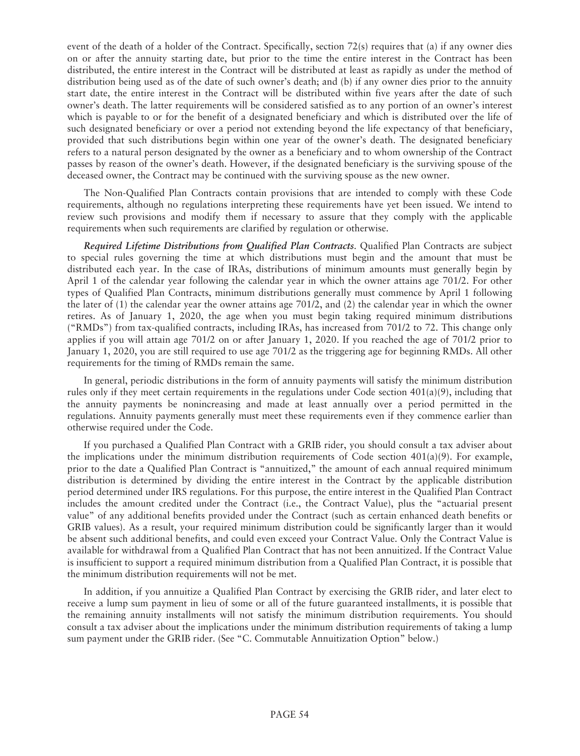event of the death of a holder of the Contract. Specifically, section 72(s) requires that (a) if any owner dies on or after the annuity starting date, but prior to the time the entire interest in the Contract has been distributed, the entire interest in the Contract will be distributed at least as rapidly as under the method of distribution being used as of the date of such owner's death; and (b) if any owner dies prior to the annuity start date, the entire interest in the Contract will be distributed within five years after the date of such owner's death. The latter requirements will be considered satisfied as to any portion of an owner's interest which is payable to or for the benefit of a designated beneficiary and which is distributed over the life of such designated beneficiary or over a period not extending beyond the life expectancy of that beneficiary, provided that such distributions begin within one year of the owner's death. The designated beneficiary refers to a natural person designated by the owner as a beneficiary and to whom ownership of the Contract passes by reason of the owner's death. However, if the designated beneficiary is the surviving spouse of the deceased owner, the Contract may be continued with the surviving spouse as the new owner.

The Non-Qualified Plan Contracts contain provisions that are intended to comply with these Code requirements, although no regulations interpreting these requirements have yet been issued. We intend to review such provisions and modify them if necessary to assure that they comply with the applicable requirements when such requirements are clarified by regulation or otherwise.

*Required Lifetime Distributions from Qualified Plan Contracts*. Qualified Plan Contracts are subject to special rules governing the time at which distributions must begin and the amount that must be distributed each year. In the case of IRAs, distributions of minimum amounts must generally begin by April 1 of the calendar year following the calendar year in which the owner attains age 701/2. For other types of Qualified Plan Contracts, minimum distributions generally must commence by April 1 following the later of (1) the calendar year the owner attains age 701/2, and (2) the calendar year in which the owner retires. As of January 1, 2020, the age when you must begin taking required minimum distributions ("RMDs") from tax-qualified contracts, including IRAs, has increased from 701/2 to 72. This change only applies if you will attain age 701/2 on or after January 1, 2020. If you reached the age of 701/2 prior to January 1, 2020, you are still required to use age 701/2 as the triggering age for beginning RMDs. All other requirements for the timing of RMDs remain the same.

In general, periodic distributions in the form of annuity payments will satisfy the minimum distribution rules only if they meet certain requirements in the regulations under Code section  $401(a)(9)$ , including that the annuity payments be nonincreasing and made at least annually over a period permitted in the regulations. Annuity payments generally must meet these requirements even if they commence earlier than otherwise required under the Code.

If you purchased a Qualified Plan Contract with a GRIB rider, you should consult a tax adviser about the implications under the minimum distribution requirements of Code section  $401(a)(9)$ . For example, prior to the date a Qualified Plan Contract is "annuitized," the amount of each annual required minimum distribution is determined by dividing the entire interest in the Contract by the applicable distribution period determined under IRS regulations. For this purpose, the entire interest in the Qualified Plan Contract includes the amount credited under the Contract (i.e., the Contract Value), plus the "actuarial present value" of any additional benefits provided under the Contract (such as certain enhanced death benefits or GRIB values). As a result, your required minimum distribution could be significantly larger than it would be absent such additional benefits, and could even exceed your Contract Value. Only the Contract Value is available for withdrawal from a Qualified Plan Contract that has not been annuitized. If the Contract Value is insufficient to support a required minimum distribution from a Qualified Plan Contract, it is possible that the minimum distribution requirements will not be met.

In addition, if you annuitize a Qualified Plan Contract by exercising the GRIB rider, and later elect to receive a lump sum payment in lieu of some or all of the future guaranteed installments, it is possible that the remaining annuity installments will not satisfy the minimum distribution requirements. You should consult a tax adviser about the implications under the minimum distribution requirements of taking a lump sum payment under the GRIB rider. (See "C. Commutable Annuitization Option" below.)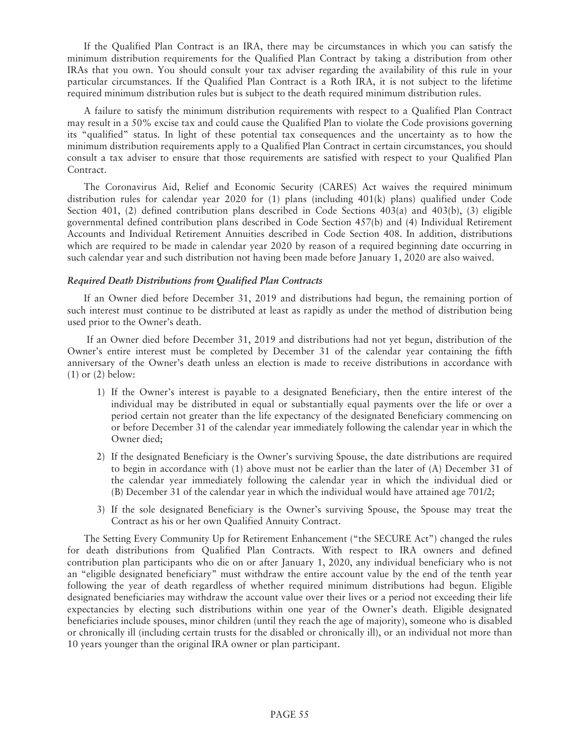If the Qualified Plan Contract is an IRA, there may be circumstances in which you can satisfy the minimum distribution requirements for the Qualified Plan Contract by taking a distribution from other IRAs that you own. You should consult your tax adviser regarding the availability of this rule in your particular circumstances. If the Qualified Plan Contract is a Roth IRA, it is not subject to the lifetime required minimum distribution rules but is subject to the death required minimum distribution rules.

A failure to satisfy the minimum distribution requirements with respect to a Qualified Plan Contract may result in a 50% excise tax and could cause the Qualified Plan to violate the Code provisions governing its "qualified" status. In light of these potential tax consequences and the uncertainty as to how the minimum distribution requirements apply to a Qualified Plan Contract in certain circumstances, you should consult a tax adviser to ensure that those requirements are satisfied with respect to your Qualified Plan Contract.

The Coronavirus Aid, Relief and Economic Security (CARES) Act waives the required minimum distribution rules for calendar year 2020 for (1) plans (including 401(k) plans) qualified under Code Section 401, (2) defined contribution plans described in Code Sections 403(a) and 403(b), (3) eligible governmental defined contribution plans described in Code Section 457(b) and (4) Individual Retirement Accounts and Individual Retirement Annuities described in Code Section 408. In addition, distributions which are required to be made in calendar year 2020 by reason of a required beginning date occurring in such calendar year and such distribution not having been made before January 1, 2020 are also waived.

### *Required Death Distributions from Qualified Plan Contracts*

If an Owner died before December 31, 2019 and distributions had begun, the remaining portion of such interest must continue to be distributed at least as rapidly as under the method of distribution being used prior to the Owner's death.

If an Owner died before December 31, 2019 and distributions had not yet begun, distribution of the Owner's entire interest must be completed by December 31 of the calendar year containing the fifth anniversary of the Owner's death unless an election is made to receive distributions in accordance with (1) or (2) below:

- 1) If the Owner's interest is payable to a designated Beneficiary, then the entire interest of the individual may be distributed in equal or substantially equal payments over the life or over a period certain not greater than the life expectancy of the designated Beneficiary commencing on or before December 31 of the calendar year immediately following the calendar year in which the Owner died;
- 2) If the designated Beneficiary is the Owner's surviving Spouse, the date distributions are required to begin in accordance with (1) above must not be earlier than the later of (A) December 31 of the calendar year immediately following the calendar year in which the individual died or (B) December 31 of the calendar year in which the individual would have attained age 701/2;
- 3) If the sole designated Beneficiary is the Owner's surviving Spouse, the Spouse may treat the Contract as his or her own Qualified Annuity Contract.

The Setting Every Community Up for Retirement Enhancement ("the SECURE Act") changed the rules for death distributions from Qualified Plan Contracts. With respect to IRA owners and defined contribution plan participants who die on or after January 1, 2020, any individual beneficiary who is not an "eligible designated beneficiary" must withdraw the entire account value by the end of the tenth year following the year of death regardless of whether required minimum distributions had begun. Eligible designated beneficiaries may withdraw the account value over their lives or a period not exceeding their life expectancies by electing such distributions within one year of the Owner's death. Eligible designated beneficiaries include spouses, minor children (until they reach the age of majority), someone who is disabled or chronically ill (including certain trusts for the disabled or chronically ill), or an individual not more than 10 years younger than the original IRA owner or plan participant.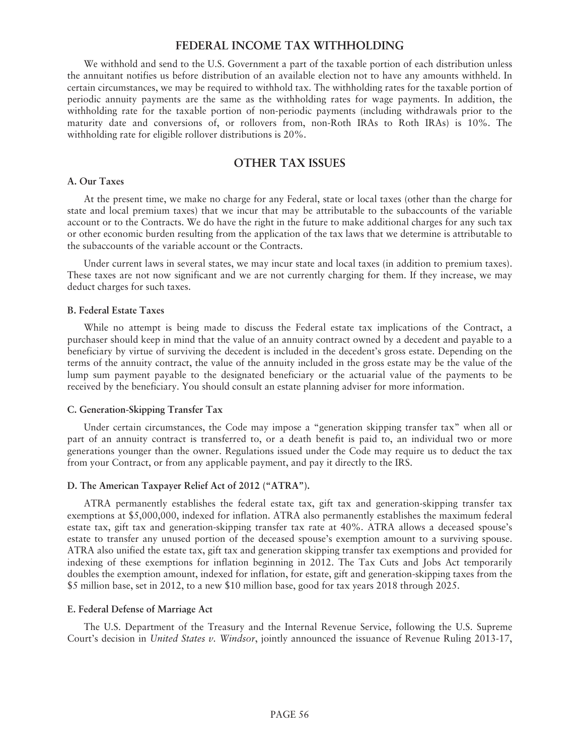# **FEDERAL INCOME TAX WITHHOLDING**

We withhold and send to the U.S. Government a part of the taxable portion of each distribution unless the annuitant notifies us before distribution of an available election not to have any amounts withheld. In certain circumstances, we may be required to withhold tax. The withholding rates for the taxable portion of periodic annuity payments are the same as the withholding rates for wage payments. In addition, the withholding rate for the taxable portion of non-periodic payments (including withdrawals prior to the maturity date and conversions of, or rollovers from, non-Roth IRAs to Roth IRAs) is 10%. The withholding rate for eligible rollover distributions is 20%.

# **OTHER TAX ISSUES**

#### **A. Our Taxes**

At the present time, we make no charge for any Federal, state or local taxes (other than the charge for state and local premium taxes) that we incur that may be attributable to the subaccounts of the variable account or to the Contracts. We do have the right in the future to make additional charges for any such tax or other economic burden resulting from the application of the tax laws that we determine is attributable to the subaccounts of the variable account or the Contracts.

Under current laws in several states, we may incur state and local taxes (in addition to premium taxes). These taxes are not now significant and we are not currently charging for them. If they increase, we may deduct charges for such taxes.

#### **B. Federal Estate Taxes**

While no attempt is being made to discuss the Federal estate tax implications of the Contract, a purchaser should keep in mind that the value of an annuity contract owned by a decedent and payable to a beneficiary by virtue of surviving the decedent is included in the decedent's gross estate. Depending on the terms of the annuity contract, the value of the annuity included in the gross estate may be the value of the lump sum payment payable to the designated beneficiary or the actuarial value of the payments to be received by the beneficiary. You should consult an estate planning adviser for more information.

### **C. Generation-Skipping Transfer Tax**

Under certain circumstances, the Code may impose a "generation skipping transfer tax" when all or part of an annuity contract is transferred to, or a death benefit is paid to, an individual two or more generations younger than the owner. Regulations issued under the Code may require us to deduct the tax from your Contract, or from any applicable payment, and pay it directly to the IRS.

### **D. The American Taxpayer Relief Act of 2012 ("ATRA").**

ATRA permanently establishes the federal estate tax, gift tax and generation-skipping transfer tax exemptions at \$5,000,000, indexed for inflation. ATRA also permanently establishes the maximum federal estate tax, gift tax and generation-skipping transfer tax rate at 40%. ATRA allows a deceased spouse's estate to transfer any unused portion of the deceased spouse's exemption amount to a surviving spouse. ATRA also unified the estate tax, gift tax and generation skipping transfer tax exemptions and provided for indexing of these exemptions for inflation beginning in 2012. The Tax Cuts and Jobs Act temporarily doubles the exemption amount, indexed for inflation, for estate, gift and generation-skipping taxes from the \$5 million base, set in 2012, to a new \$10 million base, good for tax years 2018 through 2025.

#### **E. Federal Defense of Marriage Act**

The U.S. Department of the Treasury and the Internal Revenue Service, following the U.S. Supreme Court's decision in *United States v. Windsor*, jointly announced the issuance of Revenue Ruling 2013-17,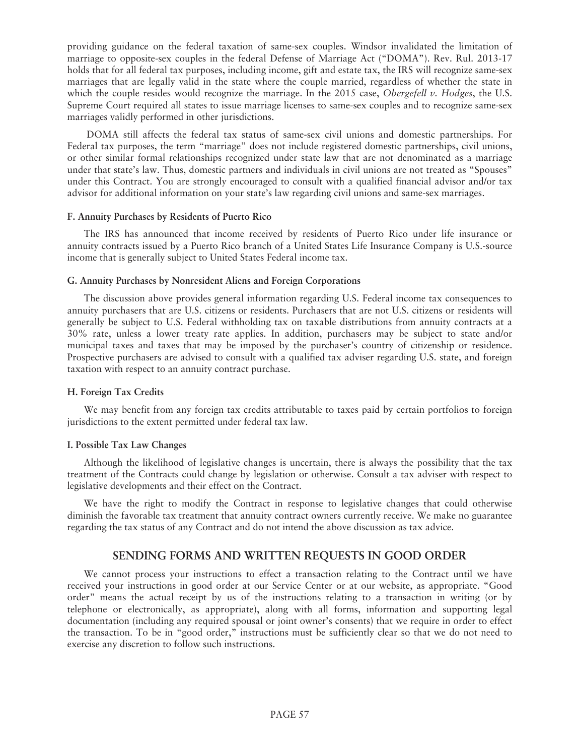providing guidance on the federal taxation of same-sex couples. Windsor invalidated the limitation of marriage to opposite-sex couples in the federal Defense of Marriage Act ("DOMA"). Rev. Rul. 2013-17 holds that for all federal tax purposes, including income, gift and estate tax, the IRS will recognize same-sex marriages that are legally valid in the state where the couple married, regardless of whether the state in which the couple resides would recognize the marriage. In the 2015 case, *Obergefell v. Hodges*, the U.S. Supreme Court required all states to issue marriage licenses to same-sex couples and to recognize same-sex marriages validly performed in other jurisdictions.

DOMA still affects the federal tax status of same-sex civil unions and domestic partnerships. For Federal tax purposes, the term "marriage" does not include registered domestic partnerships, civil unions, or other similar formal relationships recognized under state law that are not denominated as a marriage under that state's law. Thus, domestic partners and individuals in civil unions are not treated as "Spouses" under this Contract. You are strongly encouraged to consult with a qualified financial advisor and/or tax advisor for additional information on your state's law regarding civil unions and same-sex marriages.

#### **F. Annuity Purchases by Residents of Puerto Rico**

The IRS has announced that income received by residents of Puerto Rico under life insurance or annuity contracts issued by a Puerto Rico branch of a United States Life Insurance Company is U.S.-source income that is generally subject to United States Federal income tax.

### **G. Annuity Purchases by Nonresident Aliens and Foreign Corporations**

The discussion above provides general information regarding U.S. Federal income tax consequences to annuity purchasers that are U.S. citizens or residents. Purchasers that are not U.S. citizens or residents will generally be subject to U.S. Federal withholding tax on taxable distributions from annuity contracts at a 30% rate, unless a lower treaty rate applies. In addition, purchasers may be subject to state and/or municipal taxes and taxes that may be imposed by the purchaser's country of citizenship or residence. Prospective purchasers are advised to consult with a qualified tax adviser regarding U.S. state, and foreign taxation with respect to an annuity contract purchase.

### **H. Foreign Tax Credits**

We may benefit from any foreign tax credits attributable to taxes paid by certain portfolios to foreign jurisdictions to the extent permitted under federal tax law.

### **I. Possible Tax Law Changes**

Although the likelihood of legislative changes is uncertain, there is always the possibility that the tax treatment of the Contracts could change by legislation or otherwise. Consult a tax adviser with respect to legislative developments and their effect on the Contract.

We have the right to modify the Contract in response to legislative changes that could otherwise diminish the favorable tax treatment that annuity contract owners currently receive. We make no guarantee regarding the tax status of any Contract and do not intend the above discussion as tax advice.

# **SENDING FORMS AND WRITTEN REQUESTS IN GOOD ORDER**

We cannot process your instructions to effect a transaction relating to the Contract until we have received your instructions in good order at our Service Center or at our website, as appropriate. "Good order" means the actual receipt by us of the instructions relating to a transaction in writing (or by telephone or electronically, as appropriate), along with all forms, information and supporting legal documentation (including any required spousal or joint owner's consents) that we require in order to effect the transaction. To be in "good order," instructions must be sufficiently clear so that we do not need to exercise any discretion to follow such instructions.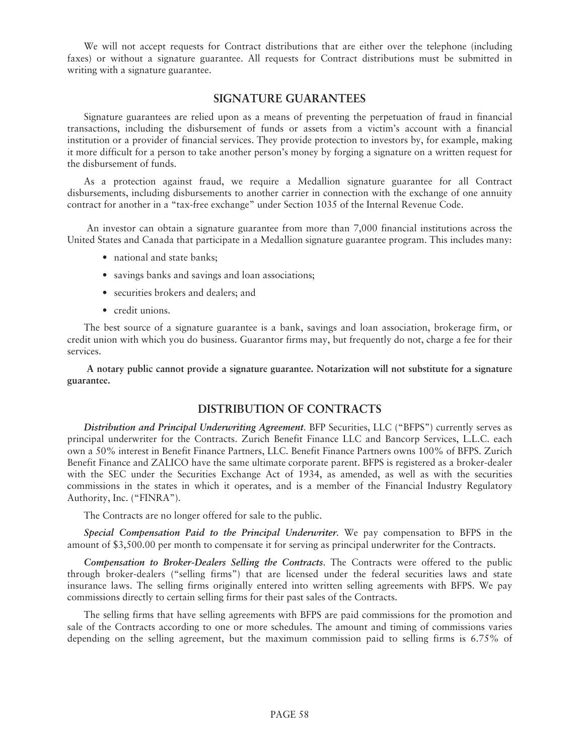We will not accept requests for Contract distributions that are either over the telephone (including faxes) or without a signature guarantee. All requests for Contract distributions must be submitted in writing with a signature guarantee.

## **SIGNATURE GUARANTEES**

Signature guarantees are relied upon as a means of preventing the perpetuation of fraud in financial transactions, including the disbursement of funds or assets from a victim's account with a financial institution or a provider of financial services. They provide protection to investors by, for example, making it more difficult for a person to take another person's money by forging a signature on a written request for the disbursement of funds.

As a protection against fraud, we require a Medallion signature guarantee for all Contract disbursements, including disbursements to another carrier in connection with the exchange of one annuity contract for another in a "tax-free exchange" under Section 1035 of the Internal Revenue Code.

An investor can obtain a signature guarantee from more than 7,000 financial institutions across the United States and Canada that participate in a Medallion signature guarantee program. This includes many:

- national and state banks;
- savings banks and savings and loan associations;
- securities brokers and dealers; and
- credit unions.

The best source of a signature guarantee is a bank, savings and loan association, brokerage firm, or credit union with which you do business. Guarantor firms may, but frequently do not, charge a fee for their services.

**A notary public cannot provide a signature guarantee. Notarization will not substitute for a signature guarantee.**

# **DISTRIBUTION OF CONTRACTS**

*Distribution and Principal Underwriting Agreement*. BFP Securities, LLC ("BFPS") currently serves as principal underwriter for the Contracts. Zurich Benefit Finance LLC and Bancorp Services, L.L.C. each own a 50% interest in Benefit Finance Partners, LLC. Benefit Finance Partners owns 100% of BFPS. Zurich Benefit Finance and ZALICO have the same ultimate corporate parent. BFPS is registered as a broker-dealer with the SEC under the Securities Exchange Act of 1934, as amended, as well as with the securities commissions in the states in which it operates, and is a member of the Financial Industry Regulatory Authority, Inc. ("FINRA").

The Contracts are no longer offered for sale to the public.

*Special Compensation Paid to the Principal Underwriter*. We pay compensation to BFPS in the amount of \$3,500.00 per month to compensate it for serving as principal underwriter for the Contracts.

*Compensation to Broker-Dealers Selling the Contracts*. The Contracts were offered to the public through broker-dealers ("selling firms") that are licensed under the federal securities laws and state insurance laws. The selling firms originally entered into written selling agreements with BFPS. We pay commissions directly to certain selling firms for their past sales of the Contracts.

The selling firms that have selling agreements with BFPS are paid commissions for the promotion and sale of the Contracts according to one or more schedules. The amount and timing of commissions varies depending on the selling agreement, but the maximum commission paid to selling firms is 6.75% of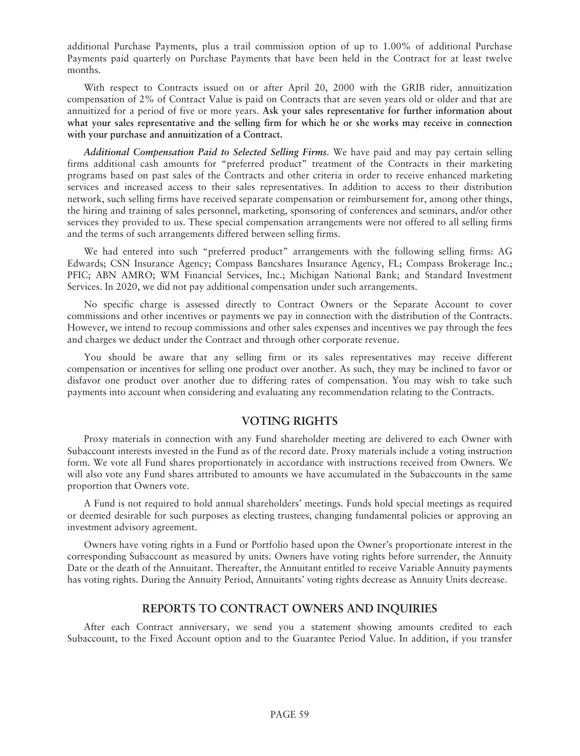additional Purchase Payments, plus a trail commission option of up to 1.00% of additional Purchase Payments paid quarterly on Purchase Payments that have been held in the Contract for at least twelve months.

With respect to Contracts issued on or after April 20, 2000 with the GRIB rider, annuitization compensation of 2% of Contract Value is paid on Contracts that are seven years old or older and that are annuitized for a period of five or more years. **Ask your sales representative for further information about what your sales representative and the selling firm for which he or she works may receive in connection with your purchase and annuitization of a Contract.**

*Additional Compensation Paid to Selected Selling Firms*. We have paid and may pay certain selling firms additional cash amounts for "preferred product" treatment of the Contracts in their marketing programs based on past sales of the Contracts and other criteria in order to receive enhanced marketing services and increased access to their sales representatives. In addition to access to their distribution network, such selling firms have received separate compensation or reimbursement for, among other things, the hiring and training of sales personnel, marketing, sponsoring of conferences and seminars, and/or other services they provided to us. These special compensation arrangements were not offered to all selling firms and the terms of such arrangements differed between selling firms.

We had entered into such "preferred product" arrangements with the following selling firms: AG Edwards; CSN Insurance Agency; Compass Bancshares Insurance Agency, FL; Compass Brokerage Inc.; PFIC; ABN AMRO; WM Financial Services, Inc.; Michigan National Bank; and Standard Investment Services. In 2020, we did not pay additional compensation under such arrangements.

No specific charge is assessed directly to Contract Owners or the Separate Account to cover commissions and other incentives or payments we pay in connection with the distribution of the Contracts. However, we intend to recoup commissions and other sales expenses and incentives we pay through the fees and charges we deduct under the Contract and through other corporate revenue.

You should be aware that any selling firm or its sales representatives may receive different compensation or incentives for selling one product over another. As such, they may be inclined to favor or disfavor one product over another due to differing rates of compensation. You may wish to take such payments into account when considering and evaluating any recommendation relating to the Contracts.

# **VOTING RIGHTS**

Proxy materials in connection with any Fund shareholder meeting are delivered to each Owner with Subaccount interests invested in the Fund as of the record date. Proxy materials include a voting instruction form. We vote all Fund shares proportionately in accordance with instructions received from Owners. We will also vote any Fund shares attributed to amounts we have accumulated in the Subaccounts in the same proportion that Owners vote.

A Fund is not required to hold annual shareholders' meetings. Funds hold special meetings as required or deemed desirable for such purposes as electing trustees, changing fundamental policies or approving an investment advisory agreement.

Owners have voting rights in a Fund or Portfolio based upon the Owner's proportionate interest in the corresponding Subaccount as measured by units. Owners have voting rights before surrender, the Annuity Date or the death of the Annuitant. Thereafter, the Annuitant entitled to receive Variable Annuity payments has voting rights. During the Annuity Period, Annuitants' voting rights decrease as Annuity Units decrease.

# **REPORTS TO CONTRACT OWNERS AND INQUIRIES**

After each Contract anniversary, we send you a statement showing amounts credited to each Subaccount, to the Fixed Account option and to the Guarantee Period Value. In addition, if you transfer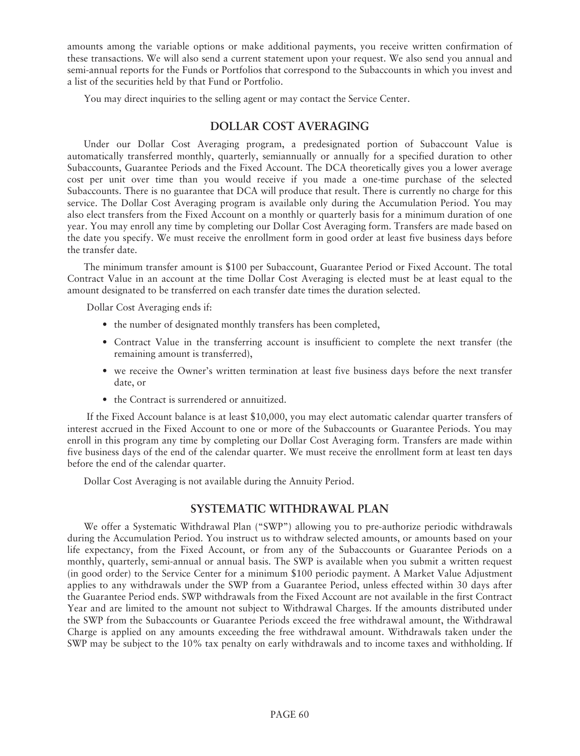amounts among the variable options or make additional payments, you receive written confirmation of these transactions. We will also send a current statement upon your request. We also send you annual and semi-annual reports for the Funds or Portfolios that correspond to the Subaccounts in which you invest and a list of the securities held by that Fund or Portfolio.

You may direct inquiries to the selling agent or may contact the Service Center.

# **DOLLAR COST AVERAGING**

Under our Dollar Cost Averaging program, a predesignated portion of Subaccount Value is automatically transferred monthly, quarterly, semiannually or annually for a specified duration to other Subaccounts, Guarantee Periods and the Fixed Account. The DCA theoretically gives you a lower average cost per unit over time than you would receive if you made a one-time purchase of the selected Subaccounts. There is no guarantee that DCA will produce that result. There is currently no charge for this service. The Dollar Cost Averaging program is available only during the Accumulation Period. You may also elect transfers from the Fixed Account on a monthly or quarterly basis for a minimum duration of one year. You may enroll any time by completing our Dollar Cost Averaging form. Transfers are made based on the date you specify. We must receive the enrollment form in good order at least five business days before the transfer date.

The minimum transfer amount is \$100 per Subaccount, Guarantee Period or Fixed Account. The total Contract Value in an account at the time Dollar Cost Averaging is elected must be at least equal to the amount designated to be transferred on each transfer date times the duration selected.

Dollar Cost Averaging ends if:

- the number of designated monthly transfers has been completed,
- Contract Value in the transferring account is insufficient to complete the next transfer (the remaining amount is transferred),
- we receive the Owner's written termination at least five business days before the next transfer date, or
- the Contract is surrendered or annuitized.

If the Fixed Account balance is at least \$10,000, you may elect automatic calendar quarter transfers of interest accrued in the Fixed Account to one or more of the Subaccounts or Guarantee Periods. You may enroll in this program any time by completing our Dollar Cost Averaging form. Transfers are made within five business days of the end of the calendar quarter. We must receive the enrollment form at least ten days before the end of the calendar quarter.

Dollar Cost Averaging is not available during the Annuity Period.

# **SYSTEMATIC WITHDRAWAL PLAN**

We offer a Systematic Withdrawal Plan ("SWP") allowing you to pre-authorize periodic withdrawals during the Accumulation Period. You instruct us to withdraw selected amounts, or amounts based on your life expectancy, from the Fixed Account, or from any of the Subaccounts or Guarantee Periods on a monthly, quarterly, semi-annual or annual basis. The SWP is available when you submit a written request (in good order) to the Service Center for a minimum \$100 periodic payment. A Market Value Adjustment applies to any withdrawals under the SWP from a Guarantee Period, unless effected within 30 days after the Guarantee Period ends. SWP withdrawals from the Fixed Account are not available in the first Contract Year and are limited to the amount not subject to Withdrawal Charges. If the amounts distributed under the SWP from the Subaccounts or Guarantee Periods exceed the free withdrawal amount, the Withdrawal Charge is applied on any amounts exceeding the free withdrawal amount. Withdrawals taken under the SWP may be subject to the 10% tax penalty on early withdrawals and to income taxes and withholding. If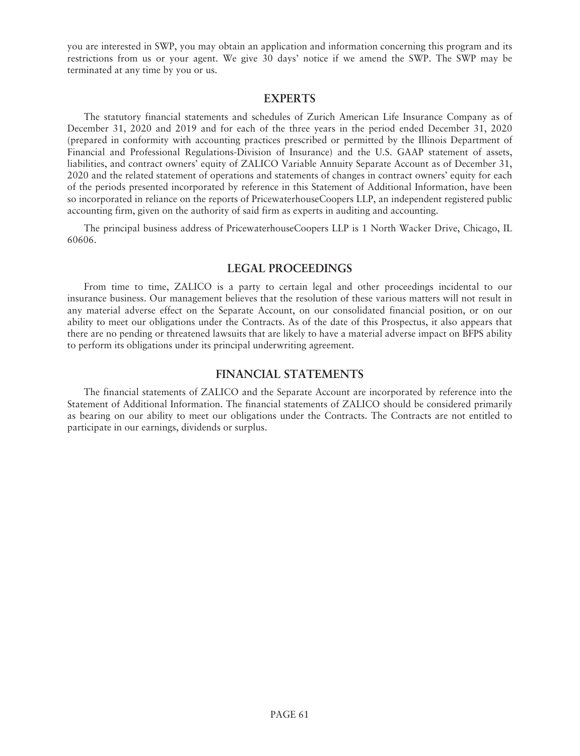you are interested in SWP, you may obtain an application and information concerning this program and its restrictions from us or your agent. We give 30 days' notice if we amend the SWP. The SWP may be terminated at any time by you or us.

#### **EXPERTS**

The statutory financial statements and schedules of Zurich American Life Insurance Company as of December 31, 2020 and 2019 and for each of the three years in the period ended December 31, 2020 (prepared in conformity with accounting practices prescribed or permitted by the Illinois Department of Financial and Professional Regulations-Division of Insurance) and the U.S. GAAP statement of assets, liabilities, and contract owners' equity of ZALICO Variable Annuity Separate Account as of December 31, 2020 and the related statement of operations and statements of changes in contract owners' equity for each of the periods presented incorporated by reference in this Statement of Additional Information, have been so incorporated in reliance on the reports of PricewaterhouseCoopers LLP, an independent registered public accounting firm, given on the authority of said firm as experts in auditing and accounting.

The principal business address of PricewaterhouseCoopers LLP is 1 North Wacker Drive, Chicago, IL 60606.

## **LEGAL PROCEEDINGS**

From time to time, ZALICO is a party to certain legal and other proceedings incidental to our insurance business. Our management believes that the resolution of these various matters will not result in any material adverse effect on the Separate Account, on our consolidated financial position, or on our ability to meet our obligations under the Contracts. As of the date of this Prospectus, it also appears that there are no pending or threatened lawsuits that are likely to have a material adverse impact on BFPS ability to perform its obligations under its principal underwriting agreement.

# **FINANCIAL STATEMENTS**

The financial statements of ZALICO and the Separate Account are incorporated by reference into the Statement of Additional Information. The financial statements of ZALICO should be considered primarily as bearing on our ability to meet our obligations under the Contracts. The Contracts are not entitled to participate in our earnings, dividends or surplus.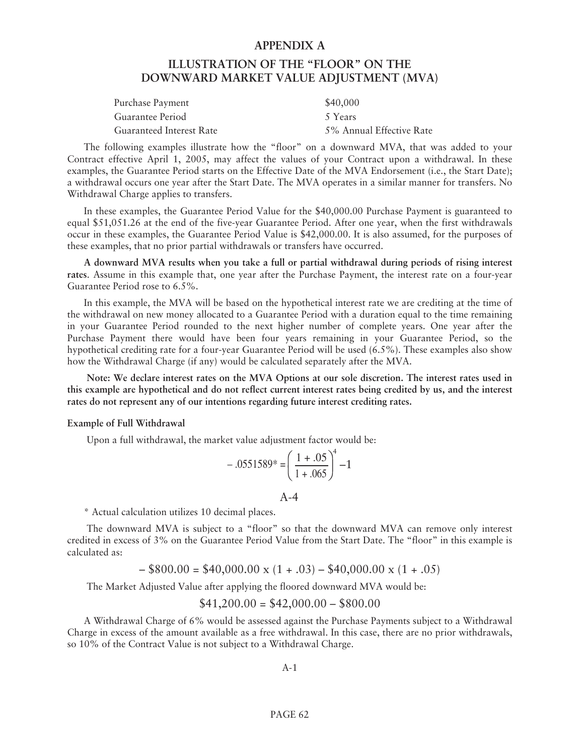#### **APPENDIX A**

# **ILLUSTRATION OF THE "FLOOR" ON THE DOWNWARD MARKET VALUE ADJUSTMENT (MVA)**

| Purchase Payment         | \$40,000                 |
|--------------------------|--------------------------|
| Guarantee Period         | 5 Years                  |
| Guaranteed Interest Rate | 5% Annual Effective Rate |

The following examples illustrate how the "floor" on a downward MVA, that was added to your Contract effective April 1, 2005, may affect the values of your Contract upon a withdrawal. In these examples, the Guarantee Period starts on the Effective Date of the MVA Endorsement (i.e., the Start Date); a withdrawal occurs one year after the Start Date. The MVA operates in a similar manner for transfers. No Withdrawal Charge applies to transfers.

In these examples, the Guarantee Period Value for the \$40,000.00 Purchase Payment is guaranteed to equal \$51,051.26 at the end of the five-year Guarantee Period. After one year, when the first withdrawals occur in these examples, the Guarantee Period Value is \$42,000.00. It is also assumed, for the purposes of these examples, that no prior partial withdrawals or transfers have occurred.

**A downward MVA results when you take a full or partial withdrawal during periods of rising interest rates**. Assume in this example that, one year after the Purchase Payment, the interest rate on a four-year Guarantee Period rose to 6.5%.

In this example, the MVA will be based on the hypothetical interest rate we are crediting at the time of the withdrawal on new money allocated to a Guarantee Period with a duration equal to the time remaining in your Guarantee Period rounded to the next higher number of complete years. One year after the Purchase Payment there would have been four years remaining in your Guarantee Period, so the hypothetical crediting rate for a four-year Guarantee Period will be used (6.5%). These examples also show how the Withdrawal Charge (if any) would be calculated separately after the MVA.

**Note: We declare interest rates on the MVA Options at our sole discretion. The interest rates used in this example are hypothetical and do not reflect current interest rates being credited by us, and the interest rates do not represent any of our intentions regarding future interest crediting rates.**

#### **Example of Full Withdrawal**

Upon a full withdrawal, the market value adjustment factor would be:

$$
-.0551589^* = \left(\frac{1+.05}{1+.065}\right)^4 - 1
$$

 $A-4$ 

\* Actual calculation utilizes 10 decimal places.

The downward MVA is subject to a "floor" so that the downward MVA can remove only interest credited in excess of 3% on the Guarantee Period Value from the Start Date. The "floor" in this example is calculated as:

$$
- $800.00 = $40,000.00 \times (1+.03) - $40,000.00 \times (1+.05)
$$

The Market Adjusted Value after applying the floored downward MVA would be:

$$
$41,200.00 = $42,000.00 - $800.00
$$

A Withdrawal Charge of 6% would be assessed against the Purchase Payments subject to a Withdrawal Charge in excess of the amount available as a free withdrawal. In this case, there are no prior withdrawals, so 10% of the Contract Value is not subject to a Withdrawal Charge.

A-1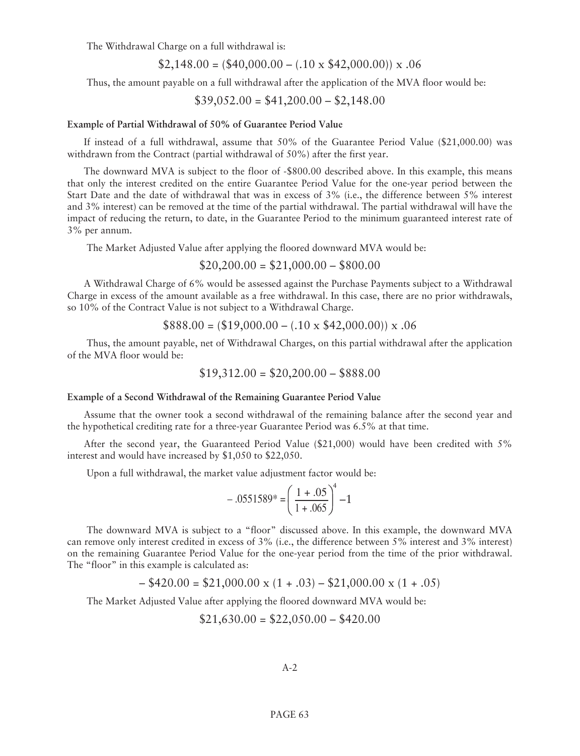The Withdrawal Charge on a full withdrawal is:

$$
$2,148.00 = ($40,000.00 - (.10 \times $42,000.00)) \times .06
$$

Thus, the amount payable on a full withdrawal after the application of the MVA floor would be:

$$
$39,052.00 = $41,200.00 - $2,148.00
$$

#### **Example of Partial Withdrawal of 50% of Guarantee Period Value**

If instead of a full withdrawal, assume that 50% of the Guarantee Period Value (\$21,000.00) was withdrawn from the Contract (partial withdrawal of 50%) after the first year.

The downward MVA is subject to the floor of -\$800.00 described above. In this example, this means that only the interest credited on the entire Guarantee Period Value for the one-year period between the Start Date and the date of withdrawal that was in excess of 3% (i.e., the difference between 5% interest and 3% interest) can be removed at the time of the partial withdrawal. The partial withdrawal will have the impact of reducing the return, to date, in the Guarantee Period to the minimum guaranteed interest rate of 3% per annum.

The Market Adjusted Value after applying the floored downward MVA would be:

$$
$20,200.00 = $21,000.00 - $800.00
$$

A Withdrawal Charge of 6% would be assessed against the Purchase Payments subject to a Withdrawal Charge in excess of the amount available as a free withdrawal. In this case, there are no prior withdrawals, so 10% of the Contract Value is not subject to a Withdrawal Charge.

$$
$888.00 = ($19,000.00 - (.10 \times $42,000.00)) \times .06
$$

Thus, the amount payable, net of Withdrawal Charges, on this partial withdrawal after the application of the MVA floor would be:

$$
$19,312.00 = $20,200.00 - $888.00
$$

#### **Example of a Second Withdrawal of the Remaining Guarantee Period Value**

Assume that the owner took a second withdrawal of the remaining balance after the second year and the hypothetical crediting rate for a three-year Guarantee Period was 6.5% at that time.

After the second year, the Guaranteed Period Value (\$21,000) would have been credited with 5% interest and would have increased by \$1,050 to \$22,050.

Upon a full withdrawal, the market value adjustment factor would be:

$$
-.0551589^* = \left(\frac{1+.05}{1+.065}\right)^4 - 1
$$

The downward MVA is subject to a "floor" discussed above. In this example, the downward MVA can remove only interest credited in excess of 3% (i.e., the difference between 5% interest and 3% interest) on the remaining Guarantee Period Value for the one-year period from the time of the prior withdrawal. The "floor" in this example is calculated as:

$$
- $420.00 = $21,000.00 \times (1+.03) - $21,000.00 \times (1+.05)
$$

The Market Adjusted Value after applying the floored downward MVA would be:

$$
$21,630.00 = $22,050.00 - $420.00
$$

A-2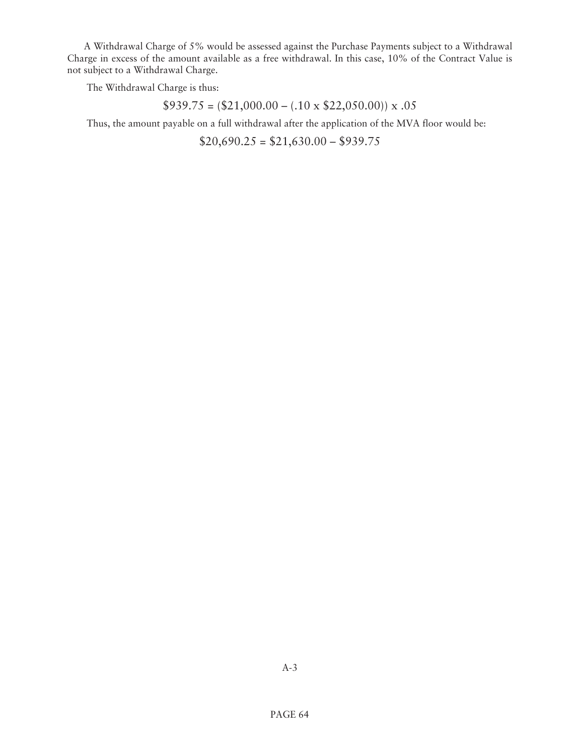A Withdrawal Charge of 5% would be assessed against the Purchase Payments subject to a Withdrawal Charge in excess of the amount available as a free withdrawal. In this case, 10% of the Contract Value is not subject to a Withdrawal Charge.

The Withdrawal Charge is thus:

 $$939.75 = ($21,000.00 - (.10 \times $22,050.00)) \times .05$ 

Thus, the amount payable on a full withdrawal after the application of the MVA floor would be:

 $$20,690.25 = $21,630.00 - $939.75$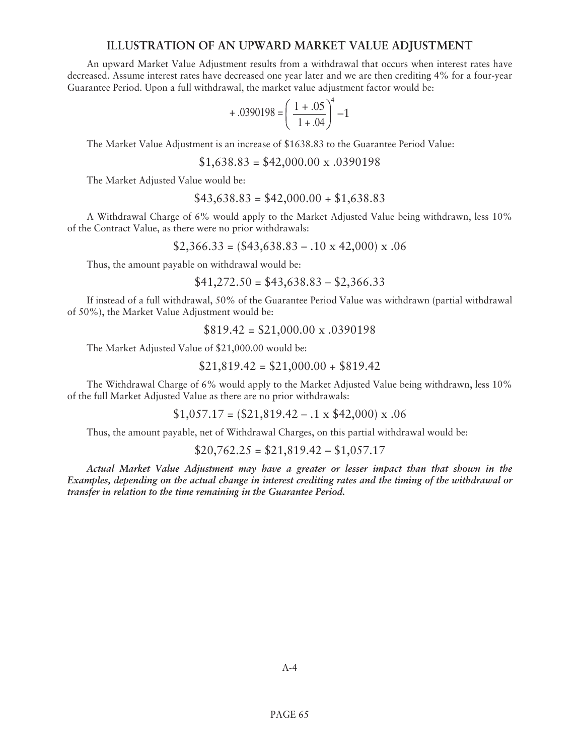# **ILLUSTRATION OF AN UPWARD MARKET VALUE ADJUSTMENT**

An upward Market Value Adjustment results from a withdrawal that occurs when interest rates have decreased. Assume interest rates have decreased one year later and we are then crediting 4% for a four-year Guarantee Period. Upon a full withdrawal, the market value adjustment factor would be:

$$
+.0390198 = \left(\frac{1+.05}{1+.04}\right)^4 - 1
$$

The Market Value Adjustment is an increase of \$1638.83 to the Guarantee Period Value:

 $$1,638.83 = $42,000.00 \times 0.0390198$ 

The Market Adjusted Value would be:

$$
$43,638.83 = $42,000.00 + $1,638.83
$$

A Withdrawal Charge of 6% would apply to the Market Adjusted Value being withdrawn, less 10% of the Contract Value, as there were no prior withdrawals:

 $$2,366.33 = ($43,638.83 - .10 \times 42,000) \times .06$ 

Thus, the amount payable on withdrawal would be:

$$
$41,272.50 = $43,638.83 - $2,366.33
$$

If instead of a full withdrawal, 50% of the Guarantee Period Value was withdrawn (partial withdrawal of 50%), the Market Value Adjustment would be:

 $$819.42 = $21,000.00 \times 0.0390198$ 

The Market Adjusted Value of \$21,000.00 would be:

$$
$21,819.42 = $21,000.00 + $819.42
$$

The Withdrawal Charge of 6% would apply to the Market Adjusted Value being withdrawn, less 10% of the full Market Adjusted Value as there are no prior withdrawals:

 $$1,057.17 = ($21,819.42 - .1 \times $42,000) \times .06$ 

Thus, the amount payable, net of Withdrawal Charges, on this partial withdrawal would be:

$$
$20,762.25 = $21,819.42 - $1,057.17
$$

*Actual Market Value Adjustment may have a greater or lesser impact than that shown in the Examples, depending on the actual change in interest crediting rates and the timing of the withdrawal or transfer in relation to the time remaining in the Guarantee Period.*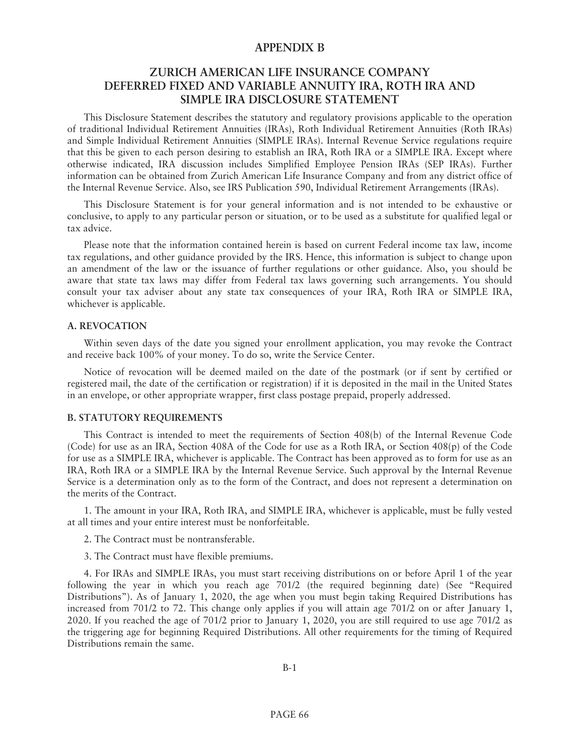# **APPENDIX B**

# **ZURICH AMERICAN LIFE INSURANCE COMPANY DEFERRED FIXED AND VARIABLE ANNUITY IRA, ROTH IRA AND SIMPLE IRA DISCLOSURE STATEMENT**

This Disclosure Statement describes the statutory and regulatory provisions applicable to the operation of traditional Individual Retirement Annuities (IRAs), Roth Individual Retirement Annuities (Roth IRAs) and Simple Individual Retirement Annuities (SIMPLE IRAs). Internal Revenue Service regulations require that this be given to each person desiring to establish an IRA, Roth IRA or a SIMPLE IRA. Except where otherwise indicated, IRA discussion includes Simplified Employee Pension IRAs (SEP IRAs). Further information can be obtained from Zurich American Life Insurance Company and from any district office of the Internal Revenue Service. Also, see IRS Publication 590, Individual Retirement Arrangements (IRAs).

This Disclosure Statement is for your general information and is not intended to be exhaustive or conclusive, to apply to any particular person or situation, or to be used as a substitute for qualified legal or tax advice.

Please note that the information contained herein is based on current Federal income tax law, income tax regulations, and other guidance provided by the IRS. Hence, this information is subject to change upon an amendment of the law or the issuance of further regulations or other guidance. Also, you should be aware that state tax laws may differ from Federal tax laws governing such arrangements. You should consult your tax adviser about any state tax consequences of your IRA, Roth IRA or SIMPLE IRA, whichever is applicable.

### **A. REVOCATION**

Within seven days of the date you signed your enrollment application, you may revoke the Contract and receive back 100% of your money. To do so, write the Service Center.

Notice of revocation will be deemed mailed on the date of the postmark (or if sent by certified or registered mail, the date of the certification or registration) if it is deposited in the mail in the United States in an envelope, or other appropriate wrapper, first class postage prepaid, properly addressed.

#### **B. STATUTORY REQUIREMENTS**

This Contract is intended to meet the requirements of Section 408(b) of the Internal Revenue Code (Code) for use as an IRA, Section 408A of the Code for use as a Roth IRA, or Section 408(p) of the Code for use as a SIMPLE IRA, whichever is applicable. The Contract has been approved as to form for use as an IRA, Roth IRA or a SIMPLE IRA by the Internal Revenue Service. Such approval by the Internal Revenue Service is a determination only as to the form of the Contract, and does not represent a determination on the merits of the Contract.

1. The amount in your IRA, Roth IRA, and SIMPLE IRA, whichever is applicable, must be fully vested at all times and your entire interest must be nonforfeitable.

2. The Contract must be nontransferable.

3. The Contract must have flexible premiums.

4. For IRAs and SIMPLE IRAs, you must start receiving distributions on or before April 1 of the year following the year in which you reach age 701/2 (the required beginning date) (See "Required Distributions"). As of January 1, 2020, the age when you must begin taking Required Distributions has increased from 701/2 to 72. This change only applies if you will attain age 701/2 on or after January 1, 2020. If you reached the age of 701/2 prior to January 1, 2020, you are still required to use age 701/2 as the triggering age for beginning Required Distributions. All other requirements for the timing of Required Distributions remain the same.

B-1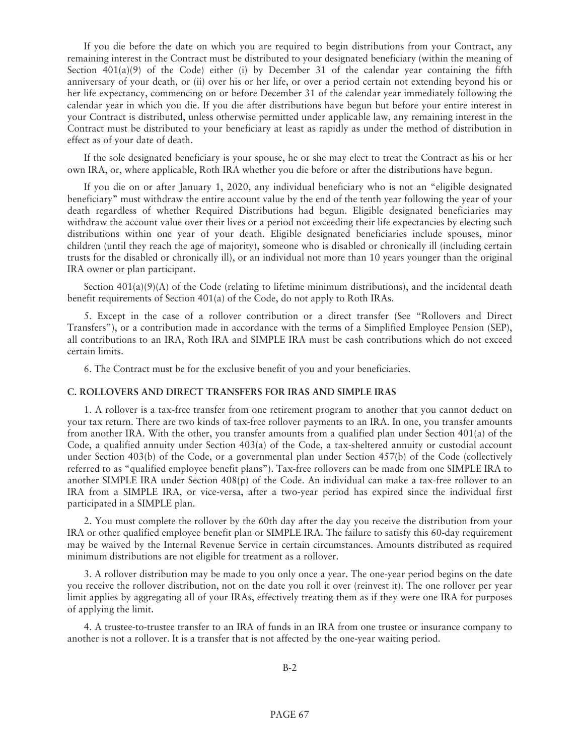If you die before the date on which you are required to begin distributions from your Contract, any remaining interest in the Contract must be distributed to your designated beneficiary (within the meaning of Section  $401(a)(9)$  of the Code) either (i) by December 31 of the calendar year containing the fifth anniversary of your death, or (ii) over his or her life, or over a period certain not extending beyond his or her life expectancy, commencing on or before December 31 of the calendar year immediately following the calendar year in which you die. If you die after distributions have begun but before your entire interest in your Contract is distributed, unless otherwise permitted under applicable law, any remaining interest in the Contract must be distributed to your beneficiary at least as rapidly as under the method of distribution in effect as of your date of death.

If the sole designated beneficiary is your spouse, he or she may elect to treat the Contract as his or her own IRA, or, where applicable, Roth IRA whether you die before or after the distributions have begun.

If you die on or after January 1, 2020, any individual beneficiary who is not an "eligible designated beneficiary" must withdraw the entire account value by the end of the tenth year following the year of your death regardless of whether Required Distributions had begun. Eligible designated beneficiaries may withdraw the account value over their lives or a period not exceeding their life expectancies by electing such distributions within one year of your death. Eligible designated beneficiaries include spouses, minor children (until they reach the age of majority), someone who is disabled or chronically ill (including certain trusts for the disabled or chronically ill), or an individual not more than 10 years younger than the original IRA owner or plan participant.

Section  $401(a)(9)(A)$  of the Code (relating to lifetime minimum distributions), and the incidental death benefit requirements of Section 401(a) of the Code, do not apply to Roth IRAs.

5. Except in the case of a rollover contribution or a direct transfer (See "Rollovers and Direct Transfers"), or a contribution made in accordance with the terms of a Simplified Employee Pension (SEP), all contributions to an IRA, Roth IRA and SIMPLE IRA must be cash contributions which do not exceed certain limits.

6. The Contract must be for the exclusive benefit of you and your beneficiaries.

## **C. ROLLOVERS AND DIRECT TRANSFERS FOR IRAS AND SIMPLE IRAS**

1. A rollover is a tax-free transfer from one retirement program to another that you cannot deduct on your tax return. There are two kinds of tax-free rollover payments to an IRA. In one, you transfer amounts from another IRA. With the other, you transfer amounts from a qualified plan under Section 401(a) of the Code, a qualified annuity under Section 403(a) of the Code, a tax-sheltered annuity or custodial account under Section 403(b) of the Code, or a governmental plan under Section 457(b) of the Code (collectively referred to as "qualified employee benefit plans"). Tax-free rollovers can be made from one SIMPLE IRA to another SIMPLE IRA under Section 408(p) of the Code. An individual can make a tax-free rollover to an IRA from a SIMPLE IRA, or vice-versa, after a two-year period has expired since the individual first participated in a SIMPLE plan.

2. You must complete the rollover by the 60th day after the day you receive the distribution from your IRA or other qualified employee benefit plan or SIMPLE IRA. The failure to satisfy this 60-day requirement may be waived by the Internal Revenue Service in certain circumstances. Amounts distributed as required minimum distributions are not eligible for treatment as a rollover.

3. A rollover distribution may be made to you only once a year. The one-year period begins on the date you receive the rollover distribution, not on the date you roll it over (reinvest it). The one rollover per year limit applies by aggregating all of your IRAs, effectively treating them as if they were one IRA for purposes of applying the limit.

4. A trustee-to-trustee transfer to an IRA of funds in an IRA from one trustee or insurance company to another is not a rollover. It is a transfer that is not affected by the one-year waiting period.

B-2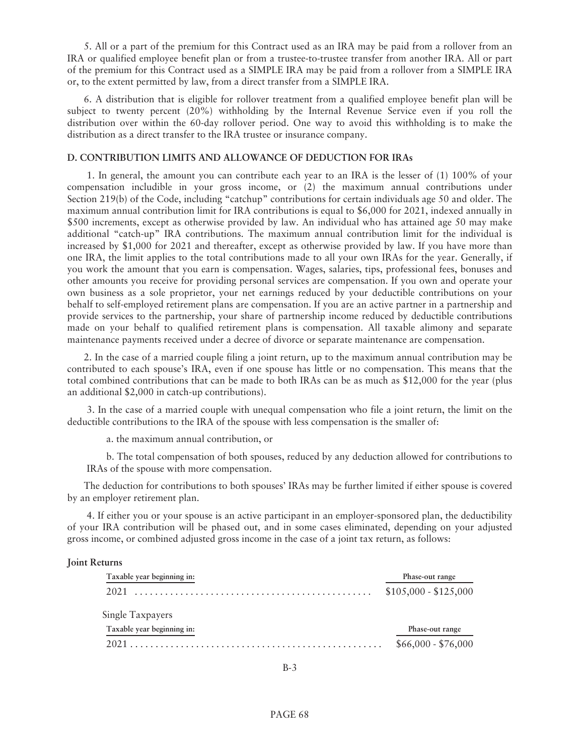5. All or a part of the premium for this Contract used as an IRA may be paid from a rollover from an IRA or qualified employee benefit plan or from a trustee-to-trustee transfer from another IRA. All or part of the premium for this Contract used as a SIMPLE IRA may be paid from a rollover from a SIMPLE IRA or, to the extent permitted by law, from a direct transfer from a SIMPLE IRA.

6. A distribution that is eligible for rollover treatment from a qualified employee benefit plan will be subject to twenty percent (20%) withholding by the Internal Revenue Service even if you roll the distribution over within the 60-day rollover period. One way to avoid this withholding is to make the distribution as a direct transfer to the IRA trustee or insurance company.

## **D. CONTRIBUTION LIMITS AND ALLOWANCE OF DEDUCTION FOR IRAs**

1. In general, the amount you can contribute each year to an IRA is the lesser of (1) 100% of your compensation includible in your gross income, or (2) the maximum annual contributions under Section 219(b) of the Code, including "catchup" contributions for certain individuals age 50 and older. The maximum annual contribution limit for IRA contributions is equal to \$6,000 for 2021, indexed annually in \$500 increments, except as otherwise provided by law. An individual who has attained age 50 may make additional "catch-up" IRA contributions. The maximum annual contribution limit for the individual is increased by \$1,000 for 2021 and thereafter, except as otherwise provided by law. If you have more than one IRA, the limit applies to the total contributions made to all your own IRAs for the year. Generally, if you work the amount that you earn is compensation. Wages, salaries, tips, professional fees, bonuses and other amounts you receive for providing personal services are compensation. If you own and operate your own business as a sole proprietor, your net earnings reduced by your deductible contributions on your behalf to self-employed retirement plans are compensation. If you are an active partner in a partnership and provide services to the partnership, your share of partnership income reduced by deductible contributions made on your behalf to qualified retirement plans is compensation. All taxable alimony and separate maintenance payments received under a decree of divorce or separate maintenance are compensation.

2. In the case of a married couple filing a joint return, up to the maximum annual contribution may be contributed to each spouse's IRA, even if one spouse has little or no compensation. This means that the total combined contributions that can be made to both IRAs can be as much as \$12,000 for the year (plus an additional \$2,000 in catch-up contributions).

3. In the case of a married couple with unequal compensation who file a joint return, the limit on the deductible contributions to the IRA of the spouse with less compensation is the smaller of:

a. the maximum annual contribution, or

b. The total compensation of both spouses, reduced by any deduction allowed for contributions to IRAs of the spouse with more compensation.

The deduction for contributions to both spouses' IRAs may be further limited if either spouse is covered by an employer retirement plan.

4. If either you or your spouse is an active participant in an employer-sponsored plan, the deductibility of your IRA contribution will be phased out, and in some cases eliminated, depending on your adjusted gross income, or combined adjusted gross income in the case of a joint tax return, as follows:

### **Joint Returns**

| Taxable year beginning in: | Phase-out range       |
|----------------------------|-----------------------|
|                            | $$105,000 - $125,000$ |
| Single Taxpayers           |                       |
| Taxable year beginning in: | Phase-out range       |
|                            | $$66,000 - $76,000$   |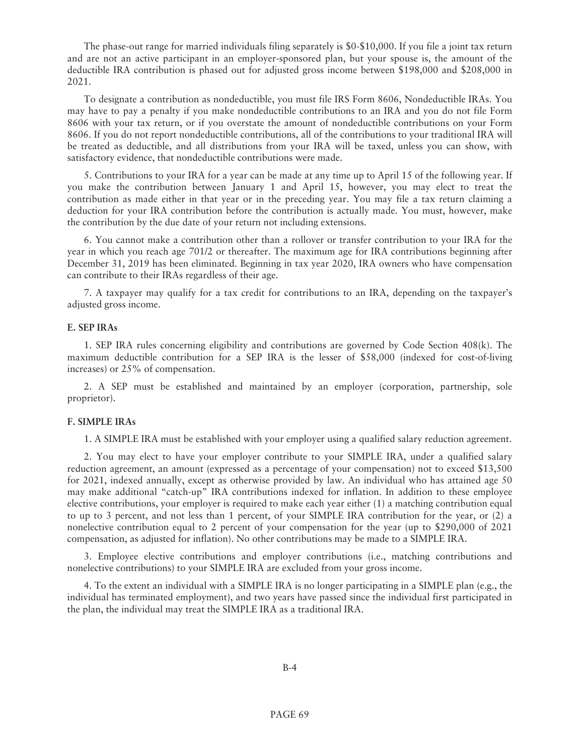The phase-out range for married individuals filing separately is \$0-\$10,000. If you file a joint tax return and are not an active participant in an employer-sponsored plan, but your spouse is, the amount of the deductible IRA contribution is phased out for adjusted gross income between \$198,000 and \$208,000 in 2021.

To designate a contribution as nondeductible, you must file IRS Form 8606, Nondeductible IRAs. You may have to pay a penalty if you make nondeductible contributions to an IRA and you do not file Form 8606 with your tax return, or if you overstate the amount of nondeductible contributions on your Form 8606. If you do not report nondeductible contributions, all of the contributions to your traditional IRA will be treated as deductible, and all distributions from your IRA will be taxed, unless you can show, with satisfactory evidence, that nondeductible contributions were made.

5. Contributions to your IRA for a year can be made at any time up to April 15 of the following year. If you make the contribution between January 1 and April 15, however, you may elect to treat the contribution as made either in that year or in the preceding year. You may file a tax return claiming a deduction for your IRA contribution before the contribution is actually made. You must, however, make the contribution by the due date of your return not including extensions.

6. You cannot make a contribution other than a rollover or transfer contribution to your IRA for the year in which you reach age 701/2 or thereafter. The maximum age for IRA contributions beginning after December 31, 2019 has been eliminated. Beginning in tax year 2020, IRA owners who have compensation can contribute to their IRAs regardless of their age.

7. A taxpayer may qualify for a tax credit for contributions to an IRA, depending on the taxpayer's adjusted gross income.

#### **E. SEP IRAs**

1. SEP IRA rules concerning eligibility and contributions are governed by Code Section 408(k). The maximum deductible contribution for a SEP IRA is the lesser of \$58,000 (indexed for cost-of-living increases) or 25% of compensation.

2. A SEP must be established and maintained by an employer (corporation, partnership, sole proprietor).

#### **F. SIMPLE IRAs**

1. A SIMPLE IRA must be established with your employer using a qualified salary reduction agreement.

2. You may elect to have your employer contribute to your SIMPLE IRA, under a qualified salary reduction agreement, an amount (expressed as a percentage of your compensation) not to exceed \$13,500 for 2021, indexed annually, except as otherwise provided by law. An individual who has attained age 50 may make additional "catch-up" IRA contributions indexed for inflation. In addition to these employee elective contributions, your employer is required to make each year either (1) a matching contribution equal to up to 3 percent, and not less than 1 percent, of your SIMPLE IRA contribution for the year, or (2) a nonelective contribution equal to 2 percent of your compensation for the year (up to \$290,000 of 2021 compensation, as adjusted for inflation). No other contributions may be made to a SIMPLE IRA.

3. Employee elective contributions and employer contributions (i.e., matching contributions and nonelective contributions) to your SIMPLE IRA are excluded from your gross income.

4. To the extent an individual with a SIMPLE IRA is no longer participating in a SIMPLE plan (e.g., the individual has terminated employment), and two years have passed since the individual first participated in the plan, the individual may treat the SIMPLE IRA as a traditional IRA.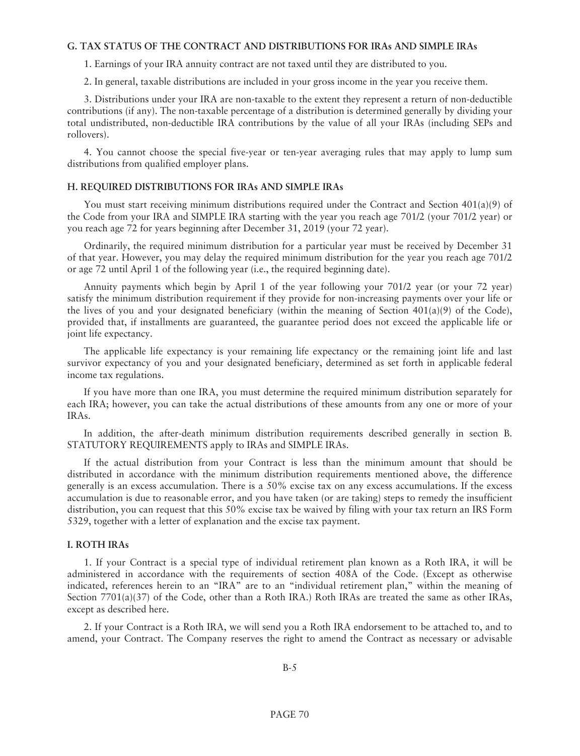### **G. TAX STATUS OF THE CONTRACT AND DISTRIBUTIONS FOR IRAs AND SIMPLE IRAs**

1. Earnings of your IRA annuity contract are not taxed until they are distributed to you.

2. In general, taxable distributions are included in your gross income in the year you receive them.

3. Distributions under your IRA are non-taxable to the extent they represent a return of non-deductible contributions (if any). The non-taxable percentage of a distribution is determined generally by dividing your total undistributed, non-deductible IRA contributions by the value of all your IRAs (including SEPs and rollovers).

4. You cannot choose the special five-year or ten-year averaging rules that may apply to lump sum distributions from qualified employer plans.

#### **H. REQUIRED DISTRIBUTIONS FOR IRAs AND SIMPLE IRAs**

You must start receiving minimum distributions required under the Contract and Section  $401(a)(9)$  of the Code from your IRA and SIMPLE IRA starting with the year you reach age 701/2 (your 701/2 year) or you reach age 72 for years beginning after December 31, 2019 (your 72 year).

Ordinarily, the required minimum distribution for a particular year must be received by December 31 of that year. However, you may delay the required minimum distribution for the year you reach age 701/2 or age 72 until April 1 of the following year (i.e., the required beginning date).

Annuity payments which begin by April 1 of the year following your 701/2 year (or your 72 year) satisfy the minimum distribution requirement if they provide for non-increasing payments over your life or the lives of you and your designated beneficiary (within the meaning of Section  $401(a)(9)$  of the Code), provided that, if installments are guaranteed, the guarantee period does not exceed the applicable life or joint life expectancy.

The applicable life expectancy is your remaining life expectancy or the remaining joint life and last survivor expectancy of you and your designated beneficiary, determined as set forth in applicable federal income tax regulations.

If you have more than one IRA, you must determine the required minimum distribution separately for each IRA; however, you can take the actual distributions of these amounts from any one or more of your IRAs.

In addition, the after-death minimum distribution requirements described generally in section B. STATUTORY REQUIREMENTS apply to IRAs and SIMPLE IRAs.

If the actual distribution from your Contract is less than the minimum amount that should be distributed in accordance with the minimum distribution requirements mentioned above, the difference generally is an excess accumulation. There is a 50% excise tax on any excess accumulations. If the excess accumulation is due to reasonable error, and you have taken (or are taking) steps to remedy the insufficient distribution, you can request that this 50% excise tax be waived by filing with your tax return an IRS Form 5329, together with a letter of explanation and the excise tax payment.

#### **I. ROTH IRAs**

1. If your Contract is a special type of individual retirement plan known as a Roth IRA, it will be administered in accordance with the requirements of section 408A of the Code. (Except as otherwise indicated, references herein to an "IRA" are to an "individual retirement plan," within the meaning of Section 7701(a)(37) of the Code, other than a Roth IRA.) Roth IRAs are treated the same as other IRAs, except as described here.

2. If your Contract is a Roth IRA, we will send you a Roth IRA endorsement to be attached to, and to amend, your Contract. The Company reserves the right to amend the Contract as necessary or advisable

B-5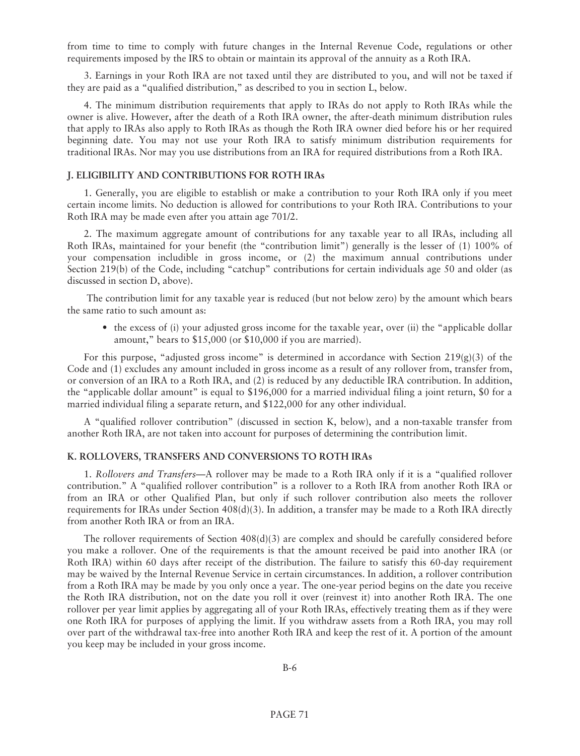from time to time to comply with future changes in the Internal Revenue Code, regulations or other requirements imposed by the IRS to obtain or maintain its approval of the annuity as a Roth IRA.

3. Earnings in your Roth IRA are not taxed until they are distributed to you, and will not be taxed if they are paid as a "qualified distribution," as described to you in section L, below.

4. The minimum distribution requirements that apply to IRAs do not apply to Roth IRAs while the owner is alive. However, after the death of a Roth IRA owner, the after-death minimum distribution rules that apply to IRAs also apply to Roth IRAs as though the Roth IRA owner died before his or her required beginning date. You may not use your Roth IRA to satisfy minimum distribution requirements for traditional IRAs. Nor may you use distributions from an IRA for required distributions from a Roth IRA.

#### **J. ELIGIBILITY AND CONTRIBUTIONS FOR ROTH IRAs**

1. Generally, you are eligible to establish or make a contribution to your Roth IRA only if you meet certain income limits. No deduction is allowed for contributions to your Roth IRA. Contributions to your Roth IRA may be made even after you attain age 701/2.

2. The maximum aggregate amount of contributions for any taxable year to all IRAs, including all Roth IRAs, maintained for your benefit (the "contribution limit") generally is the lesser of (1) 100% of your compensation includible in gross income, or (2) the maximum annual contributions under Section 219(b) of the Code, including "catchup" contributions for certain individuals age 50 and older (as discussed in section D, above).

The contribution limit for any taxable year is reduced (but not below zero) by the amount which bears the same ratio to such amount as:

• the excess of (i) your adjusted gross income for the taxable year, over (ii) the "applicable dollar amount," bears to \$15,000 (or \$10,000 if you are married).

For this purpose, "adjusted gross income" is determined in accordance with Section  $219(g)(3)$  of the Code and (1) excludes any amount included in gross income as a result of any rollover from, transfer from, or conversion of an IRA to a Roth IRA, and (2) is reduced by any deductible IRA contribution. In addition, the "applicable dollar amount" is equal to \$196,000 for a married individual filing a joint return, \$0 for a married individual filing a separate return, and \$122,000 for any other individual.

A "qualified rollover contribution" (discussed in section K, below), and a non-taxable transfer from another Roth IRA, are not taken into account for purposes of determining the contribution limit.

#### **K. ROLLOVERS, TRANSFERS AND CONVERSIONS TO ROTH IRAs**

1. *Rollovers and Transfers*—A rollover may be made to a Roth IRA only if it is a "qualified rollover contribution." A "qualified rollover contribution" is a rollover to a Roth IRA from another Roth IRA or from an IRA or other Qualified Plan, but only if such rollover contribution also meets the rollover requirements for IRAs under Section  $408(d)(3)$ . In addition, a transfer may be made to a Roth IRA directly from another Roth IRA or from an IRA.

The rollover requirements of Section  $408(d)(3)$  are complex and should be carefully considered before you make a rollover. One of the requirements is that the amount received be paid into another IRA (or Roth IRA) within 60 days after receipt of the distribution. The failure to satisfy this 60-day requirement may be waived by the Internal Revenue Service in certain circumstances. In addition, a rollover contribution from a Roth IRA may be made by you only once a year. The one-year period begins on the date you receive the Roth IRA distribution, not on the date you roll it over (reinvest it) into another Roth IRA. The one rollover per year limit applies by aggregating all of your Roth IRAs, effectively treating them as if they were one Roth IRA for purposes of applying the limit. If you withdraw assets from a Roth IRA, you may roll over part of the withdrawal tax-free into another Roth IRA and keep the rest of it. A portion of the amount you keep may be included in your gross income.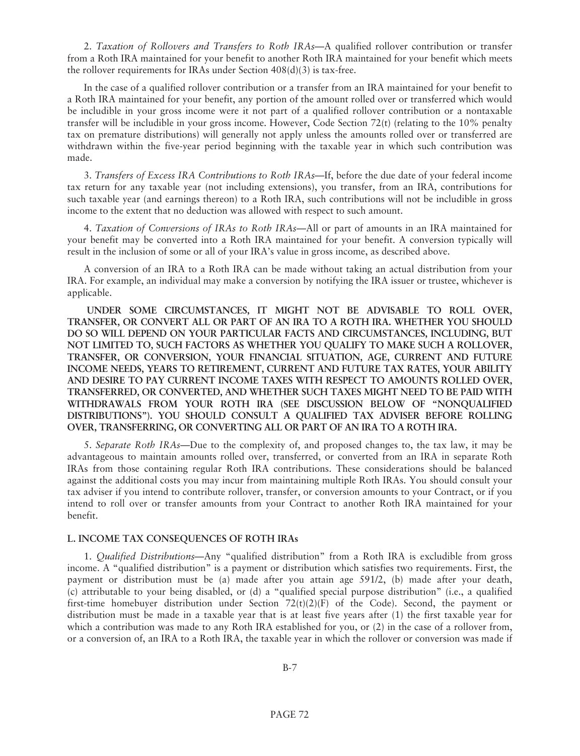2. *Taxation of Rollovers and Transfers to Roth IRAs*—A qualified rollover contribution or transfer from a Roth IRA maintained for your benefit to another Roth IRA maintained for your benefit which meets the rollover requirements for IRAs under Section 408(d)(3) is tax-free.

In the case of a qualified rollover contribution or a transfer from an IRA maintained for your benefit to a Roth IRA maintained for your benefit, any portion of the amount rolled over or transferred which would be includible in your gross income were it not part of a qualified rollover contribution or a nontaxable transfer will be includible in your gross income. However, Code Section 72(t) (relating to the 10% penalty tax on premature distributions) will generally not apply unless the amounts rolled over or transferred are withdrawn within the five-year period beginning with the taxable year in which such contribution was made.

3. *Transfers of Excess IRA Contributions to Roth IRAs*—If, before the due date of your federal income tax return for any taxable year (not including extensions), you transfer, from an IRA, contributions for such taxable year (and earnings thereon) to a Roth IRA, such contributions will not be includible in gross income to the extent that no deduction was allowed with respect to such amount.

4. *Taxation of Conversions of IRAs to Roth IRAs*—All or part of amounts in an IRA maintained for your benefit may be converted into a Roth IRA maintained for your benefit. A conversion typically will result in the inclusion of some or all of your IRA's value in gross income, as described above.

A conversion of an IRA to a Roth IRA can be made without taking an actual distribution from your IRA. For example, an individual may make a conversion by notifying the IRA issuer or trustee, whichever is applicable.

**UNDER SOME CIRCUMSTANCES, IT MIGHT NOT BE ADVISABLE TO ROLL OVER, TRANSFER, OR CONVERT ALL OR PART OF AN IRA TO A ROTH IRA. WHETHER YOU SHOULD DO SO WILL DEPEND ON YOUR PARTICULAR FACTS AND CIRCUMSTANCES, INCLUDING, BUT NOT LIMITED TO, SUCH FACTORS AS WHETHER YOU QUALIFY TO MAKE SUCH A ROLLOVER, TRANSFER, OR CONVERSION, YOUR FINANCIAL SITUATION, AGE, CURRENT AND FUTURE INCOME NEEDS, YEARS TO RETIREMENT, CURRENT AND FUTURE TAX RATES, YOUR ABILITY AND DESIRE TO PAY CURRENT INCOME TAXES WITH RESPECT TO AMOUNTS ROLLED OVER, TRANSFERRED, OR CONVERTED, AND WHETHER SUCH TAXES MIGHT NEED TO BE PAID WITH WITHDRAWALS FROM YOUR ROTH IRA (SEE DISCUSSION BELOW OF "NONQUALIFIED DISTRIBUTIONS"). YOU SHOULD CONSULT A QUALIFIED TAX ADVISER BEFORE ROLLING OVER, TRANSFERRING, OR CONVERTING ALL OR PART OF AN IRA TO A ROTH IRA.**

5. *Separate Roth IRAs*—Due to the complexity of, and proposed changes to, the tax law, it may be advantageous to maintain amounts rolled over, transferred, or converted from an IRA in separate Roth IRAs from those containing regular Roth IRA contributions. These considerations should be balanced against the additional costs you may incur from maintaining multiple Roth IRAs. You should consult your tax adviser if you intend to contribute rollover, transfer, or conversion amounts to your Contract, or if you intend to roll over or transfer amounts from your Contract to another Roth IRA maintained for your benefit.

#### **L. INCOME TAX CONSEQUENCES OF ROTH IRAs**

1. *Qualified Distributions*—Any "qualified distribution" from a Roth IRA is excludible from gross income. A "qualified distribution" is a payment or distribution which satisfies two requirements. First, the payment or distribution must be (a) made after you attain age 591/2, (b) made after your death, (c) attributable to your being disabled, or (d) a "qualified special purpose distribution" (i.e., a qualified first-time homebuyer distribution under Section  $72(t)(2)(F)$  of the Code). Second, the payment or distribution must be made in a taxable year that is at least five years after (1) the first taxable year for which a contribution was made to any Roth IRA established for you, or (2) in the case of a rollover from, or a conversion of, an IRA to a Roth IRA, the taxable year in which the rollover or conversion was made if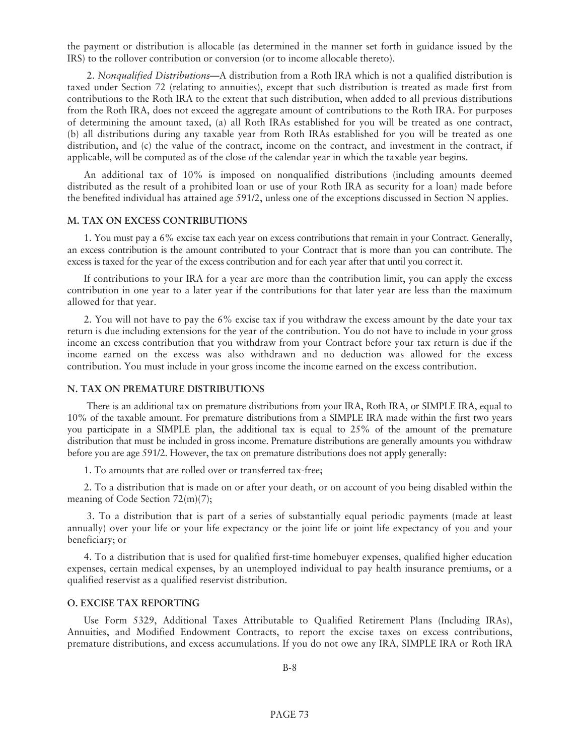the payment or distribution is allocable (as determined in the manner set forth in guidance issued by the IRS) to the rollover contribution or conversion (or to income allocable thereto).

2. *Nonqualified Distributions*—A distribution from a Roth IRA which is not a qualified distribution is taxed under Section 72 (relating to annuities), except that such distribution is treated as made first from contributions to the Roth IRA to the extent that such distribution, when added to all previous distributions from the Roth IRA, does not exceed the aggregate amount of contributions to the Roth IRA. For purposes of determining the amount taxed, (a) all Roth IRAs established for you will be treated as one contract, (b) all distributions during any taxable year from Roth IRAs established for you will be treated as one distribution, and (c) the value of the contract, income on the contract, and investment in the contract, if applicable, will be computed as of the close of the calendar year in which the taxable year begins.

An additional tax of 10% is imposed on nonqualified distributions (including amounts deemed distributed as the result of a prohibited loan or use of your Roth IRA as security for a loan) made before the benefited individual has attained age 591/2, unless one of the exceptions discussed in Section N applies.

## **M. TAX ON EXCESS CONTRIBUTIONS**

1. You must pay a 6% excise tax each year on excess contributions that remain in your Contract. Generally, an excess contribution is the amount contributed to your Contract that is more than you can contribute. The excess is taxed for the year of the excess contribution and for each year after that until you correct it.

If contributions to your IRA for a year are more than the contribution limit, you can apply the excess contribution in one year to a later year if the contributions for that later year are less than the maximum allowed for that year.

2. You will not have to pay the 6% excise tax if you withdraw the excess amount by the date your tax return is due including extensions for the year of the contribution. You do not have to include in your gross income an excess contribution that you withdraw from your Contract before your tax return is due if the income earned on the excess was also withdrawn and no deduction was allowed for the excess contribution. You must include in your gross income the income earned on the excess contribution.

#### **N. TAX ON PREMATURE DISTRIBUTIONS**

There is an additional tax on premature distributions from your IRA, Roth IRA, or SIMPLE IRA, equal to 10% of the taxable amount. For premature distributions from a SIMPLE IRA made within the first two years you participate in a SIMPLE plan, the additional tax is equal to 25% of the amount of the premature distribution that must be included in gross income. Premature distributions are generally amounts you withdraw before you are age 591/2. However, the tax on premature distributions does not apply generally:

1. To amounts that are rolled over or transferred tax-free;

2. To a distribution that is made on or after your death, or on account of you being disabled within the meaning of Code Section 72(m)(7);

3. To a distribution that is part of a series of substantially equal periodic payments (made at least annually) over your life or your life expectancy or the joint life or joint life expectancy of you and your beneficiary; or

4. To a distribution that is used for qualified first-time homebuyer expenses, qualified higher education expenses, certain medical expenses, by an unemployed individual to pay health insurance premiums, or a qualified reservist as a qualified reservist distribution.

#### **O. EXCISE TAX REPORTING**

Use Form 5329, Additional Taxes Attributable to Qualified Retirement Plans (Including IRAs), Annuities, and Modified Endowment Contracts, to report the excise taxes on excess contributions, premature distributions, and excess accumulations. If you do not owe any IRA, SIMPLE IRA or Roth IRA

B-8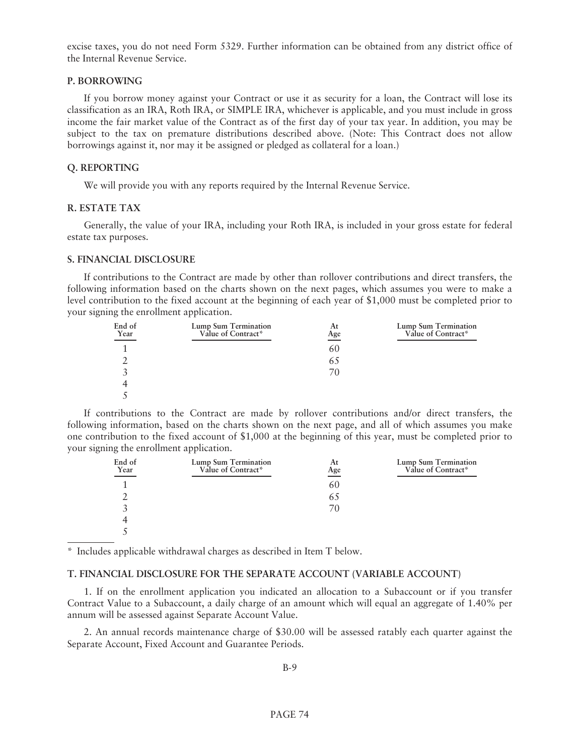excise taxes, you do not need Form 5329. Further information can be obtained from any district office of the Internal Revenue Service.

## **P. BORROWING**

If you borrow money against your Contract or use it as security for a loan, the Contract will lose its classification as an IRA, Roth IRA, or SIMPLE IRA, whichever is applicable, and you must include in gross income the fair market value of the Contract as of the first day of your tax year. In addition, you may be subject to the tax on premature distributions described above. (Note: This Contract does not allow borrowings against it, nor may it be assigned or pledged as collateral for a loan.)

## **Q. REPORTING**

We will provide you with any reports required by the Internal Revenue Service.

## **R. ESTATE TAX**

Generally, the value of your IRA, including your Roth IRA, is included in your gross estate for federal estate tax purposes.

## **S. FINANCIAL DISCLOSURE**

If contributions to the Contract are made by other than rollover contributions and direct transfers, the following information based on the charts shown on the next pages, which assumes you were to make a level contribution to the fixed account at the beginning of each year of \$1,000 must be completed prior to your signing the enrollment application.

| End of<br>Year<br>__ | Lump Sum Termination<br>Value of Contract* | At<br>Age | Lump Sum Termination<br>Value of Contract* |
|----------------------|--------------------------------------------|-----------|--------------------------------------------|
|                      |                                            | 60        |                                            |
|                      |                                            | 63        |                                            |
|                      |                                            | 70        |                                            |
|                      |                                            |           |                                            |
|                      |                                            |           |                                            |

If contributions to the Contract are made by rollover contributions and/or direct transfers, the following information, based on the charts shown on the next page, and all of which assumes you make one contribution to the fixed account of \$1,000 at the beginning of this year, must be completed prior to your signing the enrollment application.

| End of<br>Year | Lump Sum Termination<br>Value of Contract* | At<br>Age | Lump Sum Termination<br>Value of Contract* |
|----------------|--------------------------------------------|-----------|--------------------------------------------|
|                |                                            | 60        |                                            |
|                |                                            | 63        |                                            |
|                |                                            | 70        |                                            |
|                |                                            |           |                                            |
|                |                                            |           |                                            |

\* Includes applicable withdrawal charges as described in Item T below.

## **T. FINANCIAL DISCLOSURE FOR THE SEPARATE ACCOUNT (VARIABLE ACCOUNT)**

1. If on the enrollment application you indicated an allocation to a Subaccount or if you transfer Contract Value to a Subaccount, a daily charge of an amount which will equal an aggregate of 1.40% per annum will be assessed against Separate Account Value.

2. An annual records maintenance charge of \$30.00 will be assessed ratably each quarter against the Separate Account, Fixed Account and Guarantee Periods.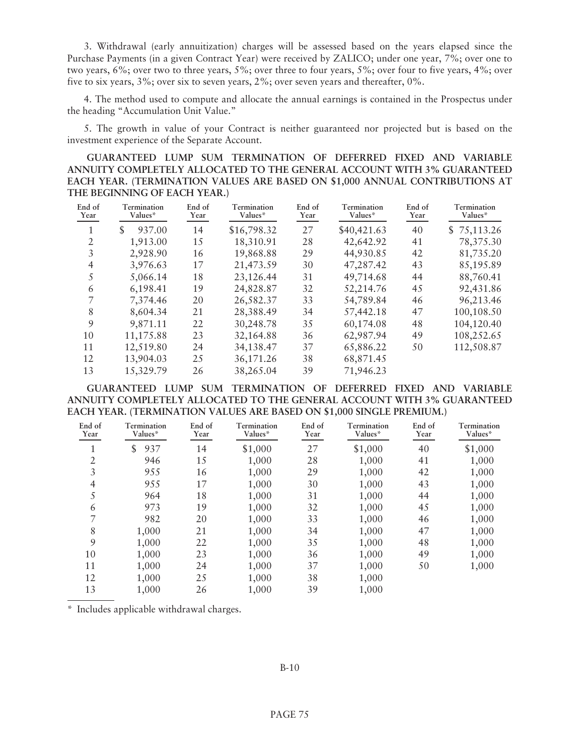3. Withdrawal (early annuitization) charges will be assessed based on the years elapsed since the Purchase Payments (in a given Contract Year) were received by ZALICO; under one year, 7%; over one to two years, 6%; over two to three years, 5%; over three to four years, 5%; over four to five years, 4%; over five to six years, 3%; over six to seven years, 2%; over seven years and thereafter, 0%.

4. The method used to compute and allocate the annual earnings is contained in the Prospectus under the heading "Accumulation Unit Value."

5. The growth in value of your Contract is neither guaranteed nor projected but is based on the investment experience of the Separate Account.

**GUARANTEED LUMP SUM TERMINATION OF DEFERRED FIXED AND VARIABLE ANNUITY COMPLETELY ALLOCATED TO THE GENERAL ACCOUNT WITH 3% GUARANTEED EACH YEAR. (TERMINATION VALUES ARE BASED ON \$1,000 ANNUAL CONTRIBUTIONS AT THE BEGINNING OF EACH YEAR.)**

| End of<br>Year | Termination<br>Values* | End of<br>Year | Termination<br>Values* | End of<br>Year | Termination<br>Values* | End of<br>Year | Termination<br>Values* |
|----------------|------------------------|----------------|------------------------|----------------|------------------------|----------------|------------------------|
| 1              | \$<br>937.00           | 14             | \$16,798.32            | 27             | \$40,421.63            | 40             | \$75,113.26            |
| $\overline{2}$ | 1,913.00               | 15             | 18,310.91              | 28             | 42,642.92              | 41             | 78,375.30              |
| 3              | 2,928.90               | 16             | 19,868.88              | 29             | 44,930.85              | 42             | 81,735.20              |
| 4              | 3,976.63               | 17             | 21,473.59              | 30             | 47,287.42              | 43             | 85,195.89              |
| 5              | 5,066.14               | 18             | 23,126.44              | 31             | 49,714.68              | 44             | 88,760.41              |
| 6              | 6,198.41               | 19             | 24,828.87              | 32             | 52,214.76              | 45             | 92,431.86              |
| 7              | 7.374.46               | 20             | 26,582.37              | 33             | 54,789.84              | 46             | 96,213.46              |
| 8              | 8,604.34               | 21             | 28,388.49              | 34             | 57,442.18              | 47             | 100,108.50             |
| 9              | 9,871.11               | 22             | 30,248.78              | 35             | 60,174.08              | 48             | 104,120.40             |
| 10             | 11,175.88              | 23             | 32,164.88              | 36             | 62,987.94              | 49             | 108,252.65             |
| 11             | 12,519.80              | 24             | 34,138.47              | 37             | 65,886.22              | 50             | 112,508.87             |
| 12             | 13,904.03              | 25             | 36, 171.26             | 38             | 68,871.45              |                |                        |
| 13             | 15,329.79              | 26             | 38,265.04              | 39             | 71,946.23              |                |                        |

**GUARANTEED LUMP SUM TERMINATION OF DEFERRED FIXED AND VARIABLE ANNUITY COMPLETELY ALLOCATED TO THE GENERAL ACCOUNT WITH 3% GUARANTEED EACH YEAR. (TERMINATION VALUES ARE BASED ON \$1,000 SINGLE PREMIUM.)**

| End of<br>Year | Termination<br>Values* | End of<br>Year | Termination<br>Values* | End of<br>Year | Termination<br>Values* | End of<br>Year | Termination<br>Values* |
|----------------|------------------------|----------------|------------------------|----------------|------------------------|----------------|------------------------|
| 1              | \$<br>937              | 14             | \$1,000                | 27             | \$1,000                | 40             | \$1,000                |
| $\overline{2}$ | 946                    | 15             | 1,000                  | 28             | 1,000                  | 41             | 1,000                  |
| 3              | 955                    | 16             | 1,000                  | 29             | 1,000                  | 42             | 1,000                  |
| $\overline{4}$ | 955                    | 17             | 1,000                  | 30             | 1,000                  | 43             | 1,000                  |
| 5              | 964                    | 18             | 1,000                  | 31             | 1,000                  | 44             | 1,000                  |
| 6              | 973                    | 19             | 1,000                  | 32             | 1,000                  | 45             | 1,000                  |
| 7              | 982                    | 20             | 1,000                  | 33             | 1,000                  | 46             | 1,000                  |
| 8              | 1,000                  | 21             | 1,000                  | 34             | 1,000                  | 47             | 1,000                  |
| 9              | 1,000                  | 22             | 1,000                  | 35             | 1,000                  | 48             | 1,000                  |
| 10             | 1,000                  | 23             | 1,000                  | 36             | 1,000                  | 49             | 1,000                  |
| 11             | 1,000                  | 24             | 1,000                  | 37             | 1,000                  | 50             | 1,000                  |
| 12             | 1,000                  | 25             | 1,000                  | 38             | 1,000                  |                |                        |
| 13             | 1,000                  | 26             | 1,000                  | 39             | 1,000                  |                |                        |

\* Includes applicable withdrawal charges.

B-10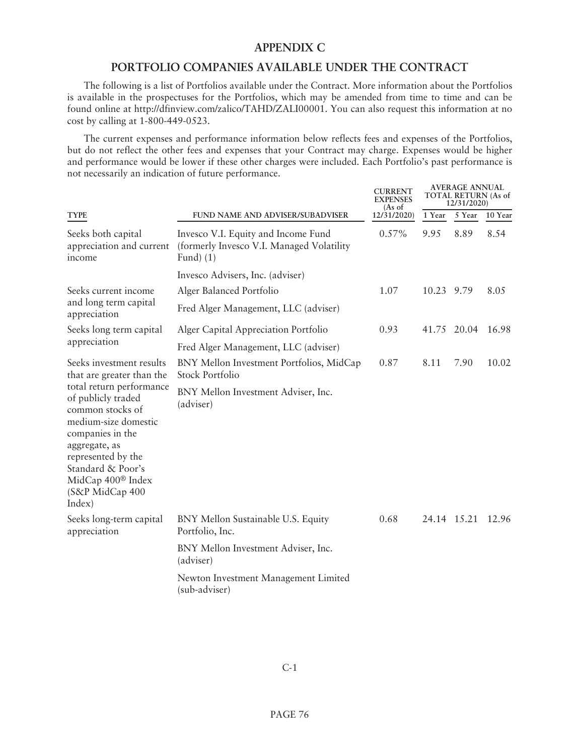# **APPENDIX C**

# **PORTFOLIO COMPANIES AVAILABLE UNDER THE CONTRACT**

The following is a list of Portfolios available under the Contract. More information about the Portfolios is available in the prospectuses for the Portfolios, which may be amended from time to time and can be found online at http://dfinview.com/zalico/TAHD/ZALI00001. You can also request this information at no cost by calling at 1-800-449-0523.

The current expenses and performance information below reflects fees and expenses of the Portfolios, but do not reflect the other fees and expenses that your Contract may charge. Expenses would be higher and performance would be lower if these other charges were included. Each Portfolio's past performance is not necessarily an indication of future performance.

|                                                                                                                                                                                                                                          |                                                                                                 | <b>CURRENT</b><br>EXPENSES<br>(As of | <b>AVERAGE ANNUAL</b><br><b>TOTAL RETURN (As of</b><br>12/31/2020) |                   |         |
|------------------------------------------------------------------------------------------------------------------------------------------------------------------------------------------------------------------------------------------|-------------------------------------------------------------------------------------------------|--------------------------------------|--------------------------------------------------------------------|-------------------|---------|
| <b>TYPE</b>                                                                                                                                                                                                                              | <b>FUND NAME AND ADVISER/SUBADVISER</b>                                                         | 12/31/2020)                          | 1 Year                                                             | 5 Year            | 10 Year |
| Seeks both capital<br>appreciation and current<br>income                                                                                                                                                                                 | Invesco V.I. Equity and Income Fund<br>(formerly Invesco V.I. Managed Volatility)<br>Fund $(1)$ | $0.57\%$                             | 9.95                                                               | 8.89              | 8.54    |
|                                                                                                                                                                                                                                          | Invesco Advisers, Inc. (adviser)                                                                |                                      |                                                                    |                   |         |
| Seeks current income                                                                                                                                                                                                                     | Alger Balanced Portfolio                                                                        | 1.07                                 | 10.23 9.79                                                         |                   | 8.05    |
| and long term capital<br>appreciation                                                                                                                                                                                                    | Fred Alger Management, LLC (adviser)                                                            |                                      |                                                                    |                   |         |
| Seeks long term capital                                                                                                                                                                                                                  | Alger Capital Appreciation Portfolio                                                            | 0.93                                 |                                                                    | 41.75 20.04       | 16.98   |
| appreciation                                                                                                                                                                                                                             | Fred Alger Management, LLC (adviser)                                                            |                                      |                                                                    |                   |         |
| Seeks investment results<br>that are greater than the                                                                                                                                                                                    | BNY Mellon Investment Portfolios, MidCap<br><b>Stock Portfolio</b>                              | 0.87                                 | 8.11                                                               | 7.90              | 10.02   |
| total return performance<br>of publicly traded<br>common stocks of<br>medium-size domestic<br>companies in the<br>aggregate, as<br>represented by the<br>Standard & Poor's<br>MidCap 400 <sup>®</sup> Index<br>(S&P MidCap 400<br>Index) | BNY Mellon Investment Adviser, Inc.<br>(adviser)                                                |                                      |                                                                    |                   |         |
| Seeks long-term capital<br>appreciation                                                                                                                                                                                                  | BNY Mellon Sustainable U.S. Equity<br>Portfolio, Inc.                                           | 0.68                                 |                                                                    | 24.14 15.21 12.96 |         |
|                                                                                                                                                                                                                                          | BNY Mellon Investment Adviser, Inc.<br>(adviser)                                                |                                      |                                                                    |                   |         |
|                                                                                                                                                                                                                                          | Newton Investment Management Limited<br>(sub-adviser)                                           |                                      |                                                                    |                   |         |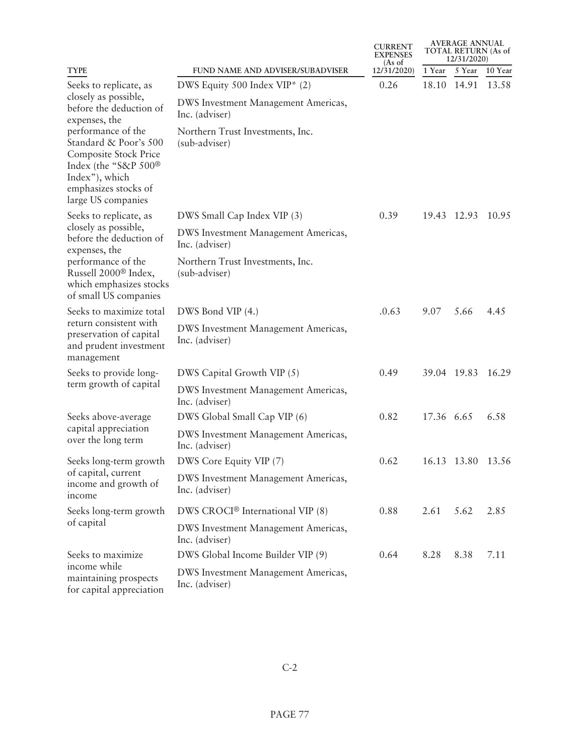|                                                                                                                                                              |                                                       | <b>CURRENT</b><br><b>EXPENSES</b><br>$(As \text{ of }$ | <b>AVERAGE ANNUAL</b><br><b>TOTAL RETURN (As of</b><br>12/31/2020) |             |         |
|--------------------------------------------------------------------------------------------------------------------------------------------------------------|-------------------------------------------------------|--------------------------------------------------------|--------------------------------------------------------------------|-------------|---------|
| <b>TYPE</b>                                                                                                                                                  | <b>FUND NAME AND ADVISER/SUBADVISER</b>               | 12/31/2020)                                            | 1 Year                                                             | 5 Year      | 10 Year |
| Seeks to replicate, as                                                                                                                                       | DWS Equity 500 Index VIP* (2)                         | 0.26                                                   |                                                                    | 18.10 14.91 | 13.58   |
| closely as possible,<br>before the deduction of<br>expenses, the                                                                                             | DWS Investment Management Americas,<br>Inc. (adviser) |                                                        |                                                                    |             |         |
| performance of the<br>Standard & Poor's 500<br>Composite Stock Price<br>Index (the "S&P 500®<br>Index"), which<br>emphasizes stocks of<br>large US companies | Northern Trust Investments, Inc.<br>(sub-adviser)     |                                                        |                                                                    |             |         |
| Seeks to replicate, as                                                                                                                                       | DWS Small Cap Index VIP (3)                           | 0.39                                                   |                                                                    | 19.43 12.93 | 10.95   |
| closely as possible,<br>before the deduction of<br>expenses, the                                                                                             | DWS Investment Management Americas,<br>Inc. (adviser) |                                                        |                                                                    |             |         |
| performance of the<br>Russell 2000 <sup>®</sup> Index,<br>which emphasizes stocks<br>of small US companies                                                   | Northern Trust Investments, Inc.<br>(sub-adviser)     |                                                        |                                                                    |             |         |
| Seeks to maximize total                                                                                                                                      | DWS Bond VIP (4.)                                     | .0.63                                                  | 9.07                                                               | 5.66        | 4.45    |
| return consistent with<br>preservation of capital<br>and prudent investment<br>management                                                                    | DWS Investment Management Americas,<br>Inc. (adviser) |                                                        |                                                                    |             |         |
| Seeks to provide long-                                                                                                                                       | DWS Capital Growth VIP (5)                            | 0.49                                                   |                                                                    | 39.04 19.83 | 16.29   |
| term growth of capital                                                                                                                                       | DWS Investment Management Americas,<br>Inc. (adviser) |                                                        |                                                                    |             |         |
| Seeks above-average                                                                                                                                          | DWS Global Small Cap VIP (6)                          | 0.82                                                   | 17.36 6.65                                                         |             | 6.58    |
| capital appreciation<br>over the long term                                                                                                                   | DWS Investment Management Americas,<br>Inc. (adviser) |                                                        |                                                                    |             |         |
| Seeks long-term growth                                                                                                                                       | DWS Core Equity VIP (7)                               | 0.62                                                   |                                                                    | 16.13 13.80 | 13.56   |
| of capital, current<br>income and growth of<br>income                                                                                                        | DWS Investment Management Americas,<br>Inc. (adviser) |                                                        |                                                                    |             |         |
| Seeks long-term growth                                                                                                                                       | DWS CROCI <sup>®</sup> International VIP (8)          | 0.88                                                   | 2.61                                                               | 5.62        | 2.85    |
| of capital                                                                                                                                                   | DWS Investment Management Americas,<br>Inc. (adviser) |                                                        |                                                                    |             |         |
| Seeks to maximize                                                                                                                                            | DWS Global Income Builder VIP (9)                     | 0.64                                                   | 8.28                                                               | 8.38        | 7.11    |
| income while<br>maintaining prospects<br>for capital appreciation                                                                                            | DWS Investment Management Americas,<br>Inc. (adviser) |                                                        |                                                                    |             |         |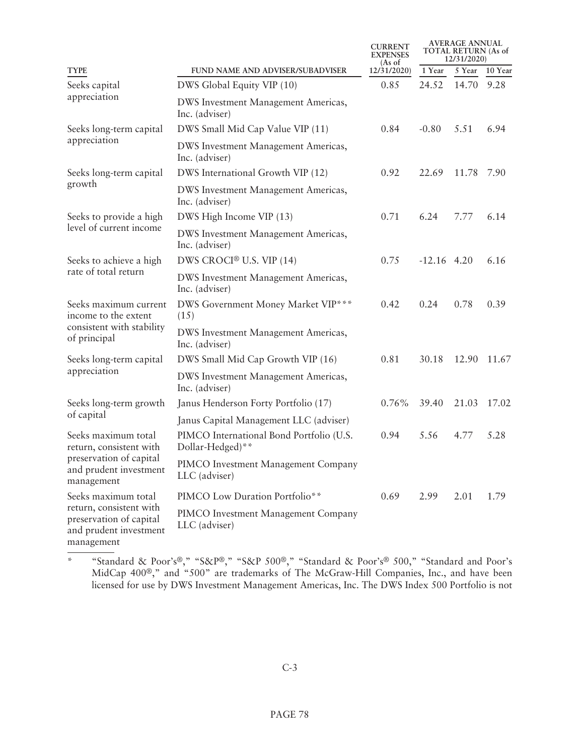|                                                                                            |                                                              | <b>CURRENT</b><br><b>EXPENSES</b><br>$(As \text{ of }$ | <b>AVERAGE ANNUAL</b><br><b>TOTAL RETURN (As of</b><br>12/31/2020) |        |         |
|--------------------------------------------------------------------------------------------|--------------------------------------------------------------|--------------------------------------------------------|--------------------------------------------------------------------|--------|---------|
| <b>TYPE</b>                                                                                | FUND NAME AND ADVISER/SUBADVISER                             | 12/31/2020)                                            | 1 Year                                                             | 5 Year | 10 Year |
| Seeks capital                                                                              | DWS Global Equity VIP (10)                                   | 0.85                                                   | 24.52                                                              | 14.70  | 9.28    |
| appreciation                                                                               | DWS Investment Management Americas,<br>Inc. (adviser)        |                                                        |                                                                    |        |         |
| Seeks long-term capital                                                                    | DWS Small Mid Cap Value VIP (11)                             | 0.84                                                   | $-0.80$                                                            | 5.51   | 6.94    |
| appreciation                                                                               | DWS Investment Management Americas,<br>Inc. (adviser)        |                                                        |                                                                    |        |         |
| Seeks long-term capital                                                                    | DWS International Growth VIP (12)                            | 0.92                                                   | 22.69                                                              | 11.78  | 7.90    |
| growth                                                                                     | DWS Investment Management Americas,<br>Inc. (adviser)        |                                                        |                                                                    |        |         |
| Seeks to provide a high                                                                    | DWS High Income VIP (13)                                     | 0.71                                                   | 6.24                                                               | 7.77   | 6.14    |
| level of current income                                                                    | DWS Investment Management Americas,<br>Inc. (adviser)        |                                                        |                                                                    |        |         |
| Seeks to achieve a high                                                                    | DWS CROCI <sup>®</sup> U.S. VIP (14)                         | 0.75                                                   | $-12.16$ 4.20                                                      |        | 6.16    |
| rate of total return                                                                       | DWS Investment Management Americas,<br>Inc. (adviser)        |                                                        |                                                                    |        |         |
| Seeks maximum current<br>income to the extent                                              | DWS Government Money Market VIP***<br>(15)                   | 0.42                                                   | 0.24                                                               | 0.78   | 0.39    |
| consistent with stability<br>of principal                                                  | DWS Investment Management Americas,<br>Inc. (adviser)        |                                                        |                                                                    |        |         |
| Seeks long-term capital                                                                    | DWS Small Mid Cap Growth VIP (16)                            | 0.81                                                   | 30.18                                                              | 12.90  | 11.67   |
| appreciation                                                                               | DWS Investment Management Americas,<br>Inc. (adviser)        |                                                        |                                                                    |        |         |
| Seeks long-term growth                                                                     | Janus Henderson Forty Portfolio (17)                         | $0.76\%$                                               | 39.40                                                              | 21.03  | 17.02   |
| of capital                                                                                 | Janus Capital Management LLC (adviser)                       |                                                        |                                                                    |        |         |
| Seeks maximum total<br>return, consistent with                                             | PIMCO International Bond Portfolio (U.S.<br>Dollar-Hedged)** | 0.94                                                   | 5.56                                                               | 4.77   | 5.28    |
| preservation of capital<br>and prudent investment<br>management                            | PIMCO Investment Management Company<br>LLC (adviser)         |                                                        |                                                                    |        |         |
| Seeks maximum total                                                                        | PIMCO Low Duration Portfolio**                               | 0.69                                                   | 2.99                                                               | 2.01   | 1.79    |
| return, consistent with<br>preservation of capital<br>and prudent investment<br>management | PIMCO Investment Management Company<br>LLC (adviser)         |                                                        |                                                                    |        |         |

<sup>\* &</sup>quot;Standard & Poor's®," "S&P®," "S&P 500®," "Standard & Poor's® 500," "Standard and Poor's MidCap 400®," and "500" are trademarks of The McGraw-Hill Companies, Inc., and have been licensed for use by DWS Investment Management Americas, Inc. The DWS Index 500 Portfolio is not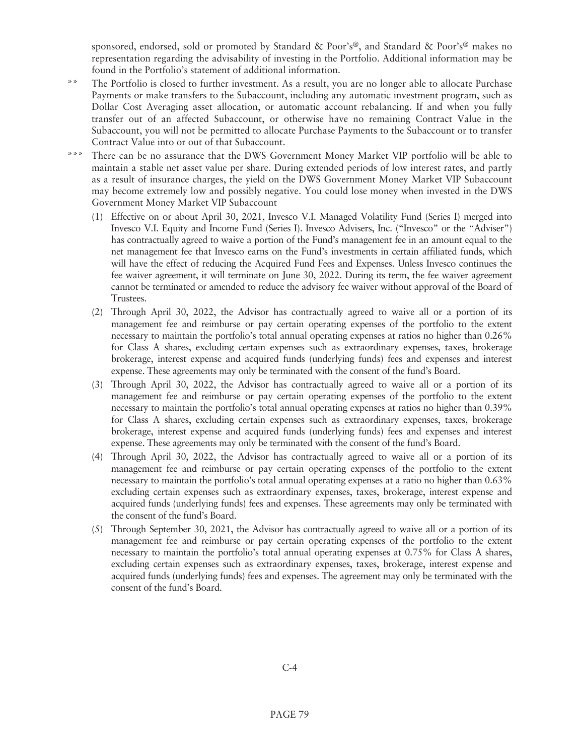sponsored, endorsed, sold or promoted by Standard & Poor's®, and Standard & Poor's® makes no representation regarding the advisability of investing in the Portfolio. Additional information may be found in the Portfolio's statement of additional information.

- \*\* The Portfolio is closed to further investment. As a result, you are no longer able to allocate Purchase Payments or make transfers to the Subaccount, including any automatic investment program, such as Dollar Cost Averaging asset allocation, or automatic account rebalancing. If and when you fully transfer out of an affected Subaccount, or otherwise have no remaining Contract Value in the Subaccount, you will not be permitted to allocate Purchase Payments to the Subaccount or to transfer Contract Value into or out of that Subaccount.
- There can be no assurance that the DWS Government Money Market VIP portfolio will be able to maintain a stable net asset value per share. During extended periods of low interest rates, and partly as a result of insurance charges, the yield on the DWS Government Money Market VIP Subaccount may become extremely low and possibly negative. You could lose money when invested in the DWS Government Money Market VIP Subaccount
	- (1) Effective on or about April 30, 2021, Invesco V.I. Managed Volatility Fund (Series I) merged into Invesco V.I. Equity and Income Fund (Series I). Invesco Advisers, Inc. ("Invesco" or the "Adviser") has contractually agreed to waive a portion of the Fund's management fee in an amount equal to the net management fee that Invesco earns on the Fund's investments in certain affiliated funds, which will have the effect of reducing the Acquired Fund Fees and Expenses. Unless Invesco continues the fee waiver agreement, it will terminate on June 30, 2022. During its term, the fee waiver agreement cannot be terminated or amended to reduce the advisory fee waiver without approval of the Board of Trustees.
	- (2) Through April 30, 2022, the Advisor has contractually agreed to waive all or a portion of its management fee and reimburse or pay certain operating expenses of the portfolio to the extent necessary to maintain the portfolio's total annual operating expenses at ratios no higher than 0.26% for Class A shares, excluding certain expenses such as extraordinary expenses, taxes, brokerage brokerage, interest expense and acquired funds (underlying funds) fees and expenses and interest expense. These agreements may only be terminated with the consent of the fund's Board.
	- (3) Through April 30, 2022, the Advisor has contractually agreed to waive all or a portion of its management fee and reimburse or pay certain operating expenses of the portfolio to the extent necessary to maintain the portfolio's total annual operating expenses at ratios no higher than 0.39% for Class A shares, excluding certain expenses such as extraordinary expenses, taxes, brokerage brokerage, interest expense and acquired funds (underlying funds) fees and expenses and interest expense. These agreements may only be terminated with the consent of the fund's Board.
	- (4) Through April 30, 2022, the Advisor has contractually agreed to waive all or a portion of its management fee and reimburse or pay certain operating expenses of the portfolio to the extent necessary to maintain the portfolio's total annual operating expenses at a ratio no higher than 0.63% excluding certain expenses such as extraordinary expenses, taxes, brokerage, interest expense and acquired funds (underlying funds) fees and expenses. These agreements may only be terminated with the consent of the fund's Board.
	- (5) Through September 30, 2021, the Advisor has contractually agreed to waive all or a portion of its management fee and reimburse or pay certain operating expenses of the portfolio to the extent necessary to maintain the portfolio's total annual operating expenses at 0.75% for Class A shares, excluding certain expenses such as extraordinary expenses, taxes, brokerage, interest expense and acquired funds (underlying funds) fees and expenses. The agreement may only be terminated with the consent of the fund's Board.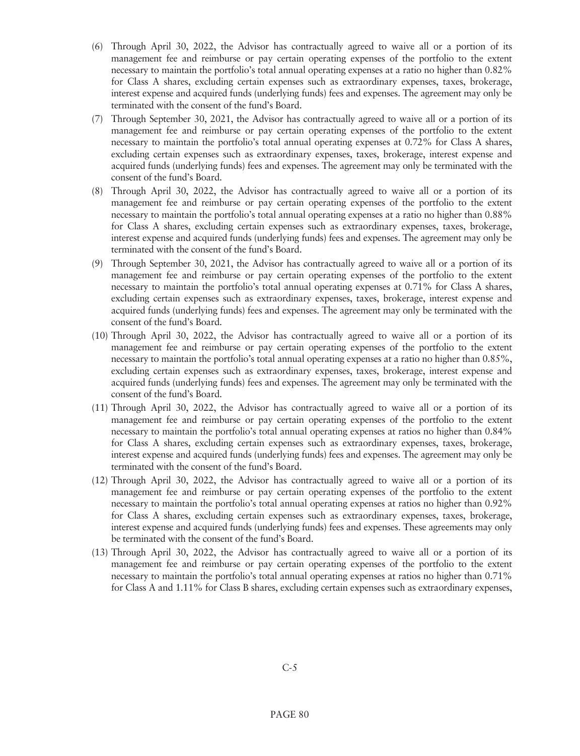- (6) Through April 30, 2022, the Advisor has contractually agreed to waive all or a portion of its management fee and reimburse or pay certain operating expenses of the portfolio to the extent necessary to maintain the portfolio's total annual operating expenses at a ratio no higher than 0.82% for Class A shares, excluding certain expenses such as extraordinary expenses, taxes, brokerage, interest expense and acquired funds (underlying funds) fees and expenses. The agreement may only be terminated with the consent of the fund's Board.
- (7) Through September 30, 2021, the Advisor has contractually agreed to waive all or a portion of its management fee and reimburse or pay certain operating expenses of the portfolio to the extent necessary to maintain the portfolio's total annual operating expenses at 0.72% for Class A shares, excluding certain expenses such as extraordinary expenses, taxes, brokerage, interest expense and acquired funds (underlying funds) fees and expenses. The agreement may only be terminated with the consent of the fund's Board.
- (8) Through April 30, 2022, the Advisor has contractually agreed to waive all or a portion of its management fee and reimburse or pay certain operating expenses of the portfolio to the extent necessary to maintain the portfolio's total annual operating expenses at a ratio no higher than 0.88% for Class A shares, excluding certain expenses such as extraordinary expenses, taxes, brokerage, interest expense and acquired funds (underlying funds) fees and expenses. The agreement may only be terminated with the consent of the fund's Board.
- (9) Through September 30, 2021, the Advisor has contractually agreed to waive all or a portion of its management fee and reimburse or pay certain operating expenses of the portfolio to the extent necessary to maintain the portfolio's total annual operating expenses at 0.71% for Class A shares, excluding certain expenses such as extraordinary expenses, taxes, brokerage, interest expense and acquired funds (underlying funds) fees and expenses. The agreement may only be terminated with the consent of the fund's Board.
- (10) Through April 30, 2022, the Advisor has contractually agreed to waive all or a portion of its management fee and reimburse or pay certain operating expenses of the portfolio to the extent necessary to maintain the portfolio's total annual operating expenses at a ratio no higher than 0.85%, excluding certain expenses such as extraordinary expenses, taxes, brokerage, interest expense and acquired funds (underlying funds) fees and expenses. The agreement may only be terminated with the consent of the fund's Board.
- (11) Through April 30, 2022, the Advisor has contractually agreed to waive all or a portion of its management fee and reimburse or pay certain operating expenses of the portfolio to the extent necessary to maintain the portfolio's total annual operating expenses at ratios no higher than 0.84% for Class A shares, excluding certain expenses such as extraordinary expenses, taxes, brokerage, interest expense and acquired funds (underlying funds) fees and expenses. The agreement may only be terminated with the consent of the fund's Board.
- (12) Through April 30, 2022, the Advisor has contractually agreed to waive all or a portion of its management fee and reimburse or pay certain operating expenses of the portfolio to the extent necessary to maintain the portfolio's total annual operating expenses at ratios no higher than 0.92% for Class A shares, excluding certain expenses such as extraordinary expenses, taxes, brokerage, interest expense and acquired funds (underlying funds) fees and expenses. These agreements may only be terminated with the consent of the fund's Board.
- (13) Through April 30, 2022, the Advisor has contractually agreed to waive all or a portion of its management fee and reimburse or pay certain operating expenses of the portfolio to the extent necessary to maintain the portfolio's total annual operating expenses at ratios no higher than 0.71% for Class A and 1.11% for Class B shares, excluding certain expenses such as extraordinary expenses,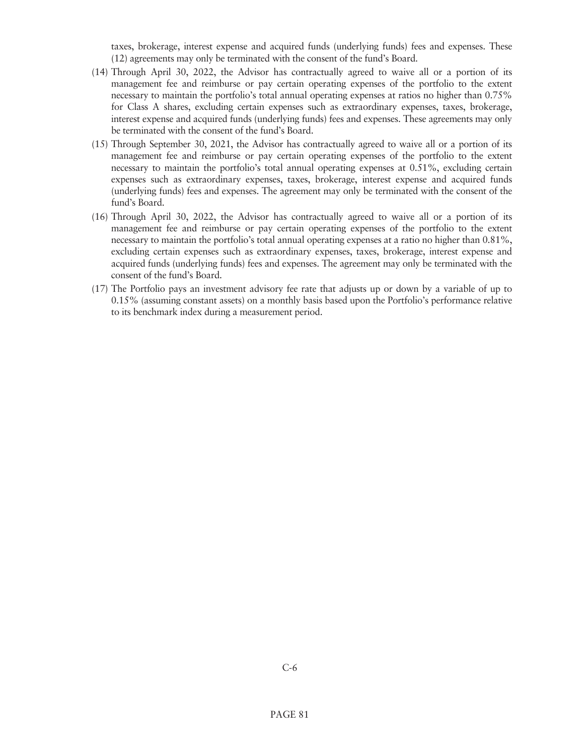taxes, brokerage, interest expense and acquired funds (underlying funds) fees and expenses. These (12) agreements may only be terminated with the consent of the fund's Board.

- (14) Through April 30, 2022, the Advisor has contractually agreed to waive all or a portion of its management fee and reimburse or pay certain operating expenses of the portfolio to the extent necessary to maintain the portfolio's total annual operating expenses at ratios no higher than 0.75% for Class A shares, excluding certain expenses such as extraordinary expenses, taxes, brokerage, interest expense and acquired funds (underlying funds) fees and expenses. These agreements may only be terminated with the consent of the fund's Board.
- (15) Through September 30, 2021, the Advisor has contractually agreed to waive all or a portion of its management fee and reimburse or pay certain operating expenses of the portfolio to the extent necessary to maintain the portfolio's total annual operating expenses at 0.51%, excluding certain expenses such as extraordinary expenses, taxes, brokerage, interest expense and acquired funds (underlying funds) fees and expenses. The agreement may only be terminated with the consent of the fund's Board.
- (16) Through April 30, 2022, the Advisor has contractually agreed to waive all or a portion of its management fee and reimburse or pay certain operating expenses of the portfolio to the extent necessary to maintain the portfolio's total annual operating expenses at a ratio no higher than 0.81%, excluding certain expenses such as extraordinary expenses, taxes, brokerage, interest expense and acquired funds (underlying funds) fees and expenses. The agreement may only be terminated with the consent of the fund's Board.
- (17) The Portfolio pays an investment advisory fee rate that adjusts up or down by a variable of up to 0.15% (assuming constant assets) on a monthly basis based upon the Portfolio's performance relative to its benchmark index during a measurement period.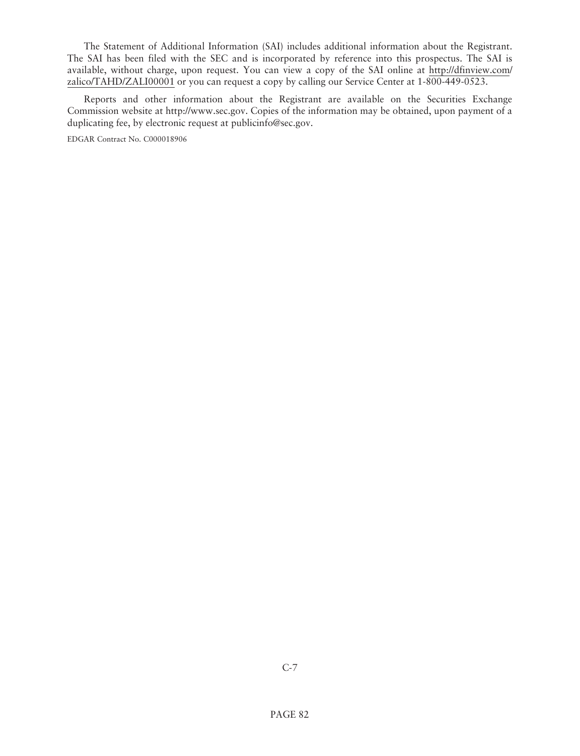The Statement of Additional Information (SAI) includes additional information about the Registrant. The SAI has been filed with the SEC and is incorporated by reference into this prospectus. The SAI is [available, without charge, upon request. You can view a copy of the SAI online at http://dfinview.com/](http://dfinview.com/zalico/TAHD/ZALI00001) zalico/TAHD/ZALI00001 or you can request a copy by calling our Service Center at 1-800-449-0523.

Reports and other information about the Registrant are available on the Securities Exchange Commission website at http://www.sec.gov. Copies of the information may be obtained, upon payment of a duplicating fee, by electronic request at publicinfo@sec.gov.

EDGAR Contract No. C000018906